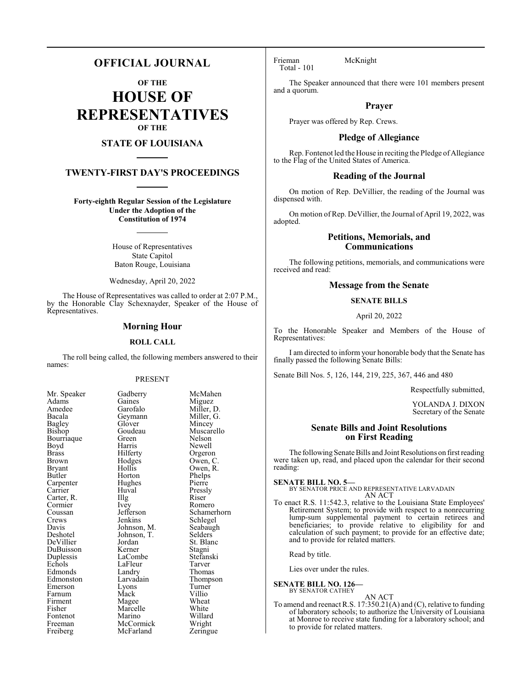# **OFFICIAL JOURNAL**

**OF THE**

**HOUSE OF REPRESENTATIVES OF THE**

# **STATE OF LOUISIANA**

# **TWENTY-FIRST DAY'S PROCEEDINGS**

**Forty-eighth Regular Session of the Legislature Under the Adoption of the Constitution of 1974**

> House of Representatives State Capitol Baton Rouge, Louisiana

Wednesday, April 20, 2022

The House of Representatives was called to order at 2:07 P.M., by the Honorable Clay Schexnayder, Speaker of the House of Representatives.

# **Morning Hour**

#### **ROLL CALL**

The roll being called, the following members answered to their names:

#### PRESENT

Gaines<br>Garofalo

Hughes<br>Huval

| Mr. Speaker                      |
|----------------------------------|
| Adams                            |
| Amedee                           |
| Bacala                           |
| <b>Bagley</b>                    |
| Bishop                           |
| Bourriaque                       |
| Boyd                             |
| <b>Brass</b>                     |
| Brown                            |
| <b>Bryant</b>                    |
| Butler                           |
| Carpenter                        |
| Carrier<br>Carrier<br>Carter, R. |
|                                  |
|                                  |
| Coussan                          |
| Crews                            |
| Davis                            |
| Deshotel                         |
| DeVillier                        |
| DuBuisson<br>Duplessis           |
|                                  |
| Echols                           |
| Edmonds                          |
| Edmonston                        |
| Emerson                          |
| Farnum                           |
| Firment                          |
| Fisher                           |
| Fontenot                         |
| Freeman                          |
| Freiberg                         |

Gadberry McMahen<br>Gaines Miguez Miller, D.<br>Miller, G. Geymann Miller, Glover Miller, C Glover<br>Goudeau Goudeau Muscarello<br>Green Nelson Bourriaque Green Nelson Harris Newell<br>Hilferty Orgero Hilferty Orgeron<br>Hodges Owen, C Hodges Owen, C.<br>Hollis Owen, R. Hollis Owen, R.<br>Horton Phelps Phelps<br>Pierre Huval Pressly<br>Illg Riser Carter, R. **Illg** Riser Ivey Romero<br>Jefferson Schame Jefferson Schamerhorn<br>Jenkins Schlegel Schlegel<br>Seabaugh Johnson, M. Seabaug<br>Johnson, T. Selders Johnson, T.<br>Jordan Jordan St. Blanc<br>Kerner Stagni Stagni<br>Stefanski LaCombe Stefans<br>LaFleur Tarver EaFleur Tarver<br>
Landry Thomas Edmonds Landry Thomas Larvadain Thompson<br>
Lyons Turner Lyons Turner<br>Mack Villio Mack Villio<br>Magee Wheat Magee Wheat<br>
Marcelle White Marcelle White<br>
Marino Willard Marino Willard<br>
McCormick Wright McCormick Wright<br>
McFarland Zeringue McFarland

Frieman McKnight Total - 101

The Speaker announced that there were 101 members present and a quorum.

# **Prayer**

Prayer was offered by Rep. Crews.

# **Pledge of Allegiance**

Rep. Fontenot led the House in reciting the Pledge of Allegiance to the Flag of the United States of America.

# **Reading of the Journal**

On motion of Rep. DeVillier, the reading of the Journal was dispensed with.

On motion of Rep. DeVillier, the Journal of April 19, 2022, was adopted.

# **Petitions, Memorials, and Communications**

The following petitions, memorials, and communications were received and read:

# **Message from the Senate**

# **SENATE BILLS**

April 20, 2022

To the Honorable Speaker and Members of the House of Representatives:

I am directed to inform your honorable body that the Senate has finally passed the following Senate Bills:

Senate Bill Nos. 5, 126, 144, 219, 225, 367, 446 and 480

Respectfully submitted,

YOLANDA J. DIXON Secretary of the Senate

# **Senate Bills and Joint Resolutions on First Reading**

The following Senate Bills and Joint Resolutions on first reading were taken up, read, and placed upon the calendar for their second reading:

**SENATE BILL NO. 5—** BY SENATOR PRICE AND REPRESENTATIVE LARVADAIN AN ACT

To enact R.S. 11:542.3, relative to the Louisiana State Employees' Retirement System; to provide with respect to a nonrecurring lump-sum supplemental payment to certain retirees and beneficiaries; to provide relative to eligibility for and calculation of such payment; to provide for an effective date; and to provide for related matters.

Read by title.

Lies over under the rules.

#### **SENATE BILL NO. 126—** BY SENATOR CATHEY

AN ACT

To amend and reenact R.S. 17:350.21(A) and (C), relative to funding of laboratory schools; to authorize the University of Louisiana at Monroe to receive state funding for a laboratory school; and to provide for related matters.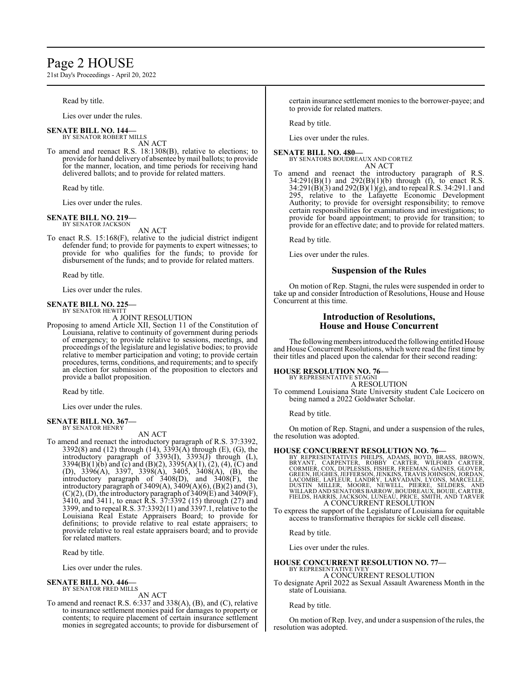# Page 2 HOUSE

21st Day's Proceedings - April 20, 2022

Read by title.

Lies over under the rules.

#### **SENATE BILL NO. 144—** BY SENATOR ROBERT MILLS

AN ACT

To amend and reenact R.S. 18:1308(B), relative to elections; to provide for hand delivery of absentee bymail ballots; to provide for the manner, location, and time periods for receiving hand delivered ballots; and to provide for related matters.

Read by title.

Lies over under the rules.

#### **SENATE BILL NO. 219—** BY SENATOR JACKSON

AN ACT

To enact R.S. 15:168(F), relative to the judicial district indigent defender fund; to provide for payments to expert witnesses; to provide for who qualifies for the funds; to provide for disbursement of the funds; and to provide for related matters.

Read by title.

Lies over under the rules.

#### **SENATE BILL NO. 225—** BY SENATOR HEWITT

A JOINT RESOLUTION

Proposing to amend Article XII, Section 11 of the Constitution of Louisiana, relative to continuity of government during periods of emergency; to provide relative to sessions, meetings, and proceedings of the legislature and legislative bodies; to provide relative to member participation and voting; to provide certain procedures, terms, conditions, and requirements; and to specify an election for submission of the proposition to electors and provide a ballot proposition.

Read by title.

Lies over under the rules.

#### **SENATE BILL NO. 367—** BY SENATOR HENRY

AN ACT

To amend and reenact the introductory paragraph of R.S. 37:3392, 3392(8) and (12) through (14),  $3393(A)$  through (E), (G), the introductory paragraph of 3393(I), 3393(J) through (L), 3394(B)(1)(b) and (c) and (B)(2), 3395(A)(1), (2), (4), (C) and (D), 3396(A), 3397, 3398(A), 3405, 3408(A), (B), the introductory paragraph of 3408(D), and 3408(F), the introductory paragraph of  $3409(A)$ ,  $3409(A)(6)$ ,  $(B)(2)$  and  $(3)$ ,  $(C)(2)$ ,  $(D)$ , the introductory paragraph of 3409 $(E)$  and 3409 $(F)$ , 3410, and 3411, to enact R.S. 37:3392 (15) through (27) and 3399, and to repeal R.S. 37:3392(11) and 3397.1, relative to the Louisiana Real Estate Appraisers Board; to provide for definitions; to provide relative to real estate appraisers; to provide relative to real estate appraisers board; and to provide for related matters.

Read by title.

Lies over under the rules.

#### **SENATE BILL NO. 446—** BY SENATOR FRED MILLS

AN ACT

To amend and reenact R.S. 6:337 and 338(A), (B), and (C), relative to insurance settlement monies paid for damages to property or contents; to require placement of certain insurance settlement monies in segregated accounts; to provide for disbursement of certain insurance settlement monies to the borrower-payee; and to provide for related matters.

Read by title.

Lies over under the rules.

#### **SENATE BILL NO. 480—**

BY SENATORS BOUDREAUX AND CORTEZ AN ACT

To amend and reenact the introductory paragraph of R.S.  $34:291(B)(1)$  and  $292(B)(1)(b)$  through (f), to enact R.S. 34:291(B)(3) and 292(B)(1)(g), and to repeal R.S. 34:291.1 and 295, relative to the Lafayette Economic Development Authority; to provide for oversight responsibility; to remove certain responsibilities for examinations and investigations; to provide for board appointment; to provide for transition; to provide for an effective date; and to provide for related matters.

Read by title.

Lies over under the rules.

## **Suspension of the Rules**

On motion of Rep. Stagni, the rules were suspended in order to take up and consider Introduction of Resolutions, House and House Concurrent at this time.

# **Introduction of Resolutions, House and House Concurrent**

The following members introduced the following entitled House and House Concurrent Resolutions, which were read the first time by their titles and placed upon the calendar for their second reading:

### **HOUSE RESOLUTION NO. 76—**

BY REPRESENTATIVE STAGNI

A RESOLUTION To commend Louisiana State University student Cale Locicero on being named a 2022 Goldwater Scholar.

Read by title.

On motion of Rep. Stagni, and under a suspension of the rules, the resolution was adopted.

HOUSE CONCURRENT RESOLUTION NO. 76—<br>BY REPRESENTATIVES PHELPS, ADAMS, BOYD, BRASS, BROWN, BRYANT, CARPENTER, ROBBY CARTER, WILFORD CARTER,<br>CORMIER, COX, DUPLESSIS, FISHER, FREEMAN, GAINES, GLOVER,<br>GREEN, HUGHES, JEFFERSON,

To express the support of the Legislature of Louisiana for equitable access to transformative therapies for sickle cell disease.

Read by title.

Lies over under the rules.

# **HOUSE CONCURRENT RESOLUTION NO. 77—** BY REPRESENTATIVE IVEY

A CONCURRENT RESOLUTION

To designate April 2022 as Sexual Assault Awareness Month in the state of Louisiana.

Read by title.

On motion of Rep. Ivey, and under a suspension of the rules, the resolution was adopted.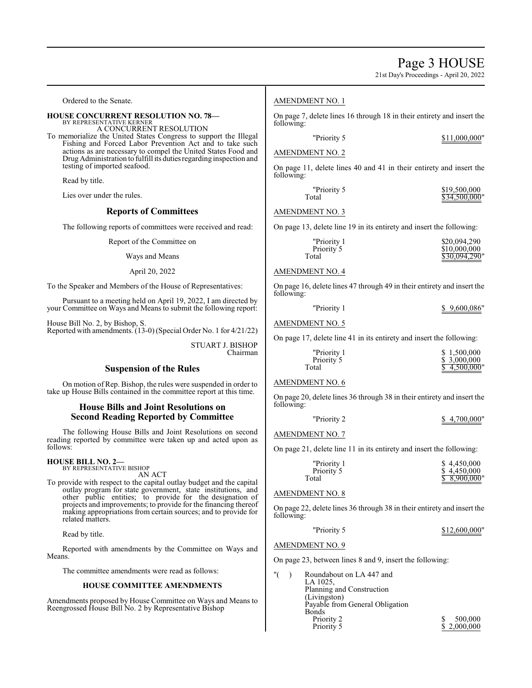21st Day's Proceedings - April 20, 2022

Ordered to the Senate.

#### **HOUSE CONCURRENT RESOLUTION NO. 78—**

BY REPRESENTATIVE KERNER A CONCURRENT RESOLUTION

To memorialize the United States Congress to support the Illegal Fishing and Forced Labor Prevention Act and to take such actions as are necessary to compel the United States Food and Drug Administration to fulfill its duties regarding inspection and testing of imported seafood.

Read by title.

Lies over under the rules.

### **Reports of Committees**

The following reports of committees were received and read:

Report of the Committee on

# Ways and Means

April 20, 2022

To the Speaker and Members of the House of Representatives:

Pursuant to a meeting held on April 19, 2022, I am directed by your Committee on Ways and Means to submit the following report:

House Bill No. 2, by Bishop, S. Reported with amendments. (13-0) (Special Order No. 1 for 4/21/22)

> STUART J. BISHOP Chairman

# **Suspension of the Rules**

On motion of Rep. Bishop, the rules were suspended in order to take up House Bills contained in the committee report at this time.

# **House Bills and Joint Resolutions on Second Reading Reported by Committee**

The following House Bills and Joint Resolutions on second reading reported by committee were taken up and acted upon as follows:

# **HOUSE BILL NO. 2—** BY REPRESENTATIVE BISHOP

AN ACT

To provide with respect to the capital outlay budget and the capital outlay program for state government, state institutions, and other public entities; to provide for the designation of projects and improvements; to provide for the financing thereof making appropriations from certain sources; and to provide for related matters.

Read by title.

Reported with amendments by the Committee on Ways and Means.

The committee amendments were read as follows:

### **HOUSE COMMITTEE AMENDMENTS**

Amendments proposed by House Committee on Ways and Means to Reengrossed House Bill No. 2 by Representative Bishop

# AMENDMENT NO. 1

On page 7, delete lines 16 through 18 in their entirety and insert the following:

"Priority 5 \$11,000,000"

# AMENDMENT NO. 2

On page 11, delete lines 40 and 41 in their entirety and insert the following:

| "Priority 5 | \$19,500,000  |
|-------------|---------------|
| Total       | \$34,500,000" |

### AMENDMENT NO. 3

On page 13, delete line 19 in its entirety and insert the following:

| "Priority 1 | \$20,094,290  |
|-------------|---------------|
| Priority 5  | \$10,000,000  |
| Total       | \$30,094,290" |

# AMENDMENT NO. 4

On page 16, delete lines 47 through 49 in their entirety and insert the following:

| "Priority 1 |  | \$9,600,086" |  |
|-------------|--|--------------|--|
|-------------|--|--------------|--|

# AMENDMENT NO. 5

On page 17, delete line 41 in its entirety and insert the following:

| "Priority 1 | \$1,500,000  |
|-------------|--------------|
| Priority 5  | \$3,000,000  |
| Total       | \$4,500,000" |

# AMENDMENT NO. 6

On page 20, delete lines 36 through 38 in their entirety and insert the following:

| "Priority 2 |  | \$4,700,000" |  |
|-------------|--|--------------|--|
|-------------|--|--------------|--|

AMENDMENT NO. 7

On page 21, delete line 11 in its entirety and insert the following:

| "Priority 1 | \$4,450,000  |
|-------------|--------------|
| Priority 5  | \$4.450,000  |
| Total       | \$8,900,000" |

#### AMENDMENT NO. 8

On page 22, delete lines 36 through 38 in their entirety and insert the following:

| "Priority 5 | \$12,600,000" |
|-------------|---------------|
|             |               |

#### AMENDMENT NO. 9

On page 23, between lines 8 and 9, insert the following:

"( ) Roundabout on LA 447 and LA 1025, Planning and Construction (Livingston) Payable from General Obligation Bonds<br>Priority 2 Priority 2 <br>
Priority 5 <br>
S 2,000,000  $$ 2,000,000$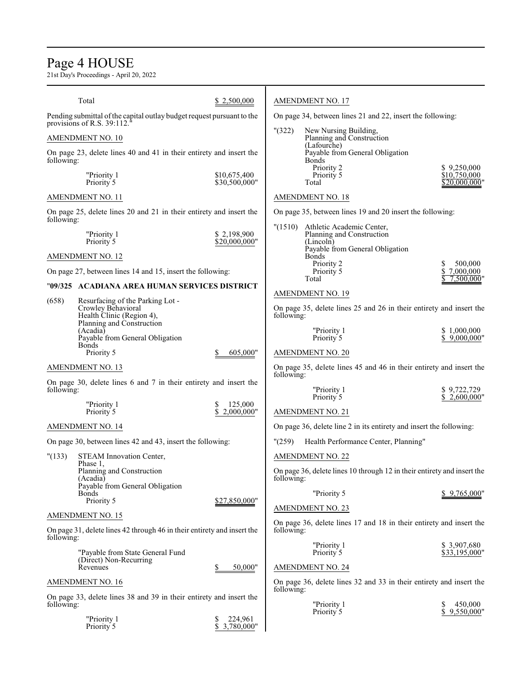# Page 4 HOUSE

21st Day's Proceedings - April 20, 2022

|                                                                                              | Total                                                                                              | \$2,500,000                   |                                                            | <b>AMENDMENT NO. 17</b>                                                                                        |                              |
|----------------------------------------------------------------------------------------------|----------------------------------------------------------------------------------------------------|-------------------------------|------------------------------------------------------------|----------------------------------------------------------------------------------------------------------------|------------------------------|
| Pending submittal of the capital outlay budget request pursuant to the                       |                                                                                                    |                               | On page 34, between lines 21 and 22, insert the following: |                                                                                                                |                              |
| provisions of R.S. 39:112. <sup>6</sup>                                                      |                                                                                                    |                               | " (322)                                                    | New Nursing Building,                                                                                          |                              |
| AMENDMENT NO. 10                                                                             |                                                                                                    |                               |                                                            | Planning and Construction<br>(Lafourche)                                                                       |                              |
| following:                                                                                   | On page 23, delete lines 40 and 41 in their entirety and insert the                                |                               |                                                            | Payable from General Obligation<br><b>Bonds</b>                                                                |                              |
|                                                                                              | "Priority 1                                                                                        | \$10,675,400                  |                                                            | Priority 2<br>Priority 5                                                                                       | \$9,250,000<br>\$10.750.000  |
|                                                                                              | Priority <sup>5</sup>                                                                              | \$30,500,000"                 |                                                            | Total                                                                                                          | \$20,000,000"                |
|                                                                                              | <b>AMENDMENT NO. 11</b>                                                                            |                               |                                                            | <b>AMENDMENT NO. 18</b>                                                                                        |                              |
| following:                                                                                   | On page 25, delete lines 20 and 21 in their entirety and insert the                                |                               |                                                            | On page 35, between lines 19 and 20 insert the following:                                                      |                              |
|                                                                                              | "Priority 1<br>Priority 5                                                                          | \$2,198,900<br>\$20,000,000"  |                                                            | "(1510) Athletic Academic Center,<br>Planning and Construction<br>(Lincoln)<br>Payable from General Obligation |                              |
|                                                                                              | <b>AMENDMENT NO. 12</b>                                                                            |                               |                                                            | Bonds<br>Priority 2                                                                                            | 500,000                      |
|                                                                                              | On page 27, between lines 14 and 15, insert the following:                                         |                               |                                                            | Priority 5<br>Total                                                                                            | \$7,000,000<br>7,500,000"    |
|                                                                                              | "09/325 ACADIANA AREA HUMAN SERVICES DISTRICT                                                      |                               |                                                            | <b>AMENDMENT NO. 19</b>                                                                                        |                              |
| (658)<br>Resurfacing of the Parking Lot -<br>Crowley Behavioral<br>Health Clinic (Region 4), |                                                                                                    |                               | following:                                                 | On page 35, delete lines 25 and 26 in their entirety and insert the                                            |                              |
|                                                                                              | Planning and Construction<br>(Acadia)<br>Payable from General Obligation<br><b>Bonds</b>           |                               |                                                            | "Priority 1<br>Priority 5                                                                                      | \$1,000,000<br>\$9,000,000"  |
|                                                                                              | Priority 5                                                                                         | 605,000"                      |                                                            | <b>AMENDMENT NO. 20</b>                                                                                        |                              |
| <b>AMENDMENT NO. 13</b>                                                                      |                                                                                                    |                               | following:                                                 | On page 35, delete lines 45 and 46 in their entirety and insert the                                            |                              |
| following:                                                                                   | On page 30, delete lines 6 and 7 in their entirety and insert the                                  |                               |                                                            | "Priority 1<br>Priority 5                                                                                      | \$9,722,729<br>\$2,600,000"  |
|                                                                                              | "Priority 1<br>Priority 5                                                                          | 125,000<br>\$<br>2,000,000"   |                                                            | <b>AMENDMENT NO. 21</b>                                                                                        |                              |
|                                                                                              | AMENDMENT NO. 14                                                                                   |                               |                                                            | On page 36, delete line 2 in its entirety and insert the following:                                            |                              |
|                                                                                              | On page 30, between lines 42 and 43, insert the following:                                         |                               | "(259)                                                     | Health Performance Center, Planning"                                                                           |                              |
| "(133)                                                                                       | STEAM Innovation Center,                                                                           |                               |                                                            | <b>AMENDMENT NO. 22</b>                                                                                        |                              |
|                                                                                              | Phase 1,<br>Planning and Construction<br>(Acadia)                                                  |                               | following:                                                 | On page 36, delete lines 10 through 12 in their entirety and insert the                                        |                              |
|                                                                                              | Payable from General Obligation<br><b>Bonds</b>                                                    | \$27,850,000"                 |                                                            | "Priority 5                                                                                                    | \$9,765,000"                 |
|                                                                                              | Priority 5                                                                                         |                               |                                                            | <b>AMENDMENT NO. 23</b>                                                                                        |                              |
| following:                                                                                   | <b>AMENDMENT NO. 15</b><br>On page 31, delete lines 42 through 46 in their entirety and insert the |                               | following:                                                 | On page 36, delete lines 17 and 18 in their entirety and insert the                                            |                              |
|                                                                                              | "Payable from State General Fund<br>(Direct) Non-Recurring                                         |                               |                                                            | "Priority 1<br>Priority 5                                                                                      | \$3,907,680<br>\$33,195,000" |
|                                                                                              | Revenues                                                                                           | 50,000"                       |                                                            | <b>AMENDMENT NO. 24</b>                                                                                        |                              |
|                                                                                              | <b>AMENDMENT NO. 16</b>                                                                            |                               | following:                                                 | On page 36, delete lines 32 and 33 in their entirety and insert the                                            |                              |
| following:                                                                                   | On page 33, delete lines 38 and 39 in their entirety and insert the                                |                               |                                                            | "Priority 1<br>Priority 5                                                                                      | 450,000<br>\$<br>9,550,000"  |
|                                                                                              | "Priority 1<br>Priority 5                                                                          | 224,961<br>\$<br>\$3,780,000" |                                                            |                                                                                                                |                              |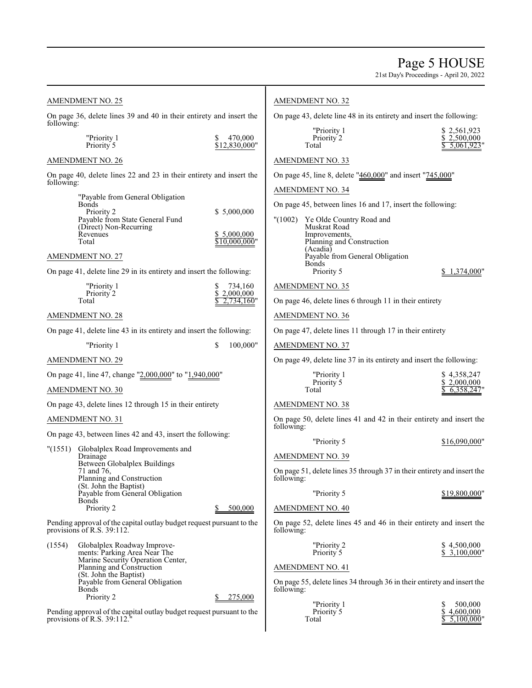21st Day's Proceedings - April 20, 2022

| <b>AMENDMENT NO. 25</b>                                                                             |                                                                                                     |    | <b>AMENDMENT NO. 32</b>                                              |                                                                      |                                                                         |  |                                             |
|-----------------------------------------------------------------------------------------------------|-----------------------------------------------------------------------------------------------------|----|----------------------------------------------------------------------|----------------------------------------------------------------------|-------------------------------------------------------------------------|--|---------------------------------------------|
| On page 36, delete lines 39 and 40 in their entirety and insert the<br>following:                   |                                                                                                     |    | On page 43, delete line 48 in its entirety and insert the following: |                                                                      |                                                                         |  |                                             |
|                                                                                                     | "Priority 1<br>Priority <sup>5</sup>                                                                | \$ | 470,000<br>\$12,830,000"                                             | Total                                                                | "Priority 1<br>Priority 2                                               |  | \$2,561,923<br>\$2,500,000<br>$5,061,923$ " |
|                                                                                                     | <b>AMENDMENT NO. 26</b>                                                                             |    |                                                                      | <b>AMENDMENT NO. 33</b>                                              |                                                                         |  |                                             |
|                                                                                                     | On page 40, delete lines 22 and 23 in their entirety and insert the                                 |    |                                                                      |                                                                      | On page 45, line 8, delete "460,000" and insert "745,000"               |  |                                             |
| following:                                                                                          | "Payable from General Obligation                                                                    |    |                                                                      | <b>AMENDMENT NO. 34</b>                                              |                                                                         |  |                                             |
|                                                                                                     | <b>Bonds</b><br>Priority 2                                                                          |    | \$5,000,000                                                          |                                                                      | On page 45, between lines 16 and 17, insert the following:              |  |                                             |
|                                                                                                     | Payable from State General Fund<br>(Direct) Non-Recurring<br>Revenues                               |    | \$ 5,000,000                                                         | "(1002)                                                              | Ye Olde Country Road and<br>Muskrat Road<br>Improvements,               |  |                                             |
|                                                                                                     | Total                                                                                               |    | \$10.000.000"                                                        |                                                                      | Planning and Construction<br>(Acadia)                                   |  |                                             |
|                                                                                                     | <b>AMENDMENT NO. 27</b>                                                                             |    |                                                                      | <b>Bonds</b>                                                         | Payable from General Obligation                                         |  |                                             |
|                                                                                                     | On page 41, delete line 29 in its entirety and insert the following:                                |    |                                                                      |                                                                      | Priority 5                                                              |  | \$1,374,000"                                |
|                                                                                                     | "Priority 1<br>Priority 2                                                                           | S  | 734,160<br>\$2,000,000                                               | <b>AMENDMENT NO. 35</b>                                              |                                                                         |  |                                             |
|                                                                                                     | Total                                                                                               |    | 2,734,160"                                                           |                                                                      | On page 46, delete lines 6 through 11 in their entirety                 |  |                                             |
|                                                                                                     | <b>AMENDMENT NO. 28</b>                                                                             |    |                                                                      | <b>AMENDMENT NO. 36</b>                                              |                                                                         |  |                                             |
| On page 41, delete line 43 in its entirety and insert the following:                                |                                                                                                     |    |                                                                      | On page 47, delete lines 11 through 17 in their entirety             |                                                                         |  |                                             |
| \$<br>100,000"<br>"Priority 1                                                                       |                                                                                                     |    | <b>AMENDMENT NO. 37</b>                                              |                                                                      |                                                                         |  |                                             |
|                                                                                                     | <b>AMENDMENT NO. 29</b>                                                                             |    |                                                                      | On page 49, delete line 37 in its entirety and insert the following: |                                                                         |  |                                             |
| On page 41, line 47, change "2,000,000" to "1,940,000"                                              |                                                                                                     |    | "Priority 1<br>Priority 5                                            |                                                                      | \$4,358,247<br>\$2,000,000                                              |  |                                             |
| AMENDMENT NO. 30                                                                                    |                                                                                                     |    |                                                                      | Total                                                                |                                                                         |  | 6,358,247                                   |
|                                                                                                     | On page 43, delete lines 12 through 15 in their entirety                                            |    |                                                                      | <b>AMENDMENT NO. 38</b>                                              |                                                                         |  |                                             |
|                                                                                                     | <b>AMENDMENT NO. 31</b>                                                                             |    |                                                                      | following:                                                           | On page 50, delete lines 41 and 42 in their entirety and insert the     |  |                                             |
|                                                                                                     | On page 43, between lines 42 and 43, insert the following:                                          |    |                                                                      |                                                                      | "Priority 5                                                             |  | \$16,090,000"                               |
| "(1551)                                                                                             | Globalplex Road Improvements and<br>Drainage                                                        |    |                                                                      | <b>AMENDMENT NO. 39</b>                                              |                                                                         |  |                                             |
|                                                                                                     | Between Globalplex Buildings<br>71 and 76,<br>Planning and Construction<br>(St. John the Baptist)   |    |                                                                      | following:                                                           | On page 51, delete lines 35 through 37 in their entirety and insert the |  |                                             |
|                                                                                                     | Payable from General Obligation<br><b>Bonds</b>                                                     |    |                                                                      |                                                                      | "Priority 5                                                             |  | \$19,800,000"                               |
|                                                                                                     | Priority 2                                                                                          |    | 500,000                                                              | <b>AMENDMENT NO. 40</b>                                              |                                                                         |  |                                             |
| Pending approval of the capital outlay budget request pursuant to the<br>provisions of R.S. 39:112. |                                                                                                     |    |                                                                      | following:                                                           | On page 52, delete lines 45 and 46 in their entirety and insert the     |  |                                             |
| (1554)                                                                                              | Globalplex Roadway Improve-<br>ments: Parking Area Near The<br>Marine Security Operation Center,    |    |                                                                      |                                                                      | "Priority 2<br>Priority 5                                               |  | \$4,500,000<br>\$3,100,000"                 |
|                                                                                                     | Planning and Construction<br>(St. John the Baptist)                                                 |    |                                                                      | <b>AMENDMENT NO. 41</b>                                              |                                                                         |  |                                             |
|                                                                                                     | Payable from General Obligation<br><b>Bonds</b><br>Priority 2                                       |    | 275,000                                                              | following:                                                           | On page 55, delete lines 34 through 36 in their entirety and insert the |  |                                             |
|                                                                                                     | Pending approval of the capital outlay budget request pursuant to the<br>provisions of R.S. 39:112. |    |                                                                      | Total                                                                | "Priority 1<br>Priority 5                                               |  | 500,000<br>\$4,600,000<br>5,100,000         |
|                                                                                                     |                                                                                                     |    |                                                                      |                                                                      |                                                                         |  |                                             |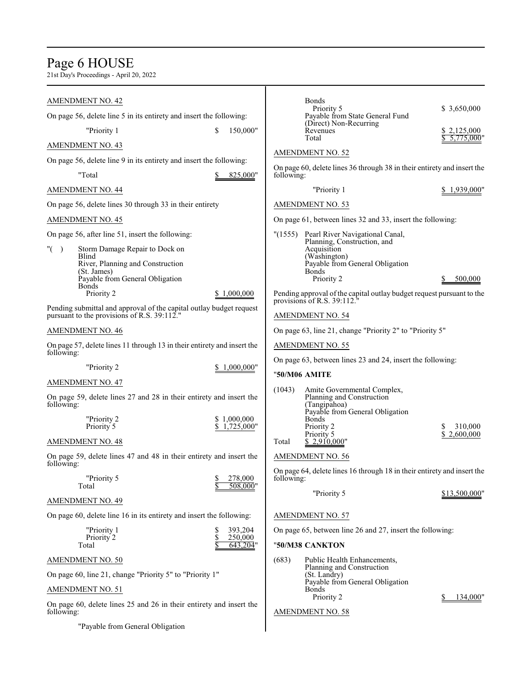# Page 6 HOUSE

21st Day's Proceedings - April 20, 2022

| <b>AMENDMENT NO. 42</b>                                                                                                                                      | Bo                            |
|--------------------------------------------------------------------------------------------------------------------------------------------------------------|-------------------------------|
| On page 56, delete line 5 in its entirety and insert the following:                                                                                          | Pa<br>(D                      |
| "Priority 1<br>\$<br>150,000"                                                                                                                                | Re<br>To                      |
| <b>AMENDMENT NO. 43</b>                                                                                                                                      | <b>AMENDME</b>                |
| On page 56, delete line 9 in its entirety and insert the following:                                                                                          |                               |
| "Total<br>825,000"                                                                                                                                           | On page $60,$<br>following:   |
| <b>AMENDMENT NO. 44</b>                                                                                                                                      |                               |
| On page 56, delete lines 30 through 33 in their entirety                                                                                                     | AMENDME                       |
| <b>AMENDMENT NO. 45</b>                                                                                                                                      | On page 61,                   |
| On page 56, after line 51, insert the following:                                                                                                             | "(1555)<br>Pe<br>Plε          |
| $"$ (<br>Storm Damage Repair to Dock on<br>$\lambda$<br>Blind<br>River, Planning and Construction<br>(St. James)<br>Payable from General Obligation<br>Bonds | Ac<br>(W<br>Pa<br>Bo          |
| Priority 2<br>\$1,000,000                                                                                                                                    | Pending appr<br>provisions of |
| Pending submittal and approval of the capital outlay budget request<br>pursuant to the provisions of R.S. $39:112."$                                         | AMENDME                       |
| <b>AMENDMENT NO. 46</b>                                                                                                                                      | On page 63,                   |
| On page 57, delete lines 11 through 13 in their entirety and insert the<br>following:                                                                        | AMENDME                       |
| "Priority 2<br>\$1,000,000"                                                                                                                                  | On page 63,                   |
| <b>AMENDMENT NO. 47</b>                                                                                                                                      | "50/M06 AN                    |
| On page 59, delete lines 27 and 28 in their entirety and insert the<br>following:                                                                            | (1043)<br>An<br>PΙa<br>(Ta    |
| "Priority 2<br>\$1,000,000<br>\$1,725,000"<br>Priority 5                                                                                                     | Pa<br>Bo<br>Pri<br>Pri        |
| <b>AMENDMENT NO. 48</b>                                                                                                                                      | Total<br>S.                   |
| On page 59, delete lines 47 and 48 in their entirety and insert the<br>following:                                                                            | AMENDME                       |
| "Priority 5<br>\$<br>278,000<br>Total<br><u>508,000"</u>                                                                                                     | On page $64,$<br>following:   |
| <b>AMENDMENT NO. 49</b>                                                                                                                                      |                               |
| On page 60, delete line 16 in its entirety and insert the following:                                                                                         | AMENDME                       |
| "Priority 1<br>\$<br>393,204<br>\$<br>Priority 2<br>250,000<br>643,204"<br>Total                                                                             | On page 65,<br>"50/M38 CA     |
| <b>AMENDMENT NO. 50</b>                                                                                                                                      | (683)<br>Pu                   |
| On page 60, line 21, change "Priority 5" to "Priority 1"                                                                                                     | Plε<br>(St                    |
| <b>AMENDMENT NO. 51</b>                                                                                                                                      | Pa<br>Bo                      |
| On page 60, delete lines 25 and 26 in their entirety and insert the                                                                                          |                               |
| following:                                                                                                                                                   | AMENDME                       |
| "Payable from General Obligation                                                                                                                             |                               |

| following:      | <b>Bonds</b><br>Priority 5<br>Payable from State General Fund<br>(Direct) Non-Recurring<br>Revenues<br>Total<br>AMENDMENT NO. 52<br>On page 60, delete lines 36 through 38 in their entirety and insert the | \$3,650,000<br>\$2,125,000<br>5.775.000" |
|-----------------|-------------------------------------------------------------------------------------------------------------------------------------------------------------------------------------------------------------|------------------------------------------|
|                 | "Priority 1                                                                                                                                                                                                 | \$1,939,000"                             |
|                 | AMENDMENT NO. 53                                                                                                                                                                                            |                                          |
|                 | On page 61, between lines 32 and 33, insert the following:                                                                                                                                                  |                                          |
| "(1555)         | Pearl River Navigational Canal,<br>Planning, Construction, and<br>Acquisition<br>(Washington)<br>Payable from General Obligation<br>Bonds<br>Priority 2                                                     | 500,000                                  |
|                 | Pending approval of the capital outlay budget request pursuant to the<br>provisions of R.S. 39:112."                                                                                                        |                                          |
|                 | AMENDMENT NO. 54                                                                                                                                                                                            |                                          |
|                 | On page 63, line 21, change "Priority 2" to "Priority 5"                                                                                                                                                    |                                          |
|                 | AMENDMENT NO. 55                                                                                                                                                                                            |                                          |
|                 | On page 63, between lines 23 and 24, insert the following:                                                                                                                                                  |                                          |
|                 | "50/M06 AMITE                                                                                                                                                                                               |                                          |
| (1043)<br>Total | Amite Governmental Complex,<br>Planning and Construction<br>(Tangipahoa)<br>Payable from General Obligation<br>Bonds<br>Priority 2<br>Priority 5<br>\$2,910,000"                                            | 310,000<br>2,600,000                     |
|                 | AMENDMENT NO. 56                                                                                                                                                                                            |                                          |
| following:      | On page 64, delete lines 16 through 18 in their entirety and insert the                                                                                                                                     |                                          |
|                 | "Priority 5                                                                                                                                                                                                 | \$13,500,000"                            |
|                 | AMENDMENT NO. 57                                                                                                                                                                                            |                                          |
|                 | On page 65, between line 26 and 27, insert the following:                                                                                                                                                   |                                          |
|                 | "50/M38 CANKTON                                                                                                                                                                                             |                                          |
| (683)           | Public Health Enhancements,<br>Planning and Construction<br>(St. Landry)<br>Payable from General Obligation<br>Bonds<br>Priority 2                                                                          | S.<br>134,000"                           |
|                 |                                                                                                                                                                                                             |                                          |

# ENT NO. 58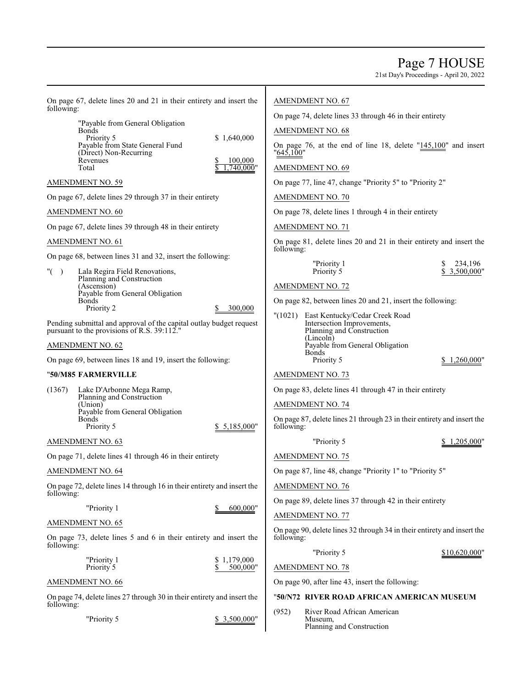Page 7 HOUSE

21st Day's Proceedings - April 20, 2022

| On page 67, delete lines 20 and 21 in their entirety and insert the<br>following:<br>"Payable from General Obligation<br><b>Bonds</b><br>Priority 5<br>\$1,640,000<br>Payable from State General Fund<br>(Direct) Non-Recurring<br>Revenues<br>100,000<br>Total<br>.740.000" | <b>AMENDMENT NO. 67</b><br>On page 74, delete lines 33 through 46 in their entirety<br><b>AMENDMENT NO. 68</b><br>On page 76, at the end of line 18, delete $"145,100"$ and insert<br>"645,100"<br><b>AMENDMENT NO. 69</b> |
|------------------------------------------------------------------------------------------------------------------------------------------------------------------------------------------------------------------------------------------------------------------------------|----------------------------------------------------------------------------------------------------------------------------------------------------------------------------------------------------------------------------|
| <b>AMENDMENT NO. 59</b>                                                                                                                                                                                                                                                      | On page 77, line 47, change "Priority 5" to "Priority 2"                                                                                                                                                                   |
| On page 67, delete lines 29 through 37 in their entirety                                                                                                                                                                                                                     | AMENDMENT NO. 70                                                                                                                                                                                                           |
| <b>AMENDMENT NO. 60</b>                                                                                                                                                                                                                                                      | On page 78, delete lines 1 through 4 in their entirety                                                                                                                                                                     |
| On page 67, delete lines 39 through 48 in their entirety                                                                                                                                                                                                                     | <b>AMENDMENT NO. 71</b>                                                                                                                                                                                                    |
| <b>AMENDMENT NO. 61</b>                                                                                                                                                                                                                                                      | On page 81, delete lines 20 and 21 in their entirety and insert the                                                                                                                                                        |
| On page 68, between lines 31 and 32, insert the following:<br>" $($ )<br>Lala Regira Field Renovations,                                                                                                                                                                      | following:<br>"Priority 1<br>234,196<br>Priority 5<br>\$3,500,000"                                                                                                                                                         |
| Planning and Construction<br>(Ascension)<br>Payable from General Obligation                                                                                                                                                                                                  | <b>AMENDMENT NO. 72</b>                                                                                                                                                                                                    |
| <b>Bonds</b><br>Priority 2<br>300,000                                                                                                                                                                                                                                        | On page 82, between lines 20 and 21, insert the following:                                                                                                                                                                 |
| Pending submittal and approval of the capital outlay budget request<br>pursuant to the provisions of R.S. 39:112."                                                                                                                                                           | "(1021) East Kentucky/Cedar Creek Road<br>Intersection Improvements,<br>Planning and Construction                                                                                                                          |
| <b>AMENDMENT NO. 62</b>                                                                                                                                                                                                                                                      | (Lincoln)<br>Payable from General Obligation                                                                                                                                                                               |
| On page 69, between lines 18 and 19, insert the following:                                                                                                                                                                                                                   | <b>Bonds</b><br>Priority 5<br>\$1,260,000"                                                                                                                                                                                 |
| "50/M85 FARMERVILLE                                                                                                                                                                                                                                                          | <b>AMENDMENT NO. 73</b>                                                                                                                                                                                                    |
| (1367)<br>Lake D'Arbonne Mega Ramp,                                                                                                                                                                                                                                          | On page 83, delete lines 41 through 47 in their entirety                                                                                                                                                                   |
| Planning and Construction<br>(Union)<br>Payable from General Obligation<br>Bonds                                                                                                                                                                                             | <b>AMENDMENT NO. 74</b><br>On page 87, delete lines 21 through 23 in their entirety and insert the                                                                                                                         |
| Priority 5<br>\$5,185,000"                                                                                                                                                                                                                                                   | following:                                                                                                                                                                                                                 |
| <b>AMENDMENT NO. 63</b>                                                                                                                                                                                                                                                      | "Priority 5<br>\$1,205,000"                                                                                                                                                                                                |
| On page 71, delete lines 41 through 46 in their entirety                                                                                                                                                                                                                     | AMENDMENT NO. 75                                                                                                                                                                                                           |
| <b>AMENDMENT NO. 64</b>                                                                                                                                                                                                                                                      | On page 87, line 48, change "Priority 1" to "Priority 5"                                                                                                                                                                   |
| On page 72, delete lines 14 through 16 in their entirety and insert the<br>following:                                                                                                                                                                                        | <b>AMENDMENT NO. 76</b>                                                                                                                                                                                                    |
| "Priority 1<br>600,000"                                                                                                                                                                                                                                                      | On page 89, delete lines 37 through 42 in their entirety                                                                                                                                                                   |
| <b>AMENDMENT NO. 65</b>                                                                                                                                                                                                                                                      | AMENDMENT NO. 77<br>On page 90, delete lines 32 through 34 in their entirety and insert the                                                                                                                                |
| On page 73, delete lines 5 and 6 in their entirety and insert the<br>following:                                                                                                                                                                                              | following:                                                                                                                                                                                                                 |
| "Priority 1<br>1,179,000<br>\$<br>\$<br>Priority 5<br>500,000"                                                                                                                                                                                                               | "Priority 5<br>\$10,620,000"<br><b>AMENDMENT NO. 78</b>                                                                                                                                                                    |
| <b>AMENDMENT NO. 66</b>                                                                                                                                                                                                                                                      | On page 90, after line 43, insert the following:                                                                                                                                                                           |
| On page 74, delete lines 27 through 30 in their entirety and insert the<br>following:                                                                                                                                                                                        | "50/N72 RIVER ROAD AFRICAN AMERICAN MUSEUM                                                                                                                                                                                 |
| "Priority 5<br>\$ 3,500,000"                                                                                                                                                                                                                                                 | (952)<br>River Road African American<br>Museum,<br>Planning and Construction                                                                                                                                               |
|                                                                                                                                                                                                                                                                              |                                                                                                                                                                                                                            |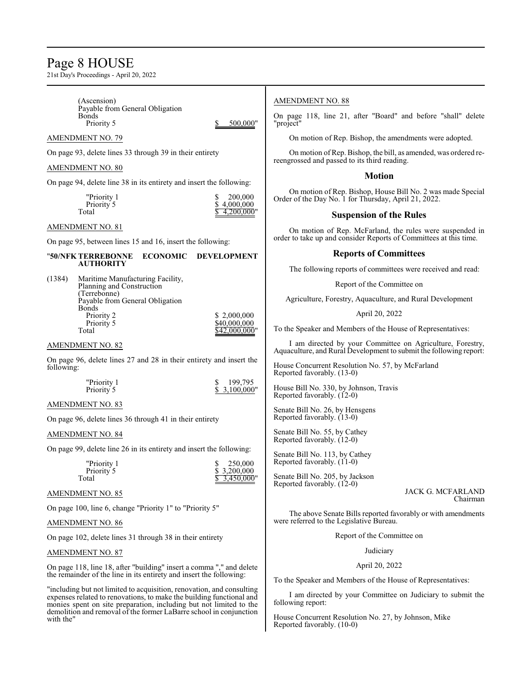# Page 8 HOUSE

21st Day's Proceedings - April 20, 2022

monies spent on site preparation, including but not limited to the demolition and removal of the former LaBarre school in conjunction

with the"

| (Ascension)<br>Payable from General Obligation                                                                                              | <b>AMENDMENT NO. 88</b>                                                                                                       |
|---------------------------------------------------------------------------------------------------------------------------------------------|-------------------------------------------------------------------------------------------------------------------------------|
| <b>Bonds</b><br>500,000"<br>Priority 5                                                                                                      | On page 118, line 21, after "Board" and before "shall" delete<br>"project"                                                    |
| <b>AMENDMENT NO. 79</b>                                                                                                                     | On motion of Rep. Bishop, the amendments were adopted.                                                                        |
| On page 93, delete lines 33 through 39 in their entirety                                                                                    | On motion of Rep. Bishop, the bill, as amended, was ordered re-<br>reengrossed and passed to its third reading.               |
| AMENDMENT NO. 80                                                                                                                            | <b>Motion</b>                                                                                                                 |
| On page 94, delete line 38 in its entirety and insert the following:                                                                        |                                                                                                                               |
| 200,000<br>"Priority 1<br>\$<br>Priority 5<br>4,000,000                                                                                     | On motion of Rep. Bishop, House Bill No. 2 was made Special<br>Order of the Day No. 1 for Thursday, April 21, 2022.           |
| 4.200.000"<br>Total                                                                                                                         | <b>Suspension of the Rules</b>                                                                                                |
| AMENDMENT NO. 81<br>On page 95, between lines 15 and 16, insert the following:                                                              | On motion of Rep. McFarland, the rules were suspended in<br>order to take up and consider Reports of Committees at this time. |
| "50/NFK TERREBONNE<br><b>ECONOMIC</b><br><b>DEVELOPMENT</b>                                                                                 | <b>Reports of Committees</b>                                                                                                  |
| <b>AUTHORITY</b>                                                                                                                            | The following reports of committees were received and read:                                                                   |
| (1384)<br>Maritime Manufacturing Facility,<br>Planning and Construction                                                                     | Report of the Committee on                                                                                                    |
| (Terrebonne)<br>Payable from General Obligation                                                                                             | Agriculture, Forestry, Aquaculture, and Rural Development                                                                     |
| Bonds<br>\$2,000,000<br>Priority 2                                                                                                          | April 20, 2022                                                                                                                |
| Priority 5<br>\$40,000,000<br>Total<br>\$42,000,000"                                                                                        | To the Speaker and Members of the House of Representatives:                                                                   |
| AMENDMENT NO. 82                                                                                                                            | I am directed by your Committee on Agriculture, Forestry,                                                                     |
| On page 96, delete lines 27 and 28 in their entirety and insert the                                                                         | Aquaculture, and Rural Development to submit the following report:                                                            |
| following:                                                                                                                                  | House Concurrent Resolution No. 57, by McFarland<br>Reported favorably. (13-0)                                                |
| 199,795<br>"Priority 1<br>S<br>\$3,100,000"<br>Priority 5                                                                                   | House Bill No. 330, by Johnson, Travis<br>Reported favorably. (12-0)                                                          |
| AMENDMENT NO. 83                                                                                                                            | Senate Bill No. 26, by Hensgens                                                                                               |
| On page 96, delete lines 36 through 41 in their entirety                                                                                    | Reported favorably. (13-0)                                                                                                    |
| AMENDMENT NO. 84                                                                                                                            | Senate Bill No. 55, by Cathey<br>Reported favorably. (12-0)                                                                   |
| On page 99, delete line 26 in its entirety and insert the following:                                                                        | Senate Bill No. 113, by Cathey<br>Reported favorably. (11-0)                                                                  |
| 250,000<br>"Priority 1<br>\$3,200,000<br>Priority 5                                                                                         |                                                                                                                               |
| Total<br>3,450,000"                                                                                                                         | Senate Bill No. 205, by Jackson<br>Reported favorably. (12-0)<br>JACK G. MCFARLAND                                            |
| <b>AMENDMENT NO. 85</b>                                                                                                                     | Chairman                                                                                                                      |
| On page 100, line 6, change "Priority 1" to "Priority 5"                                                                                    | The above Senate Bills reported favorably or with amendments                                                                  |
| <u>AMENDMENT NO. 86</u>                                                                                                                     | were referred to the Legislative Bureau.                                                                                      |
| On page 102, delete lines 31 through 38 in their entirety                                                                                   | Report of the Committee on                                                                                                    |
| AMENDMENT NO. 87                                                                                                                            | Judiciary                                                                                                                     |
| On page 118, line 18, after "building" insert a comma "," and delete<br>the remainder of the line in its entirety and insert the following: | April 20, 2022                                                                                                                |
| "including but not limited to acquisition, renovation, and consulting                                                                       | To the Speaker and Members of the House of Representatives:                                                                   |
| expenses related to renovations, to make the building functional and<br>monies spent on site preparation, including but not limited to the  | I am directed by your Committee on Judiciary to submit the<br>following report:                                               |

House Concurrent Resolution No. 27, by Johnson, Mike Reported favorably. (10-0)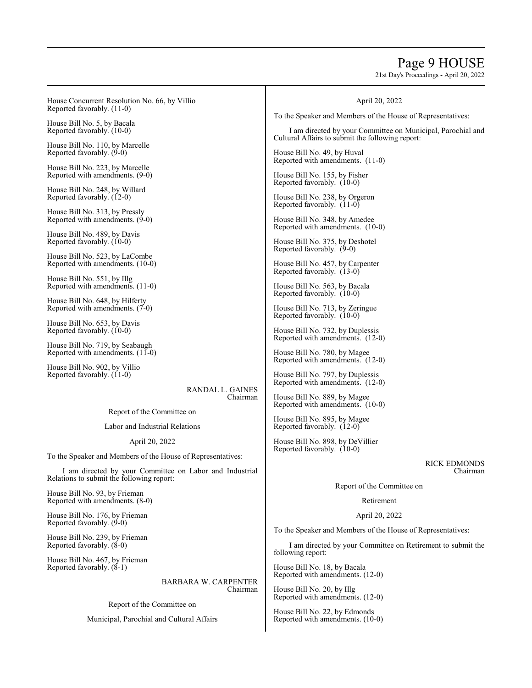# Page 9 HOUSE

21st Day's Proceedings - April 20, 2022

House Concurrent Resolution No. 66, by Villio Reported favorably. (11-0) House Bill No. 5, by Bacala Reported favorably. (10-0) House Bill No. 110, by Marcelle Reported favorably. (9-0) House Bill No. 223, by Marcelle Reported with amendments. (9-0) House Bill No. 248, by Willard Reported favorably. (12-0) House Bill No. 313, by Pressly Reported with amendments.  $(9-0)$ House Bill No. 489, by Davis Reported favorably. (10-0) House Bill No. 523, by LaCombe Reported with amendments. (10-0) House Bill No. 551, by Illg Reported with amendments. (11-0) House Bill No. 648, by Hilferty Reported with amendments. (7-0) House Bill No. 653, by Davis Reported favorably. (10-0) House Bill No. 719, by Seabaugh Reported with amendments.  $(11-0)$ House Bill No. 902, by Villio Reported favorably. (11-0) RANDAL L. GAINES Chairman Report of the Committee on Labor and Industrial Relations April 20, 2022 To the Speaker and Members of the House of Representatives: I am directed by your Committee on Labor and Industrial Relations to submit the following report: House Bill No. 93, by Frieman Reported with amendments. (8-0) House Bill No. 176, by Frieman Reported favorably. (9-0) House Bill No. 239, by Frieman Reported favorably. (8-0) House Bill No. 467, by Frieman Reported favorably. (8-1) BARBARA W. CARPENTER Chairman April 20, 2022 To the Speaker and Members of the House of Representatives: I am directed by your Committee on Municipal, Parochial and Cultural Affairs to submit the following report: House Bill No. 49, by Huval Reported with amendments. (11-0) House Bill No. 155, by Fisher Reported favorably. (10-0) House Bill No. 238, by Orgeron Reported favorably.  $(11-0)$ House Bill No. 348, by Amedee Reported with amendments. (10-0) House Bill No. 375, by Deshotel Reported favorably. (9-0) House Bill No. 457, by Carpenter Reported favorably. (13-0) House Bill No. 563, by Bacala Reported favorably. (10-0) House Bill No. 713, by Zeringue Reported favorably. (10-0) House Bill No. 732, by Duplessis Reported with amendments. (12-0) House Bill No. 780, by Magee Reported with amendments. (12-0) House Bill No. 797, by Duplessis Reported with amendments. (12-0) House Bill No. 889, by Magee Reported with amendments. (10-0) House Bill No. 895, by Magee Reported favorably. (12-0) House Bill No. 898, by DeVillier Reported favorably. (10-0) RICK EDMONDS Chairman Report of the Committee on Retirement April 20, 2022 To the Speaker and Members of the House of Representatives: I am directed by your Committee on Retirement to submit the following report: House Bill No. 18, by Bacala Reported with amendments. (12-0) House Bill No. 20, by Illg Reported with amendments. (12-0)

> House Bill No. 22, by Edmonds Reported with amendments. (10-0)

Report of the Committee on

Municipal, Parochial and Cultural Affairs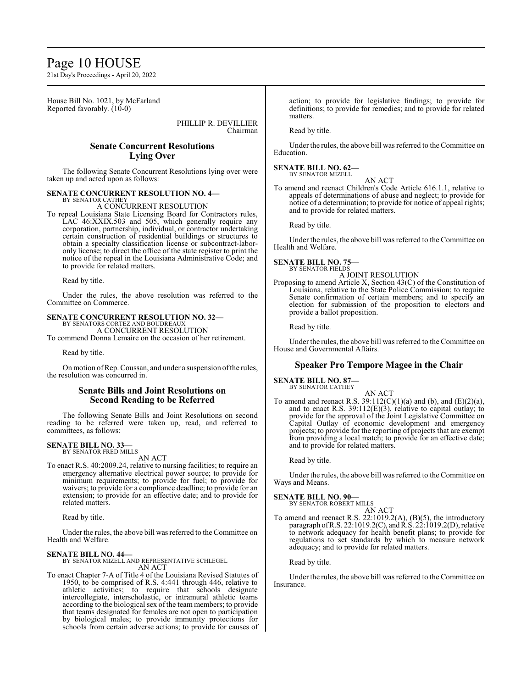# Page 10 HOUSE

21st Day's Proceedings - April 20, 2022

House Bill No. 1021, by McFarland Reported favorably.  $(10-0)$ 

> PHILLIP R. DEVILLIER Chairman

# **Senate Concurrent Resolutions Lying Over**

The following Senate Concurrent Resolutions lying over were taken up and acted upon as follows:

#### **SENATE CONCURRENT RESOLUTION NO. 4—** BY SENATOR CATHEY

A CONCURRENT RESOLUTION

To repeal Louisiana State Licensing Board for Contractors rules, LAC 46:XXIX.503 and 505, which generally require any corporation, partnership, individual, or contractor undertaking certain construction of residential buildings or structures to obtain a specialty classification license or subcontract-laboronly license; to direct the office of the state register to print the notice of the repeal in the Louisiana Administrative Code; and to provide for related matters.

Read by title.

Under the rules, the above resolution was referred to the Committee on Commerce.

**SENATE CONCURRENT RESOLUTION NO. 32—**

BY SENATORS CORTEZ AND BOUDREAU A CONCURRENT RESOLUTION

To commend Donna Lemaire on the occasion of her retirement.

Read by title.

On motion of Rep. Coussan, and under a suspension of the rules, the resolution was concurred in.

# **Senate Bills and Joint Resolutions on Second Reading to be Referred**

The following Senate Bills and Joint Resolutions on second reading to be referred were taken up, read, and referred to committees, as follows:

# **SENATE BILL NO. 33—**

BY SENATOR FRED MILLS AN ACT

To enact R.S. 40:2009.24, relative to nursing facilities; to require an emergency alternative electrical power source; to provide for minimum requirements; to provide for fuel; to provide for waivers; to provide for a compliance deadline; to provide for an extension; to provide for an effective date; and to provide for related matters.

Read by title.

Under the rules, the above bill was referred to the Committee on Health and Welfare.

# **SENATE BILL NO. 44—**

BY SENATOR MIZELL AND REPRESENTATIVE SCHLEGEL AN ACT

To enact Chapter 7-A of Title 4 of the Louisiana Revised Statutes of 1950, to be comprised of R.S. 4:441 through 446, relative to athletic activities; to require that schools designate intercollegiate, interscholastic, or intramural athletic teams according to the biological sex of the team members; to provide that teams designated for females are not open to participation by biological males; to provide immunity protections for schools from certain adverse actions; to provide for causes of action; to provide for legislative findings; to provide for definitions; to provide for remedies; and to provide for related matters.

Read by title.

Under the rules, the above bill was referred to the Committee on Education.

#### **SENATE BILL NO. 62—** BY SENATOR MIZELL

AN ACT

To amend and reenact Children's Code Article 616.1.1, relative to appeals of determinations of abuse and neglect; to provide for notice of a determination; to provide for notice of appeal rights; and to provide for related matters.

Read by title.

Under the rules, the above bill was referred to the Committee on Health and Welfare.

# **SENATE BILL NO. 75—** BY SENATOR FIELDS

A JOINT RESOLUTION

Proposing to amend Article X, Section 43(C) of the Constitution of Louisiana, relative to the State Police Commission; to require Senate confirmation of certain members; and to specify an election for submission of the proposition to electors and provide a ballot proposition.

Read by title.

Under the rules, the above bill was referred to the Committee on House and Governmental Affairs.

# **Speaker Pro Tempore Magee in the Chair**

#### **SENATE BILL NO. 87—** BY SENATOR CATHEY

AN ACT To amend and reenact R.S.  $39:112(C)(1)(a)$  and (b), and (E)(2)(a), and to enact R.S.  $39:112(E)(3)$ , relative to capital outlay; to provide for the approval of the Joint Legislative Committee on Capital Outlay of economic development and emergency projects; to provide for the reporting of projects that are exempt from providing a local match; to provide for an effective date; and to provide for related matters.

Read by title.

Under the rules, the above bill was referred to the Committee on Ways and Means.

# **SENATE BILL NO. 90—**

BY SENATOR ROBERT MILLS

AN ACT To amend and reenact R.S. 22:1019.2(A), (B)(5), the introductory paragraph of R.S. 22:1019.2(C), and R.S. 22:1019.2(D), relative to network adequacy for health benefit plans; to provide for regulations to set standards by which to measure network adequacy; and to provide for related matters.

Read by title.

Under the rules, the above bill was referred to the Committee on Insurance.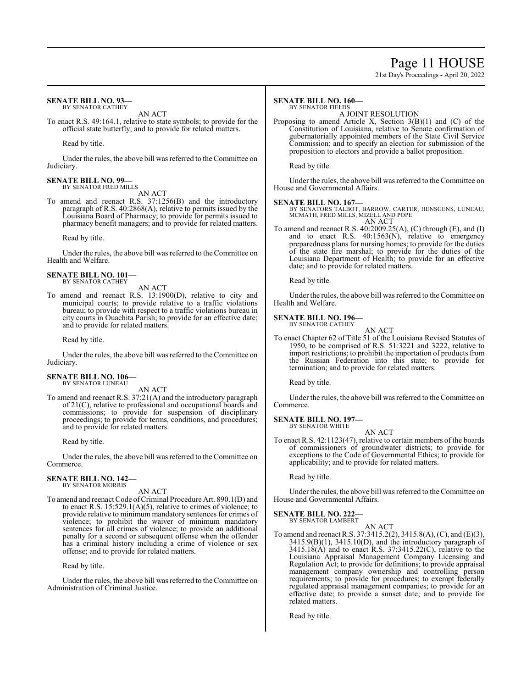# Page 11 HOUSE

21st Day's Proceedings - April 20, 2022

#### **SENATE BILL NO. 93—** BY SENATOR CATHEY

AN ACT

To enact R.S. 49:164.1, relative to state symbols; to provide for the official state butterfly; and to provide for related matters.

Read by title.

Under the rules, the above bill was referred to the Committee on Judiciary.

#### **SENATE BILL NO. 99—** BY SENATOR FRED MILLS

AN ACT

To amend and reenact R.S. 37:1256(B) and the introductory paragraph of R.S. 40:2868(A), relative to permits issued by the Louisiana Board of Pharmacy; to provide for permits issued to pharmacy benefit managers; and to provide for related matters.

Read by title.

Under the rules, the above bill was referred to theCommittee on Health and Welfare.

#### **SENATE BILL NO. 101—** BY SENATOR CATHEY

AN ACT

To amend and reenact R.S. 13:1900(D), relative to city and municipal courts; to provide relative to a traffic violations bureau; to provide with respect to a traffic violations bureau in city courts in Ouachita Parish; to provide for an effective date; and to provide for related matters.

Read by title.

Under the rules, the above bill was referred to the Committee on Judiciary.

#### **SENATE BILL NO. 106—** BY SENATOR LUNEAU

AN ACT

To amend and reenact R.S. 37:21(A) and the introductory paragraph of 21(C), relative to professional and occupational boards and commissions; to provide for suspension of disciplinary proceedings; to provide for terms, conditions, and procedures; and to provide for related matters.

Read by title.

Under the rules, the above bill was referred to the Committee on Commerce.

#### **SENATE BILL NO. 142—** BY SENATOR MORRIS

AN ACT

To amend and reenact Code of Criminal Procedure Art. 890.1(D) and to enact R.S.  $15:529.1(A)(5)$ , relative to crimes of violence; to provide relative to minimum mandatory sentences for crimes of violence; to prohibit the waiver of minimum mandatory sentences for all crimes of violence; to provide an additional penalty for a second or subsequent offense when the offender has a criminal history including a crime of violence or sex offense; and to provide for related matters.

Read by title.

Under the rules, the above bill was referred to theCommittee on Administration of Criminal Justice.

#### **SENATE BILL NO. 160—** BY SENATOR FIELDS

A JOINT RESOLUTION

Proposing to amend Article X, Section  $3(B)(1)$  and  $(C)$  of the Constitution of Louisiana, relative to Senate confirmation of gubernatorially appointed members of the State Civil Service Commission; and to specify an election for submission of the proposition to electors and provide a ballot proposition.

Read by title.

Under the rules, the above bill was referred to the Committee on House and Governmental Affairs.

**SENATE BILL NO. 167—** BY SENATORS TALBOT, BARROW, CARTER, HENSGENS, LUNEAU, MCMATH, FRED MILLS, MIZELL AND POPE AN ACT

To amend and reenact R.S. 40:2009.25(A), (C) through (E), and (I) and to enact R.S. 40:1563(N), relative to emergency preparedness plans for nursing homes; to provide for the duties of the state fire marshal; to provide for the duties of the Louisiana Department of Health; to provide for an effective date; and to provide for related matters.

Read by title.

Under the rules, the above bill was referred to the Committee on Health and Welfare.

#### **SENATE BILL NO. 196—**

BY SENATOR CATHEY AN ACT

To enact Chapter 62 of Title 51 of the Louisiana Revised Statutes of 1950, to be comprised of R.S. 51:3221 and 3222, relative to import restrictions; to prohibit the importation of products from the Russian Federation into this state; to provide for termination; and to provide for related matters.

Read by title.

Under the rules, the above bill was referred to the Committee on Commerce.

#### **SENATE BILL NO. 197—** BY SENATOR WHITE

AN ACT

To enact R.S. 42:1123(47), relative to certain members of the boards of commissioners of groundwater districts; to provide for exceptions to the Code of Governmental Ethics; to provide for applicability; and to provide for related matters.

Read by title.

Under the rules, the above bill was referred to the Committee on House and Governmental Affairs.

# **SENATE BILL NO. 222**

BY SENATOR LAMBERT AN ACT

To amend and reenact R.S. 37:3415.2(2), 3415.8(A), (C), and (E)(3), 3415.9(B)(1), 3415.10(D), and the introductory paragraph of 3415.18(A) and to enact R.S. 37:3415.22(C), relative to the Louisiana Appraisal Management Company Licensing and Regulation Act; to provide for definitions; to provide appraisal management company ownership and controlling person requirements; to provide for procedures; to exempt federally regulated appraisal management companies; to provide for an effective date; to provide a sunset date; and to provide for related matters.

Read by title.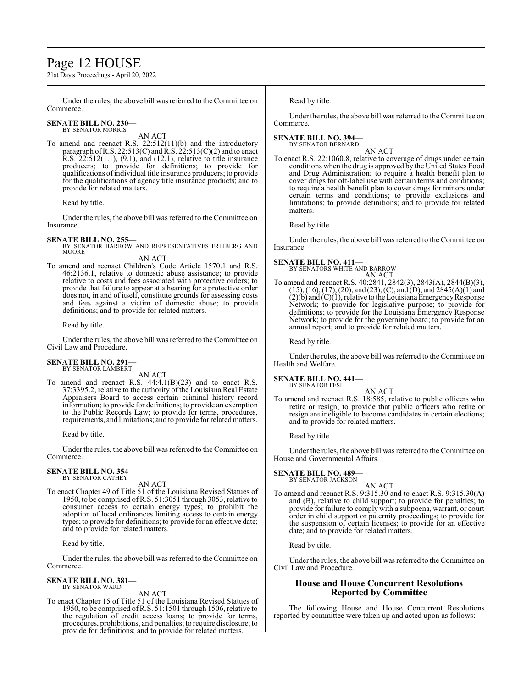# Page 12 HOUSE

21st Day's Proceedings - April 20, 2022

Under the rules, the above bill was referred to the Committee on Commerce.

#### **SENATE BILL NO. 230—** BY SENATOR MORRIS

AN ACT

To amend and reenact R.S. 22:512(11)(b) and the introductory paragraph of R.S. 22:513(C) and R.S. 22:513(C)(2) and to enact R.S. 22:512(1.1), (9.1), and (12.1), relative to title insurance producers; to provide for definitions; to provide for qualifications ofindividual title insurance producers; to provide for the qualifications of agency title insurance products; and to provide for related matters.

Read by title.

Under the rules, the above bill was referred to the Committee on Insurance.

**SENATE BILL NO. 255—** BY SENATOR BARROW AND REPRESENTATIVES FREIBERG AND MOORE

AN ACT

To amend and reenact Children's Code Article 1570.1 and R.S. 46:2136.1, relative to domestic abuse assistance; to provide relative to costs and fees associated with protective orders; to provide that failure to appear at a hearing for a protective order does not, in and of itself, constitute grounds for assessing costs and fees against a victim of domestic abuse; to provide definitions; and to provide for related matters.

Read by title.

Under the rules, the above bill was referred to theCommittee on Civil Law and Procedure.

#### **SENATE BILL NO. 291—** BY SENATOR LAMBERT

AN ACT

To amend and reenact R.S. 44:4.1(B)(23) and to enact R.S. 37:3395.2, relative to the authority of the Louisiana Real Estate Appraisers Board to access certain criminal history record information; to provide for definitions; to provide an exemption to the Public Records Law; to provide for terms, procedures, requirements, and limitations; and to provide for related matters.

Read by title.

Under the rules, the above bill was referred to the Committee on Commerce.

#### **SENATE BILL NO. 354—** BY SENATOR CATHEY

AN ACT

To enact Chapter 49 of Title 51 of the Louisiana Revised Statues of 1950, to be comprised ofR.S. 51:3051 through 3053, relative to consumer access to certain energy types; to prohibit the adoption of local ordinances limiting access to certain energy types; to provide for definitions; to provide for an effective date; and to provide for related matters.

Read by title.

Under the rules, the above bill was referred to the Committee on Commerce.

#### **SENATE BILL NO. 381—** BY SENATOR WARD

AN ACT

To enact Chapter 15 of Title 51 of the Louisiana Revised Statues of 1950, to be comprised ofR.S. 51:1501 through 1506, relative to the regulation of credit access loans; to provide for terms, procedures, prohibitions, and penalties; to require disclosure; to provide for definitions; and to provide for related matters.

Read by title.

Under the rules, the above bill was referred to the Committee on Commerce.

# **SENATE BILL NO. 394—** BY SENATOR BERNARD

AN ACT

To enact R.S. 22:1060.8, relative to coverage of drugs under certain conditions when the drug is approved by the United States Food and Drug Administration; to require a health benefit plan to cover drugs for off-label use with certain terms and conditions; to require a health benefit plan to cover drugs for minors under certain terms and conditions; to provide exclusions and limitations; to provide definitions; and to provide for related matters.

Read by title.

Under the rules, the above bill was referred to the Committee on Insurance.

**SENATE BILL NO. 411—** BY SENATORS WHITE AND BARROW AN ACT

To amend and reenact R.S. 40:2841, 2842(3), 2843(A), 2844(B)(3), (15), (16), (17), (20), and (23), (C), and (D), and 2845(A)(1) and  $(2)(b)$  and  $(C)(1)$ , relative to the Louisiana Emergency Response Network; to provide for legislative purpose; to provide for definitions; to provide for the Louisiana Emergency Response Network; to provide for the governing board; to provide for an annual report; and to provide for related matters.

Read by title.

Under the rules, the above bill was referred to the Committee on Health and Welfare.

#### **SENATE BILL NO. 441—** BY SENATOR FESI

AN ACT

To amend and reenact R.S. 18:585, relative to public officers who retire or resign; to provide that public officers who retire or resign are ineligible to become candidates in certain elections; and to provide for related matters.

Read by title.

Under the rules, the above bill was referred to the Committee on House and Governmental Affairs.

**SENATE BILL NO. 489—** BY SENATOR JACKSON

# AN ACT

To amend and reenact R.S. 9:315.30 and to enact R.S. 9:315.30(A) and (B), relative to child support; to provide for penalties; to provide for failure to comply with a subpoena, warrant, or court order in child support or paternity proceedings; to provide for the suspension of certain licenses; to provide for an effective date; and to provide for related matters.

Read by title.

Under the rules, the above bill was referred to the Committee on Civil Law and Procedure.

# **House and House Concurrent Resolutions Reported by Committee**

The following House and House Concurrent Resolutions reported by committee were taken up and acted upon as follows: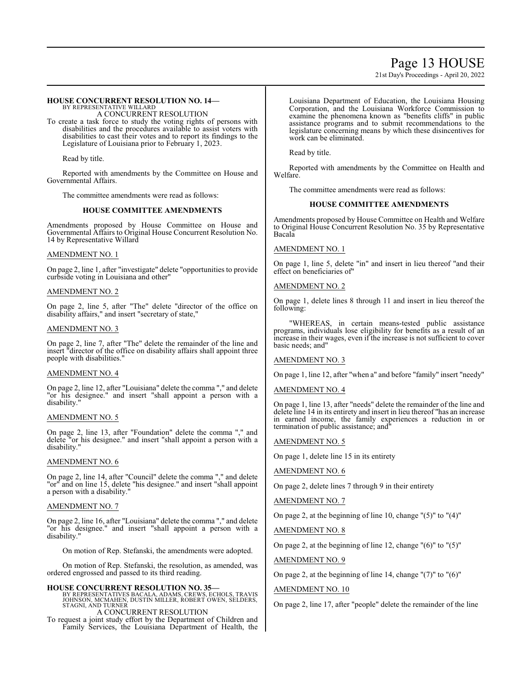# Page 13 HOUSE

21st Day's Proceedings - April 20, 2022

#### **HOUSE CONCURRENT RESOLUTION NO. 14—** BY REPRESENTATIVE WILLARD

A CONCURRENT RESOLUTION

To create a task force to study the voting rights of persons with disabilities and the procedures available to assist voters with disabilities to cast their votes and to report its findings to the Legislature of Louisiana prior to February 1, 2023.

Read by title.

Reported with amendments by the Committee on House and Governmental Affairs.

The committee amendments were read as follows:

### **HOUSE COMMITTEE AMENDMENTS**

Amendments proposed by House Committee on House and Governmental Affairs to Original House Concurrent Resolution No. 14 by Representative Willard

### AMENDMENT NO. 1

On page 2, line 1, after "investigate" delete "opportunities to provide curbside voting in Louisiana and other"

#### AMENDMENT NO. 2

On page 2, line 5, after "The" delete "director of the office on disability affairs," and insert "secretary of state,"

### AMENDMENT NO. 3

On page 2, line 7, after "The" delete the remainder of the line and insert "director of the office on disability affairs shall appoint three people with disabilities."

# AMENDMENT NO. 4

On page 2, line 12, after "Louisiana" delete the comma "," and delete "or his designee." and insert "shall appoint a person with a disability."

# AMENDMENT NO. 5

On page 2, line 13, after "Foundation" delete the comma "," and delete "or his designee." and insert "shall appoint a person with a disability."

# AMENDMENT NO. 6

On page 2, line 14, after "Council" delete the comma "," and delete "or" and on line 15, delete "his designee." and insert "shall appoint a person with a disability."

#### AMENDMENT NO. 7

On page 2, line 16, after "Louisiana" delete the comma "," and delete "or his designee." and insert "shall appoint a person with a disability."

On motion of Rep. Stefanski, the amendments were adopted.

On motion of Rep. Stefanski, the resolution, as amended, was ordered engrossed and passed to its third reading.

**HOUSE CONCURRENT RESOLUTION NO. 35—**<br>BY REPRESENTATIVES BACALA, ADAMS, CREWS, ECHOLS, TRAVIS<br>JOHNSON, MCMAHEN, DUSTIN MILLER, ROBERT OWEN, SELDERS,<br>STAGNI, AND TURNER

A CONCURRENT RESOLUTION

To request a joint study effort by the Department of Children and Family Services, the Louisiana Department of Health, the Louisiana Department of Education, the Louisiana Housing Corporation, and the Louisiana Workforce Commission to examine the phenomena known as "benefits cliffs" in public assistance programs and to submit recommendations to the legislature concerning means by which these disincentives for work can be eliminated.

Read by title.

Reported with amendments by the Committee on Health and Welfare.

The committee amendments were read as follows:

# **HOUSE COMMITTEE AMENDMENTS**

Amendments proposed by House Committee on Health and Welfare to Original House Concurrent Resolution No. 35 by Representative Bacala

### AMENDMENT NO. 1

On page 1, line 5, delete "in" and insert in lieu thereof "and their effect on beneficiaries of"

#### AMENDMENT NO. 2

On page 1, delete lines 8 through 11 and insert in lieu thereof the following:

"WHEREAS, in certain means-tested public assistance programs, individuals lose eligibility for benefits as a result of an increase in their wages, even if the increase is not sufficient to cover basic needs; and"

#### AMENDMENT NO. 3

On page 1, line 12, after "when a" and before "family" insert "needy"

#### AMENDMENT NO. 4

On page 1, line 13, after "needs" delete the remainder of the line and delete line 14 in its entirety and insert in lieu thereof "has an increase in earned income, the family experiences a reduction in or termination of public assistance; and"

#### AMENDMENT NO. 5

On page 1, delete line 15 in its entirety

#### AMENDMENT NO. 6

On page 2, delete lines 7 through 9 in their entirety

### AMENDMENT NO. 7

On page 2, at the beginning of line 10, change "(5)" to "(4)"

AMENDMENT NO. 8

On page 2, at the beginning of line 12, change  $"(6)"$  to  $"(5)"$ 

AMENDMENT NO. 9

On page 2, at the beginning of line 14, change  $"(7)"$  to  $"(6)"$ 

# AMENDMENT NO. 10

On page 2, line 17, after "people" delete the remainder of the line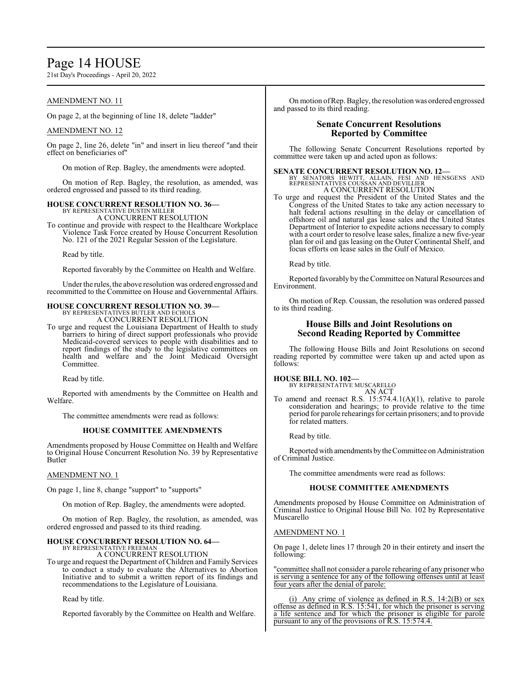# Page 14 HOUSE

21st Day's Proceedings - April 20, 2022

# AMENDMENT NO. 11

On page 2, at the beginning of line 18, delete "ladder"

# AMENDMENT NO. 12

On page 2, line 26, delete "in" and insert in lieu thereof "and their effect on beneficiaries of"

On motion of Rep. Bagley, the amendments were adopted.

On motion of Rep. Bagley, the resolution, as amended, was ordered engrossed and passed to its third reading.

# **HOUSE CONCURRENT RESOLUTION NO. 36—** BY REPRESENTATIVE DUSTIN MILLER

A CONCURRENT RESOLUTION To continue and provide with respect to the Healthcare Workplace Violence Task Force created by House Concurrent Resolution No. 121 of the 2021 Regular Session of the Legislature.

Read by title.

Reported favorably by the Committee on Health and Welfare.

Under the rules, the above resolution was ordered engrossed and recommitted to the Committee on House and Governmental Affairs.

### **HOUSE CONCURRENT RESOLUTION NO. 39—**

BY REPRESENTATIVES BUTLER AND ECHOLS A CONCURRENT RESOLUTION

To urge and request the Louisiana Department of Health to study barriers to hiring of direct support professionals who provide Medicaid-covered services to people with disabilities and to report findings of the study to the legislative committees on health and welfare and the Joint Medicaid Oversight Committee.

Read by title.

Reported with amendments by the Committee on Health and Welfare.

The committee amendments were read as follows:

# **HOUSE COMMITTEE AMENDMENTS**

Amendments proposed by House Committee on Health and Welfare to Original House Concurrent Resolution No. 39 by Representative Butler

#### AMENDMENT NO. 1

On page 1, line 8, change "support" to "supports"

On motion of Rep. Bagley, the amendments were adopted.

On motion of Rep. Bagley, the resolution, as amended, was ordered engrossed and passed to its third reading.

#### **HOUSE CONCURRENT RESOLUTION NO. 64—** BY REPRESENTATIVE FREEMAN

A CONCURRENT RESOLUTION

To urge and request the Department ofChildren and Family Services to conduct a study to evaluate the Alternatives to Abortion Initiative and to submit a written report of its findings and recommendations to the Legislature of Louisiana.

Read by title.

Reported favorably by the Committee on Health and Welfare.

On motion ofRep. Bagley, the resolution was ordered engrossed and passed to its third reading.

# **Senate Concurrent Resolutions Reported by Committee**

The following Senate Concurrent Resolutions reported by committee were taken up and acted upon as follows:

# **SENATE CONCURRENT RESOLUTION NO. 12—**<br>BY SENATORS HEWITT, ALLAIN, FESI AND HENSGENS AND REPRESENTATIVES COUSSAN AND DEVILLIER A CONCURRENT RESOLUTION

To urge and request the President of the United States and the Congress of the United States to take any action necessary to halt federal actions resulting in the delay or cancellation of offshore oil and natural gas lease sales and the United States Department of Interior to expedite actions necessary to comply with a court order to resolve lease sales, finalize a new five-year plan for oil and gas leasing on the Outer Continental Shelf, and focus efforts on lease sales in the Gulf of Mexico.

Read by title.

Reported favorably by the Committee on Natural Resources and Environment.

On motion of Rep. Coussan, the resolution was ordered passed to its third reading.

# **House Bills and Joint Resolutions on Second Reading Reported by Committee**

The following House Bills and Joint Resolutions on second reading reported by committee were taken up and acted upon as follows:

**HOUSE BILL NO. 102—**

BY REPRESENTATIVE MUSCARELLO AN ACT

To amend and reenact R.S. 15:574.4.1(A)(1), relative to parole consideration and hearings; to provide relative to the time period for parole rehearings for certain prisoners; and to provide for related matters.

Read by title.

Reported with amendments bytheCommittee on Administration of Criminal Justice.

The committee amendments were read as follows:

# **HOUSE COMMITTEE AMENDMENTS**

Amendments proposed by House Committee on Administration of Criminal Justice to Original House Bill No. 102 by Representative Muscarello

#### AMENDMENT NO. 1

On page 1, delete lines 17 through 20 in their entirety and insert the following:

"committee shall not consider a parole rehearing of any prisoner who is serving a sentence for any of the following offenses until at least four years after the denial of parole:

(i) Any crime of violence as defined in R.S. 14:2(B) or sex offense as defined in R.S. 15:541, for which the prisoner is serving a life sentence and for which the prisoner is eligible for parole pursuant to any of the provisions of R.S. 15:574.4.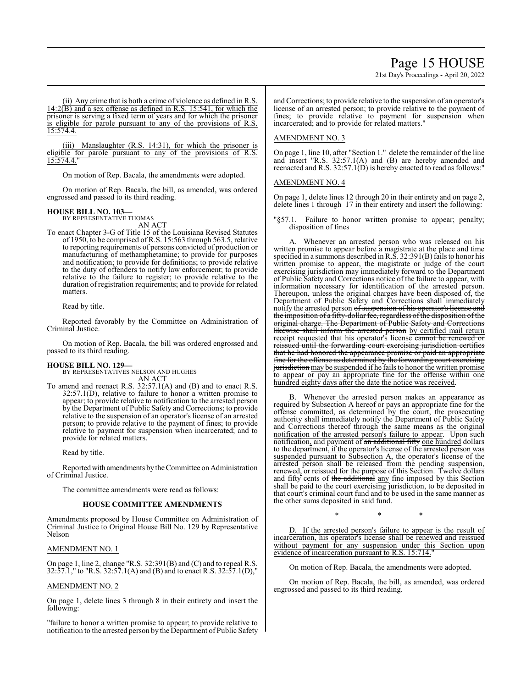# Page 15 HOUSE

21st Day's Proceedings - April 20, 2022

(ii) Any crime that is both a crime of violence as defined in R.S.  $14:2(\overline{B})$  and a sex offense as defined in R.S. 15:541, for which the prisoner is serving a fixed term of years and for which the prisoner is eligible for parole pursuant to any of the provisions of R.S. 15:574.4.

(iii) Manslaughter (R.S. 14:31), for which the prisoner is eligible for parole pursuant to any of the provisions of R.S. 15:574.4."

On motion of Rep. Bacala, the amendments were adopted.

On motion of Rep. Bacala, the bill, as amended, was ordered engrossed and passed to its third reading.

### **HOUSE BILL NO. 103—**

BY REPRESENTATIVE THOMAS AN ACT

To enact Chapter 3-G of Title 15 of the Louisiana Revised Statutes of 1950, to be comprised of R.S. 15:563 through 563.5, relative to reporting requirements of persons convicted of production or manufacturing of methamphetamine; to provide for purposes and notification; to provide for definitions; to provide relative to the duty of offenders to notify law enforcement; to provide relative to the failure to register; to provide relative to the duration of registration requirements; and to provide for related matters.

Read by title.

Reported favorably by the Committee on Administration of Criminal Justice.

On motion of Rep. Bacala, the bill was ordered engrossed and passed to its third reading.

#### **HOUSE BILL NO. 129—**

BY REPRESENTATIVES NELSON AND HUGHES AN ACT

To amend and reenact R.S. 32:57.1(A) and (B) and to enact R.S. 32:57.1(D), relative to failure to honor a written promise to appear; to provide relative to notification to the arrested person by the Department of Public Safety and Corrections; to provide relative to the suspension of an operator's license of an arrested person; to provide relative to the payment of fines; to provide relative to payment for suspension when incarcerated; and to provide for related matters.

Read by title.

Reportedwith amendments by the Committee on Administration of Criminal Justice.

The committee amendments were read as follows:

#### **HOUSE COMMITTEE AMENDMENTS**

Amendments proposed by House Committee on Administration of Criminal Justice to Original House Bill No. 129 by Representative Nelson

#### AMENDMENT NO. 1

On page 1, line 2, change "R.S. 32:391(B) and (C) and to repeal R.S. 32:57.1," to "R.S. 32:57.1(A) and (B) and to enact R.S. 32:57.1(D),"

#### AMENDMENT NO. 2

On page 1, delete lines 3 through 8 in their entirety and insert the following:

"failure to honor a written promise to appear; to provide relative to notification to the arrested person by the Department of Public Safety andCorrections; to provide relative to the suspension of an operator's license of an arrested person; to provide relative to the payment of fines; to provide relative to payment for suspension when incarcerated; and to provide for related matters."

#### AMENDMENT NO. 3

On page 1, line 10, after "Section 1." delete the remainder of the line and insert "R.S. 32:57.1(A) and (B) are hereby amended and reenacted and R.S. 32:57.1(D) is hereby enacted to read as follows:"

#### AMENDMENT NO. 4

On page 1, delete lines 12 through 20 in their entirety and on page 2, delete lines 1 through 17 in their entirety and insert the following:

"§57.1. Failure to honor written promise to appear; penalty; disposition of fines

A. Whenever an arrested person who was released on his written promise to appear before a magistrate at the place and time specified in a summons described in R.S. 32:391(B) fails to honor his written promise to appear, the magistrate or judge of the court exercising jurisdiction may immediately forward to the Department of Public Safety and Corrections notice of the failure to appear, with information necessary for identification of the arrested person. Thereupon, unless the original charges have been disposed of, the Department of Public Safety and Corrections shall immediately notify the arrested person of suspension of his operator's license and the imposition of a fifty-dollar fee, regardless of the disposition of the original charge. The Department of Public Safety and Corrections shall inform the arrested person by certified mail return receipt requested that his operator's license cannot be renewed or reissued until the forwarding court exercising jurisdiction certifies that he had honored the appearance promise or paid an appropriate fine for the offense as determined by the forwarding court exercising jurisdiction may be suspended if he fails to honor the written promise to appear or pay an appropriate fine for the offense within one hundred eighty days after the date the notice was received.

B. Whenever the arrested person makes an appearance as required by Subsection A hereof or pays an appropriate fine for the offense committed, as determined by the court, the prosecuting authority shall immediately notify the Department of Public Safety and Corrections thereof through the same means as the original notification of the arrested person's failure to appear. Upon such notification, and payment of an additional fifty one hundred dollars to the department, if the operator's license of the arrested person was suspended pursuant to Subsection A, the operator's license of the arrested person shall be released from the pending suspension, renewed, or reissued for the purpose of this Section. Twelve dollars and fifty cents of the additional any fine imposed by this Section shall be paid to the court exercising jurisdiction, to be deposited in that court's criminal court fund and to be used in the same manner as the other sums deposited in said fund.

D. If the arrested person's failure to appear is the result of incarceration, his operator's license shall be renewed and reissued without payment for any suspension under this Section upon evidence of incarceration pursuant to R.S. 15:714."

\* \* \*

On motion of Rep. Bacala, the amendments were adopted.

On motion of Rep. Bacala, the bill, as amended, was ordered engrossed and passed to its third reading.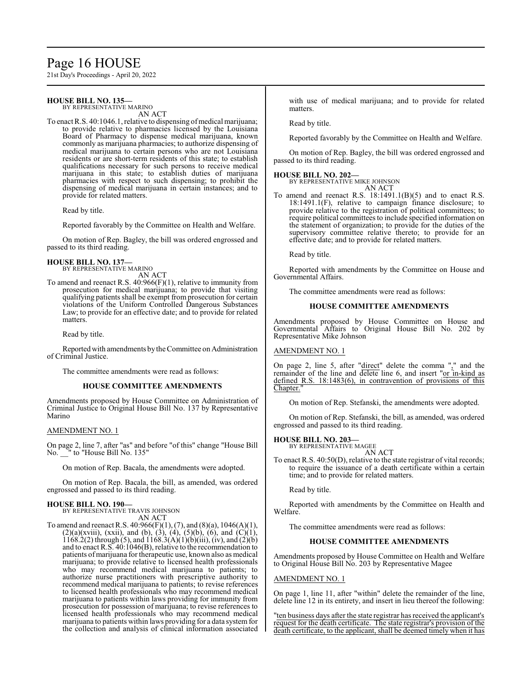# Page 16 HOUSE

21st Day's Proceedings - April 20, 2022

#### **HOUSE BILL NO. 135—** BY REPRESENTATIVE MARINO

AN ACT

To enact R.S. 40:1046.1, relative to dispensing of medical marijuana; to provide relative to pharmacies licensed by the Louisiana Board of Pharmacy to dispense medical marijuana, known commonly as marijuana pharmacies; to authorize dispensing of medical marijuana to certain persons who are not Louisiana residents or are short-term residents of this state; to establish qualifications necessary for such persons to receive medical marijuana in this state; to establish duties of marijuana pharmacies with respect to such dispensing; to prohibit the dispensing of medical marijuana in certain instances; and to provide for related matters.

Read by title.

Reported favorably by the Committee on Health and Welfare.

On motion of Rep. Bagley, the bill was ordered engrossed and passed to its third reading.

# **HOUSE BILL NO. 137—** BY REPRESENTATIVE MARINO

AN ACT

To amend and reenact R.S. 40:966(F)(1), relative to immunity from prosecution for medical marijuana; to provide that visiting qualifying patients shall be exempt from prosecution for certain violations of the Uniform Controlled Dangerous Substances Law; to provide for an effective date; and to provide for related matters.

Read by title.

Reported with amendments by the Committee on Administration of Criminal Justice.

The committee amendments were read as follows:

#### **HOUSE COMMITTEE AMENDMENTS**

Amendments proposed by House Committee on Administration of Criminal Justice to Original House Bill No. 137 by Representative Marino

#### AMENDMENT NO. 1

On page 2, line 7, after "as" and before "of this" change "House Bill No. \_\_" to "House Bill No. 135"

On motion of Rep. Bacala, the amendments were adopted.

On motion of Rep. Bacala, the bill, as amended, was ordered engrossed and passed to its third reading.

#### **HOUSE BILL NO. 190—**

BY REPRESENTATIVE TRAVIS JOHNSON AN ACT

To amend and reenact R.S.  $40:966(F)(1)$ ,  $(7)$ , and  $(8)(a)$ ,  $1046(A)(1)$ ,  $(2)(a)(xviii)$ ,  $(xxii)$ , and  $(b)$ ,  $(3)$ ,  $(4)$ ,  $(5)(b)$ ,  $(6)$ , and  $(C)(1)$ , 1168.2(2) through (5), and 1168.3(A)(1)(b)(iii), (iv), and (2)(b) and to enact R.S. 40:1046(B), relative to the recommendation to patients of marijuana for therapeutic use, known also as medical marijuana; to provide relative to licensed health professionals who may recommend medical marijuana to patients; to authorize nurse practitioners with prescriptive authority to recommend medical marijuana to patients; to revise references to licensed health professionals who may recommend medical marijuana to patients within laws providing for immunity from prosecution for possession of marijuana; to revise references to licensed health professionals who may recommend medical marijuana to patients within laws providing for a data system for the collection and analysis of clinical information associated

with use of medical marijuana; and to provide for related matters.

Read by title.

Reported favorably by the Committee on Health and Welfare.

On motion of Rep. Bagley, the bill was ordered engrossed and passed to its third reading.

**HOUSE BILL NO. 202—** BY REPRESENTATIVE MIKE JOHNSON AN ACT

To amend and reenact R.S. 18:1491.1(B)(5) and to enact R.S. 18:1491.1(F), relative to campaign finance disclosure; to provide relative to the registration of political committees; to require political committees to include specified information on the statement of organization; to provide for the duties of the supervisory committee relative thereto; to provide for an effective date; and to provide for related matters.

Read by title.

Reported with amendments by the Committee on House and Governmental Affairs.

The committee amendments were read as follows:

#### **HOUSE COMMITTEE AMENDMENTS**

Amendments proposed by House Committee on House and Governmental Affairs to Original House Bill No. 202 by Representative Mike Johnson

#### AMENDMENT NO. 1

On page 2, line 5, after "direct" delete the comma "," and the remainder of the line and delete line 6, and insert "or in-kind as defined R.S. 18:1483(6), in contravention of provisions of this Chapter.

On motion of Rep. Stefanski, the amendments were adopted.

On motion of Rep. Stefanski, the bill, as amended, was ordered engrossed and passed to its third reading.

# **HOUSE BILL NO. 203—**

BY REPRESENTATIVE MAGEE AN ACT

To enact R.S. 40:50(D), relative to the state registrar of vital records; to require the issuance of a death certificate within a certain time; and to provide for related matters.

Read by title.

Reported with amendments by the Committee on Health and Welfare.

The committee amendments were read as follows:

#### **HOUSE COMMITTEE AMENDMENTS**

Amendments proposed by House Committee on Health and Welfare to Original House Bill No. 203 by Representative Magee

#### AMENDMENT NO. 1

On page 1, line 11, after "within" delete the remainder of the line, delete line 12 in its entirety, and insert in lieu thereof the following:

"ten business days after the state registrar has received the applicant's request for the death certificate. The state registrar's provision of the death certificate, to the applicant, shall be deemed timely when it has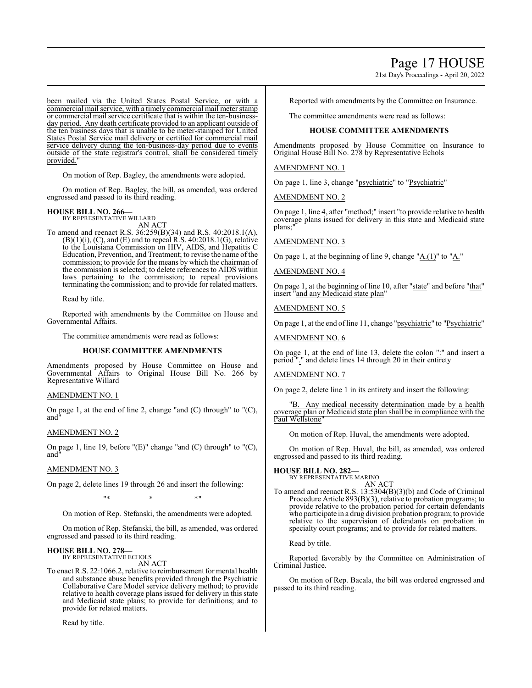# Page 17 HOUSE

21st Day's Proceedings - April 20, 2022

been mailed via the United States Postal Service, or with a commercial mail service, with a timely commercial mail meter stamp or commercial mail service certificate that is within the ten-businessday period. Any death certificate provided to an applicant outside of the ten business days that is unable to be meter-stamped for United States Postal Service mail delivery or certified for commercial mail service delivery during the ten-business-day period due to events outside of the state registrar's control, shall be considered timely provided.

On motion of Rep. Bagley, the amendments were adopted.

On motion of Rep. Bagley, the bill, as amended, was ordered engrossed and passed to its third reading.

# **HOUSE BILL NO. 266—**

BY REPRESENTATIVE WILLARD AN ACT

To amend and reenact R.S. 36:259(B)(34) and R.S. 40:2018.1(A),  $(B)(1)(i)$ ,  $(C)$ , and  $(E)$  and to repeal R.S. 40:2018.1 $(G)$ , relative to the Louisiana Commission on HIV, AIDS, and Hepatitis C Education, Prevention, and Treatment; to revise the name of the commission; to provide for the means by which the chairman of the commission is selected; to delete references to AIDS within laws pertaining to the commission; to repeal provisions terminating the commission; and to provide for related matters.

Read by title.

Reported with amendments by the Committee on House and Governmental Affairs.

The committee amendments were read as follows:

#### **HOUSE COMMITTEE AMENDMENTS**

Amendments proposed by House Committee on House and Governmental Affairs to Original House Bill No. 266 by Representative Willard

#### AMENDMENT NO. 1

On page 1, at the end of line 2, change "and (C) through" to "(C), and"

#### AMENDMENT NO. 2

On page 1, line 19, before "(E)" change "and (C) through" to "(C), and"

#### AMENDMENT NO. 3

On page 2, delete lines 19 through 26 and insert the following:

"\* \* \*"

On motion of Rep. Stefanski, the amendments were adopted.

On motion of Rep. Stefanski, the bill, as amended, was ordered engrossed and passed to its third reading.

#### **HOUSE BILL NO. 278—** BY REPRESENTATIVE ECHOLS

AN ACT

To enact R.S. 22:1066.2, relative to reimbursement for mental health and substance abuse benefits provided through the Psychiatric Collaborative Care Model service delivery method; to provide relative to health coverage plans issued for delivery in this state and Medicaid state plans; to provide for definitions; and to provide for related matters.

Read by title.

Reported with amendments by the Committee on Insurance.

The committee amendments were read as follows:

#### **HOUSE COMMITTEE AMENDMENTS**

Amendments proposed by House Committee on Insurance to Original House Bill No. 278 by Representative Echols

#### AMENDMENT NO. 1

On page 1, line 3, change "psychiatric" to "Psychiatric"

AMENDMENT NO. 2

On page 1, line 4, after "method;" insert "to provide relative to health coverage plans issued for delivery in this state and Medicaid state plans:

### AMENDMENT NO. 3

On page 1, at the beginning of line 9, change " $A.(1)$ " to " $A.'$ "

## AMENDMENT NO. 4

On page 1, at the beginning of line 10, after "state" and before "that" insert "and any Medicaid state plan"

#### AMENDMENT NO. 5

On page 1, at the end ofline 11, change "psychiatric" to "Psychiatric"

#### AMENDMENT NO. 6

On page 1, at the end of line 13, delete the colon ":" and insert a period "." and delete lines 14 through 20 in their entirety

#### AMENDMENT NO. 7

On page 2, delete line 1 in its entirety and insert the following:

"B. Any medical necessity determination made by a health coverage plan or Medicaid state plan shall be in compliance with the Paul Wellstone"

On motion of Rep. Huval, the amendments were adopted.

On motion of Rep. Huval, the bill, as amended, was ordered engrossed and passed to its third reading.

# **HOUSE BILL NO. 282—** BY REPRESENTATIVE MARINO

AN ACT

To amend and reenact R.S. 13:5304(B)(3)(b) and Code of Criminal Procedure Article 893(B)(3), relative to probation programs; to provide relative to the probation period for certain defendants who participate in a drug division probation program; to provide relative to the supervision of defendants on probation in specialty court programs; and to provide for related matters.

Read by title.

Reported favorably by the Committee on Administration of Criminal Justice.

On motion of Rep. Bacala, the bill was ordered engrossed and passed to its third reading.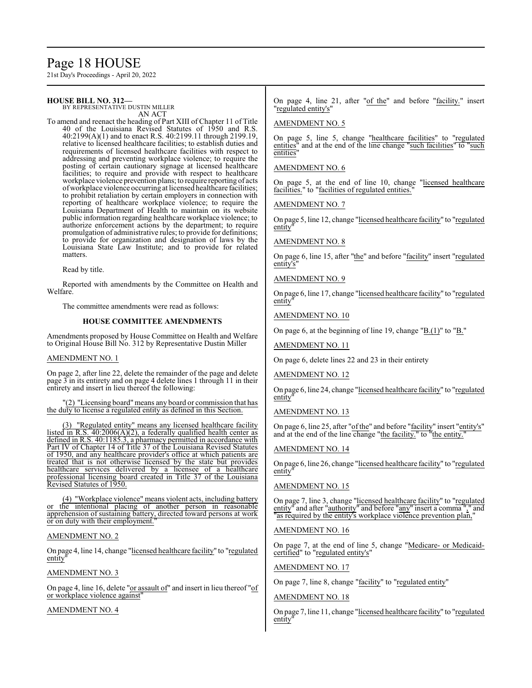# Page 18 HOUSE

21st Day's Proceedings - April 20, 2022

# **HOUSE BILL NO. 312—**

BY REPRESENTATIVE DUSTIN MILLER AN ACT

To amend and reenact the heading of Part XIII of Chapter 11 of Title 40 of the Louisiana Revised Statutes of 1950 and R.S. 40:2199(A)(1) and to enact R.S. 40:2199.11 through 2199.19, relative to licensed healthcare facilities; to establish duties and requirements of licensed healthcare facilities with respect to addressing and preventing workplace violence; to require the posting of certain cautionary signage at licensed healthcare facilities; to require and provide with respect to healthcare workplace violence prevention plans; to require reporting of acts ofworkplace violence occurring at licensed healthcare facilities; to prohibit retaliation by certain employers in connection with reporting of healthcare workplace violence; to require the Louisiana Department of Health to maintain on its website public information regarding healthcare workplace violence; to authorize enforcement actions by the department; to require promulgation of administrative rules; to provide for definitions; to provide for organization and designation of laws by the Louisiana State Law Institute; and to provide for related matters.

Read by title.

Reported with amendments by the Committee on Health and Welfare.

The committee amendments were read as follows:

# **HOUSE COMMITTEE AMENDMENTS**

Amendments proposed by House Committee on Health and Welfare to Original House Bill No. 312 by Representative Dustin Miller

#### AMENDMENT NO. 1

On page 2, after line 22, delete the remainder of the page and delete page 3 in its entirety and on page 4 delete lines 1 through 11 in their entirety and insert in lieu thereof the following:

(2) "Licensing board" means any board or commission that has the duty to license a regulated entity as defined in this Section.

(3) "Regulated entity" means any licensed healthcare facility listed in R.S.  $40:2006(A)(2)$ , a federally qualified health center as defined in R.S. 40:1185.3, a pharmacy permitted in accordance with Part IV of Chapter 14 of Title 37 of the Louisiana Revised Statutes of 1950, and any healthcare provider's office at which patients are treated that is not otherwise licensed by the state but provides healthcare services delivered by a licensee of a healthcare professional licensing board created in Title 37 of the Louisiana Revised Statutes of 1950.

(4) "Workplace violence" means violent acts, including battery or the intentional placing of another person in reasonable apprehension of sustaining battery, directed toward persons at work or on duty with their employment.

#### AMENDMENT NO. 2

On page 4, line 14, change "licensed healthcare facility" to "regulated entity"

#### AMENDMENT NO. 3

On page 4, line 16, delete "or assault of" and insert in lieu thereof "of or workplace violence against"

AMENDMENT NO. 4

On page 4, line 21, after "of the" and before "facility." insert regulated entity's"

#### AMENDMENT NO. 5

On page 5, line 5, change "healthcare facilities" to "regulated entities" and at the end of the line change "such facilities" to "such entities'

# AMENDMENT NO. 6

On page 5, at the end of line 10, change "licensed healthcare facilities." to "facilities of regulated entities."

#### AMENDMENT NO. 7

On page 5, line 12, change "licensed healthcare facility" to "regulated entity

# AMENDMENT NO. 8

On page 6, line 15, after "the" and before "facility" insert "regulated entity's

#### AMENDMENT NO. 9

On page 6, line 17, change "licensed healthcare facility" to "regulated entity

# AMENDMENT NO. 10

On page 6, at the beginning of line 19, change "B.(1)" to "B."

#### AMENDMENT NO. 11

On page 6, delete lines 22 and 23 in their entirety

#### AMENDMENT NO. 12

On page 6, line 24, change "licensed healthcare facility" to "regulated entity

### AMENDMENT NO. 13

On page 6, line 25, after "of the" and before "facility" insert "entity's" and at the end of the line change "the facility." to "the entity."

#### AMENDMENT NO. 14

On page 6, line 26, change "licensed healthcare facility" to "regulated entity

# AMENDMENT NO. 15

On page 7, line 3, change "licensed healthcare facility" to "regulated entity" and after "authority" and before "any" insert a comma "," and <u>Entity</u> and after <u>additionly</u> and before any insert a commander as required by the entity's workplace violence prevention plan,

#### AMENDMENT NO. 16

On page 7, at the end of line 5, change "Medicare- or Medicaidcertified" to "regulated entity's"

#### AMENDMENT NO. 17

On page 7, line 8, change "facility" to "regulated entity"

### AMENDMENT NO. 18

On page 7, line 11, change "licensed healthcare facility" to "regulated entity"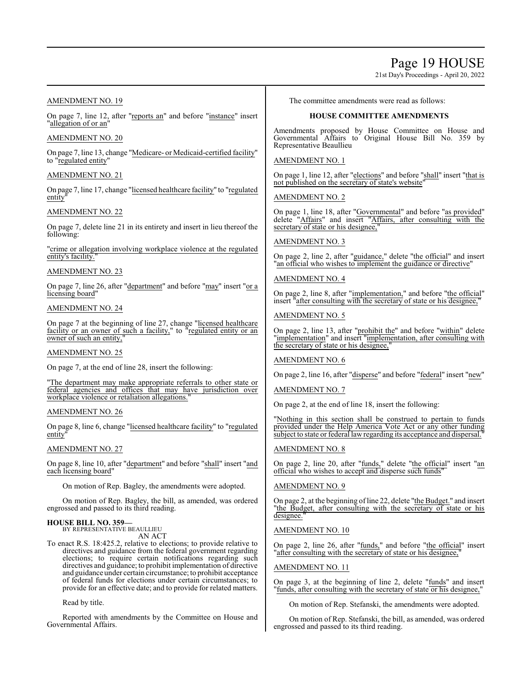# Page 19 HOUSE

21st Day's Proceedings - April 20, 2022

# AMENDMENT NO. 19

On page 7, line 12, after "reports an" and before "instance" insert "allegation of or an"

### AMENDMENT NO. 20

On page 7, line 13, change "Medicare- or Medicaid-certified facility" to "regulated entity"

## AMENDMENT NO. 21

On page 7, line 17, change "licensed healthcare facility" to "regulated entity"

# AMENDMENT NO. 22

On page 7, delete line 21 in its entirety and insert in lieu thereof the following:

"crime or allegation involving workplace violence at the regulated entity's facility.

# AMENDMENT NO. 23

On page 7, line 26, after "department" and before "may" insert "or a licensing board"

### AMENDMENT NO. 24

On page 7 at the beginning of line 27, change "licensed healthcare facility or an owner of such a facility," to "regulated entity or an owner of such an entity,

#### AMENDMENT NO. 25

On page 7, at the end of line 28, insert the following:

"The department may make appropriate referrals to other state or federal agencies and offices that may have jurisdiction over workplace violence or retaliation allegations."

#### AMENDMENT NO. 26

On page 8, line 6, change "licensed healthcare facility" to "regulated entity"

#### AMENDMENT NO. 27

On page 8, line 10, after "department" and before "shall" insert "and each licensing board"

On motion of Rep. Bagley, the amendments were adopted.

On motion of Rep. Bagley, the bill, as amended, was ordered engrossed and passed to its third reading.

#### **HOUSE BILL NO. 359—**

BY REPRESENTATIVE BEAULLIEU AN ACT

To enact R.S. 18:425.2, relative to elections; to provide relative to directives and guidance from the federal government regarding elections; to require certain notifications regarding such directives and guidance; to prohibit implementation of directive and guidance under certain circumstance; to prohibit acceptance of federal funds for elections under certain circumstances; to provide for an effective date; and to provide for related matters.

Read by title.

Reported with amendments by the Committee on House and Governmental Affairs.

The committee amendments were read as follows:

# **HOUSE COMMITTEE AMENDMENTS**

Amendments proposed by House Committee on House and Governmental Affairs to Original House Bill No. 359 by Representative Beaullieu

# AMENDMENT NO. 1

On page 1, line 12, after "elections" and before "shall" insert "that is not published on the secretary of state's website

### AMENDMENT NO. 2

On page 1, line 18, after "Governmental" and before "as provided" delete "Affairs" and insert "Affairs, after consulting with the secretary of state or his designee,"

# AMENDMENT NO. 3

On page 2, line 2, after "guidance," delete "the official" and insert "an official who wishes to implement the guidance or directive"

### AMENDMENT NO. 4

On page 2, line 8, after "implementation," and before "the official" insert "after consulting with the secretary of state or his designee,"

# AMENDMENT NO. 5

On page 2, line 13, after "prohibit the" and before "within" delete "implementation" and insert "implementation, after consulting with the secretary of state or his designee,"

#### AMENDMENT NO. 6

On page 2, line 16, after "disperse" and before "federal" insert "new"

#### AMENDMENT NO. 7

On page 2, at the end of line 18, insert the following:

"Nothing in this section shall be construed to pertain to funds provided under the Help America Vote Act or any other funding subject to state or federal lawregarding its acceptance and dispersal."

# AMENDMENT NO. 8

On page 2, line 20, after "funds," delete "the official" insert "an official who wishes to accept and disperse such funds"

# AMENDMENT NO. 9

On page 2, at the beginning of line 22, delete "the Budget." and insert "the Budget, after consulting with the secretary of state or his designee."

# AMENDMENT NO. 10

On page 2, line 26, after "funds," and before "the official" insert "after consulting with the secretary of state or his designee,"

#### AMENDMENT NO. 11

On page 3, at the beginning of line 2, delete "funds" and insert "funds, after consulting with the secretary of state or his designee,"

On motion of Rep. Stefanski, the amendments were adopted.

On motion of Rep. Stefanski, the bill, as amended, was ordered engrossed and passed to its third reading.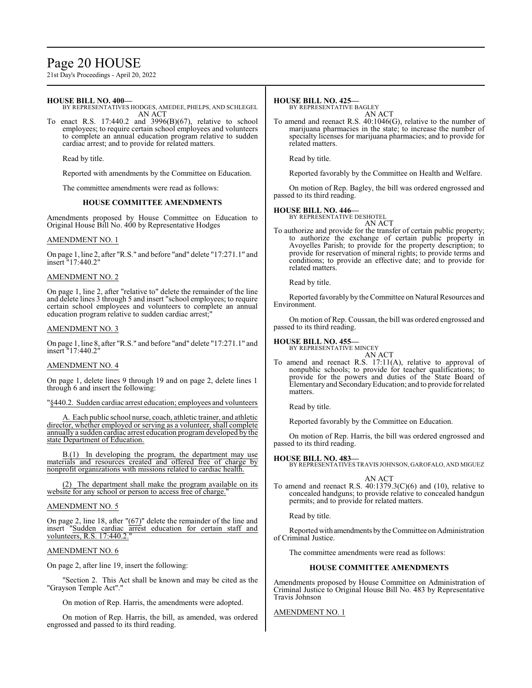# Page 20 HOUSE

21st Day's Proceedings - April 20, 2022

# **HOUSE BILL NO. 400—**

BY REPRESENTATIVES HODGES, AMEDEE, PHELPS, AND SCHLEGEL AN ACT

To enact R.S. 17:440.2 and 3996(B)(67), relative to school employees; to require certain school employees and volunteers to complete an annual education program relative to sudden cardiac arrest; and to provide for related matters.

Read by title.

Reported with amendments by the Committee on Education.

The committee amendments were read as follows:

#### **HOUSE COMMITTEE AMENDMENTS**

Amendments proposed by House Committee on Education to Original House Bill No. 400 by Representative Hodges

#### AMENDMENT NO. 1

On page 1, line 2, after "R.S." and before "and" delete "17:271.1" and insert "17:440.2"

#### AMENDMENT NO. 2

On page 1, line 2, after "relative to" delete the remainder of the line and delete lines 3 through 5 and insert "school employees; to require certain school employees and volunteers to complete an annual education program relative to sudden cardiac arrest;"

#### AMENDMENT NO. 3

On page 1, line 8, after "R.S." and before "and" delete "17:271.1" and insert "17:440.2"

#### AMENDMENT NO. 4

On page 1, delete lines 9 through 19 and on page 2, delete lines 1 through 6 and insert the following:

"§440.2. Sudden cardiac arrest education; employees and volunteers

A. Each public school nurse, coach, athletic trainer, and athletic director, whether employed or serving as a volunteer, shall complete annually a sudden cardiac arrest education programdeveloped by the state Department of Education.

B.(1) In developing the program, the department may use materials and resources created and offered free of charge by nonprofit organizations with missions related to cardiac health.

(2) The department shall make the program available on its website for any school or person to access free of charge."

#### AMENDMENT NO. 5

On page 2, line 18, after  $" (67)"$  delete the remainder of the line and insert "Sudden cardiac arrest education for certain staff and volunteers, R.S. 17:440.2.

#### AMENDMENT NO. 6

On page 2, after line 19, insert the following:

"Section 2. This Act shall be known and may be cited as the "Grayson Temple Act"."

On motion of Rep. Harris, the amendments were adopted.

On motion of Rep. Harris, the bill, as amended, was ordered engrossed and passed to its third reading.

#### **HOUSE BILL NO. 425—**

BY REPRESENTATIVE BAGLEY AN ACT

To amend and reenact R.S. 40:1046(G), relative to the number of marijuana pharmacies in the state; to increase the number of specialty licenses for marijuana pharmacies; and to provide for related matters.

Read by title.

Reported favorably by the Committee on Health and Welfare.

On motion of Rep. Bagley, the bill was ordered engrossed and passed to its third reading.

# **HOUSE BILL NO. 446—** BY REPRESENTATIVE DESHOTEL

AN ACT

To authorize and provide for the transfer of certain public property; to authorize the exchange of certain public property in Avoyelles Parish; to provide for the property description; to provide for reservation of mineral rights; to provide terms and conditions; to provide an effective date; and to provide for related matters.

Read by title.

Reported favorably by the Committee on Natural Resources and Environment.

On motion of Rep. Coussan, the bill was ordered engrossed and passed to its third reading.

#### **HOUSE BILL NO. 455—**

BY REPRESENTATIVE MINCEY AN ACT

To amend and reenact R.S. 17:11(A), relative to approval of nonpublic schools; to provide for teacher qualifications; to provide for the powers and duties of the State Board of Elementaryand SecondaryEducation; and to provide for related matters.

Read by title.

Reported favorably by the Committee on Education.

On motion of Rep. Harris, the bill was ordered engrossed and passed to its third reading.

**HOUSE BILL NO. 483—**

BY REPRESENTATIVES TRAVIS JOHNSON, GAROFALO, AND MIGUEZ

- AN ACT
- To amend and reenact R.S.  $40:1379.3(C)(6)$  and  $(10)$ , relative to concealed handguns; to provide relative to concealed handgun permits; and to provide for related matters.

Read by title.

Reported with amendments bythe Committee on Administration of Criminal Justice.

The committee amendments were read as follows:

#### **HOUSE COMMITTEE AMENDMENTS**

Amendments proposed by House Committee on Administration of Criminal Justice to Original House Bill No. 483 by Representative Travis Johnson

AMENDMENT NO. 1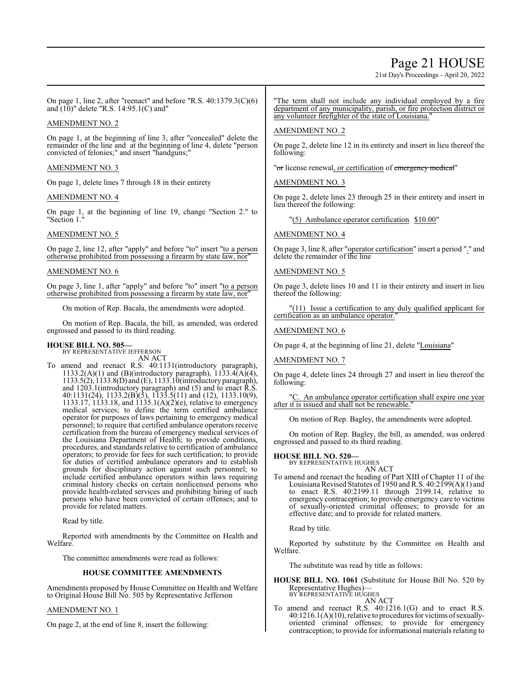# Page 21 HOUSE

21st Day's Proceedings - April 20, 2022

On page 1, line 2, after "reenact" and before "R.S. 40:1379.3(C)(6) and (10)" delete "R.S. 14:95.1(C) and"

# AMENDMENT NO. 2

On page 1, at the beginning of line 3, after "concealed" delete the remainder of the line and at the beginning of line 4, delete "person convicted of felonies;" and insert "handguns;"

# AMENDMENT NO. 3

On page 1, delete lines 7 through 18 in their entirety

# AMENDMENT NO. 4

On page 1, at the beginning of line 19, change "Section 2." to "Section 1."

# AMENDMENT NO. 5

On page 2, line 12, after "apply" and before "to" insert "to a person otherwise prohibited from possessing a firearm by state law, nor"

# AMENDMENT NO. 6

On page 3, line 1, after "apply" and before "to" insert "to a person otherwise prohibited from possessing a firearm by state law, nor"

On motion of Rep. Bacala, the amendments were adopted.

On motion of Rep. Bacala, the bill, as amended, was ordered engrossed and passed to its third reading.

# **HOUSE BILL NO. 505—**

BY REPRESENTATIVE JEFFERSON AN ACT

To amend and reenact R.S. 40:1131(introductory paragraph), 1133.2(A)(1) and (B)(introductory paragraph),  $1133.4(A)(4)$ , 1133.5(2), 1133.8(D) and (E), 1133.10(introductory paragraph), and 1203.1(introductory paragraph) and (5) and to enact R.S. 40:1131(24), 1133.2(B)(5), 1133.5(11) and (12), 1133.10(9), 1133.17, 1133.18, and 1135.1(A)(2)(e), relative to emergency medical services; to define the term certified ambulance operator for purposes of laws pertaining to emergency medical personnel; to require that certified ambulance operators receive certification from the bureau of emergency medical services of the Louisiana Department of Health; to provide conditions, procedures, and standards relative to certification of ambulance operators; to provide for fees for such certification; to provide for duties of certified ambulance operators and to establish grounds for disciplinary action against such personnel; to include certified ambulance operators within laws requiring criminal history checks on certain nonlicensed persons who provide health-related services and prohibiting hiring of such persons who have been convicted of certain offenses; and to provide for related matters.

Read by title.

Reported with amendments by the Committee on Health and Welfare.

The committee amendments were read as follows:

#### **HOUSE COMMITTEE AMENDMENTS**

Amendments proposed by House Committee on Health and Welfare to Original House Bill No. 505 by Representative Jefferson

#### AMENDMENT NO. 1

On page 2, at the end of line 8, insert the following:

"The term shall not include any individual employed by a fire department of any municipality, parish, or fire protection district or any volunteer firefighter of the state of Louisiana."

### AMENDMENT NO. 2

On page 2, delete line 12 in its entirety and insert in lieu thereof the following:

"or license renewal, or certification of emergency medical"

# AMENDMENT NO. 3

On page 2, delete lines 23 through 25 in their entirety and insert in lieu thereof the following:

"(5) Ambulance operator certification \$10.00"

# AMENDMENT NO. 4

On page 3, line 8, after "operator certification" insert a period "." and delete the remainder of the line

# AMENDMENT NO. 5

On page 3, delete lines 10 and 11 in their entirety and insert in lieu thereof the following:

 $(11)$  Issue a certification to any duly qualified applicant for certification as an ambulance operator.

# AMENDMENT NO. 6

On page 4, at the beginning of line 21, delete "Louisiana"

#### AMENDMENT NO. 7

On page 4, delete lines 24 through 27 and insert in lieu thereof the following:

"C. An ambulance operator certification shall expire one year after it is issued and shall not be renewable.

On motion of Rep. Bagley, the amendments were adopted.

On motion of Rep. Bagley, the bill, as amended, was ordered engrossed and passed to its third reading.

# **HOUSE BILL NO. 520—**

BY REPRESENTATIVE HUGHES AN ACT

To amend and reenact the heading of Part XIII of Chapter 11 of the Louisiana Revised Statutes of 1950 andR.S. 40:2199(A)(1) and to enact R.S. 40:2199.11 through 2199.14, relative to emergency contraception; to provide emergency care to victims of sexually-oriented criminal offenses; to provide for an effective date; and to provide for related matters.

Read by title.

Reported by substitute by the Committee on Health and Welfare.

The substitute was read by title as follows:

**HOUSE BILL NO. 1061** (Substitute for House Bill No. 520 by Representative Hughes)— BY REPRESENTATIVE HUGHES

AN ACT

To amend and reenact R.S. 40:1216.1(G) and to enact R.S. 40:1216.1(A)(10), relative to procedures for victims ofsexuallyoriented criminal offenses; to provide for emergency contraception; to provide for informational materials relating to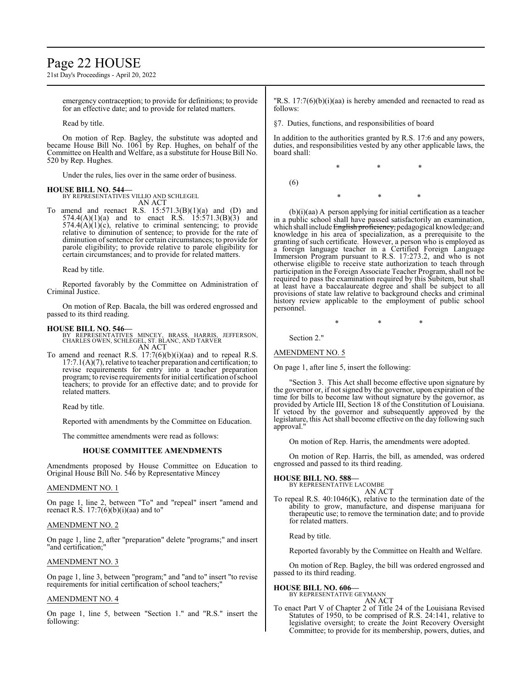# Page 22 HOUSE

21st Day's Proceedings - April 20, 2022

emergency contraception; to provide for definitions; to provide for an effective date; and to provide for related matters.

Read by title.

On motion of Rep. Bagley, the substitute was adopted and became House Bill No. 1061 by Rep. Hughes, on behalf of the Committee on Health and Welfare, as a substitute for House Bill No. 520 by Rep. Hughes.

Under the rules, lies over in the same order of business.

#### **HOUSE BILL NO. 544—**

BY REPRESENTATIVES VILLIO AND SCHLEGEL AN ACT

To amend and reenact R.S.  $15:571.3(B)(1)(a)$  and  $(D)$  and  $574.4(A)(1)(a)$  and to enact R.S.  $15:571.3(B)(3)$  and  $574.4(A)(1)(c)$ , relative to criminal sentencing; to provide relative to diminution of sentence; to provide for the rate of diminution of sentence for certain circumstances; to provide for parole eligibility; to provide relative to parole eligibility for certain circumstances; and to provide for related matters.

Read by title.

Reported favorably by the Committee on Administration of Criminal Justice.

On motion of Rep. Bacala, the bill was ordered engrossed and passed to its third reading.

#### **HOUSE BILL NO. 546—**

BY REPRESENTATIVES MINCEY, BRASS, HARRIS, JEFFERSON, CHARLES OWEN, SCHLEGEL, ST. BLANC, AND TARVER AN ACT

To amend and reenact R.S. 17:7(6)(b)(i)(aa) and to repeal R.S. 17:7.1(A)(7), relative to teacher preparation and certification; to revise requirements for entry into a teacher preparation program; to revise requirements for initial certification ofschool teachers; to provide for an effective date; and to provide for related matters.

Read by title.

Reported with amendments by the Committee on Education.

The committee amendments were read as follows:

#### **HOUSE COMMITTEE AMENDMENTS**

Amendments proposed by House Committee on Education to Original House Bill No. 546 by Representative Mincey

### AMENDMENT NO. 1

On page 1, line 2, between "To" and "repeal" insert "amend and reenact R.S.  $17:7(6)(b)(i)(aa)$  and to"

#### AMENDMENT NO. 2

On page 1, line 2, after "preparation" delete "programs;" and insert "and certification;"

# AMENDMENT NO. 3

On page 1, line 3, between "program;" and "and to" insert "to revise requirements for initial certification of school teachers;"

# AMENDMENT NO. 4

On page 1, line 5, between "Section 1." and "R.S." insert the following:

"R.S. 17:7(6)(b)(i)(aa) is hereby amended and reenacted to read as follows:

§7. Duties, functions, and responsibilities of board

In addition to the authorities granted by R.S. 17:6 and any powers, duties, and responsibilities vested by any other applicable laws, the board shall:

\* \* \*

(6)

\* \* \*

(b)(i)(aa) A person applying for initial certification as a teacher in a public school shall have passed satisfactorily an examination, which shall include English proficiency, pedagogical knowledge, and knowledge in his area of specialization, as a prerequisite to the granting of such certificate. However, a person who is employed as a foreign language teacher in a Certified Foreign Language Immersion Program pursuant to R.S. 17:273.2, and who is not otherwise eligible to receive state authorization to teach through participation in the Foreign Associate Teacher Program, shall not be required to pass the examination required by this Subitem, but shall at least have a baccalaureate degree and shall be subject to all provisions of state law relative to background checks and criminal history review applicable to the employment of public school personnel.

\* \* \*

Section 2."

AMENDMENT NO. 5

On page 1, after line 5, insert the following:

"Section 3. This Act shall become effective upon signature by the governor or, if not signed by the governor, upon expiration of the time for bills to become law without signature by the governor, as provided by Article III, Section 18 of the Constitution of Louisiana. If vetoed by the governor and subsequently approved by the legislature, this Act shall become effective on the day following such approval."

On motion of Rep. Harris, the amendments were adopted.

On motion of Rep. Harris, the bill, as amended, was ordered engrossed and passed to its third reading.

**HOUSE BILL NO. 588—**

BY REPRESENTATIVE LACOMBE AN ACT

To repeal R.S. 40:1046(K), relative to the termination date of the ability to grow, manufacture, and dispense marijuana for therapeutic use; to remove the termination date; and to provide for related matters.

Read by title.

Reported favorably by the Committee on Health and Welfare.

On motion of Rep. Bagley, the bill was ordered engrossed and passed to its third reading.

#### **HOUSE BILL NO. 606—**

BY REPRESENTATIVE GEYMANN AN ACT

To enact Part V of Chapter 2 of Title 24 of the Louisiana Revised Statutes of 1950, to be comprised of R.S. 24:141, relative to legislative oversight; to create the Joint Recovery Oversight Committee; to provide for its membership, powers, duties, and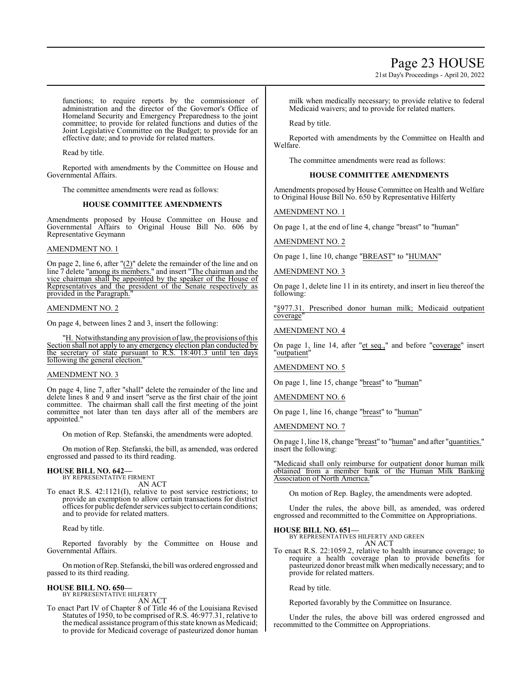# Page 23 HOUSE

21st Day's Proceedings - April 20, 2022

functions; to require reports by the commissioner of administration and the director of the Governor's Office of Homeland Security and Emergency Preparedness to the joint committee; to provide for related functions and duties of the Joint Legislative Committee on the Budget; to provide for an effective date; and to provide for related matters.

Read by title.

Reported with amendments by the Committee on House and Governmental Affairs.

The committee amendments were read as follows:

# **HOUSE COMMITTEE AMENDMENTS**

Amendments proposed by House Committee on House and Governmental Affairs to Original House Bill No. 606 by Representative Geymann

#### AMENDMENT NO. 1

On page 2, line 6, after "(2)" delete the remainder of the line and on line 7 delete "among its members." and insert "The chairman and the vice chairman shall be appointed by the speaker of the House of Representatives and the president of the Senate respectively as provided in the Paragraph.

#### AMENDMENT NO. 2

On page 4, between lines 2 and 3, insert the following:

"H. Notwithstanding any provision of law, the provisions of this Section shall not apply to any emergency election plan conducted by the secretary of state pursuant to R.S. 18:401.3 until ten days following the general election."

#### AMENDMENT NO. 3

On page 4, line 7, after "shall" delete the remainder of the line and delete lines 8 and 9 and insert "serve as the first chair of the joint committee. The chairman shall call the first meeting of the joint committee not later than ten days after all of the members are appointed."

On motion of Rep. Stefanski, the amendments were adopted.

On motion of Rep. Stefanski, the bill, as amended, was ordered engrossed and passed to its third reading.

# **HOUSE BILL NO. 642—** BY REPRESENTATIVE FIRMENT

AN ACT

To enact R.S. 42:1121(I), relative to post service restrictions; to provide an exemption to allow certain transactions for district offices for public defender services subject to certain conditions; and to provide for related matters.

Read by title.

Reported favorably by the Committee on House and Governmental Affairs.

On motion ofRep. Stefanski, the bill was ordered engrossed and passed to its third reading.

# **HOUSE BILL NO. 650—**

BY REPRESENTATIVE HILFERTY AN ACT

To enact Part IV of Chapter 8 of Title 46 of the Louisiana Revised Statutes of 1950, to be comprised of R.S. 46:977.31, relative to the medical assistance programofthis state known as Medicaid; to provide for Medicaid coverage of pasteurized donor human milk when medically necessary; to provide relative to federal Medicaid waivers; and to provide for related matters.

Read by title.

Reported with amendments by the Committee on Health and Welfare.

The committee amendments were read as follows:

# **HOUSE COMMITTEE AMENDMENTS**

Amendments proposed by House Committee on Health and Welfare to Original House Bill No. 650 by Representative Hilferty

AMENDMENT NO. 1

On page 1, at the end of line 4, change "breast" to "human"

AMENDMENT NO. 2

On page 1, line 10, change "BREAST" to "HUMAN"

# AMENDMENT NO. 3

On page 1, delete line 11 in its entirety, and insert in lieu thereof the following:

"§977.31. Prescribed donor human milk; Medicaid outpatient coverage"

#### AMENDMENT NO. 4

On page 1, line 14, after "et seq.," and before "coverage" insert "outpatient"

AMENDMENT NO. 5

On page 1, line 15, change "breast" to "human"

AMENDMENT NO. 6

On page 1, line 16, change "breast" to "human"

AMENDMENT NO. 7

On page 1, line 18, change "breast" to "human" and after "quantities." insert the following:

"Medicaid shall only reimburse for outpatient donor human milk obtained from a member bank of the Human Milk Banking Association of North America."

On motion of Rep. Bagley, the amendments were adopted.

Under the rules, the above bill, as amended, was ordered engrossed and recommitted to the Committee on Appropriations.

**HOUSE BILL NO. 651—**

BY REPRESENTATIVES HILFERTY AND GREEN AN ACT

To enact R.S. 22:1059.2, relative to health insurance coverage; to require a health coverage plan to provide benefits for pasteurized donor breast milk when medically necessary; and to provide for related matters.

Read by title.

Reported favorably by the Committee on Insurance.

Under the rules, the above bill was ordered engrossed and recommitted to the Committee on Appropriations.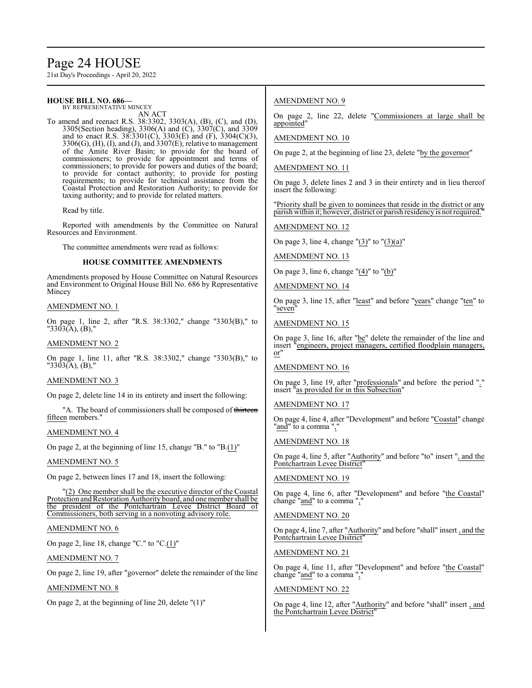# Page 24 HOUSE

21st Day's Proceedings - April 20, 2022

#### **HOUSE BILL NO. 686—** BY REPRESENTATIVE MINCEY

AN ACT

To amend and reenact R.S. 38:3302, 3303(A), (B), (C), and (D), 3305(Section heading), 3306(A) and (C), 3307(C), and 3309 and to enact R.S. 38:3301(C), 3303(E) and (F), 3304(C)(3),  $3306(G)$ ,  $(H)$ ,  $(I)$ , and  $(J)$ , and  $3307(E)$ , relative to management of the Amite River Basin; to provide for the board of commissioners; to provide for appointment and terms of commissioners; to provide for powers and duties of the board; to provide for contact authority; to provide for posting requirements; to provide for technical assistance from the Coastal Protection and Restoration Authority; to provide for taxing authority; and to provide for related matters.

Read by title.

Reported with amendments by the Committee on Natural Resources and Environment.

The committee amendments were read as follows:

### **HOUSE COMMITTEE AMENDMENTS**

Amendments proposed by House Committee on Natural Resources and Environment to Original House Bill No. 686 by Representative Mincey

### AMENDMENT NO. 1

On page 1, line 2, after "R.S. 38:3302," change "3303(B)," to "3303(A), (B),"

AMENDMENT NO. 2

On page 1, line 11, after "R.S. 38:3302," change "3303(B)," to "3303(A), (B),"

# AMENDMENT NO. 3

On page 2, delete line 14 in its entirety and insert the following:

"A. The board of commissioners shall be composed of thirteen fifteen members."

#### AMENDMENT NO. 4

On page 2, at the beginning of line 15, change "B." to "B.(1)"

#### AMENDMENT NO. 5

On page 2, between lines 17 and 18, insert the following:

"(2) One member shall be the executive director of the Coastal Protection and Restoration Authority board, and one member shall be the president of the Pontchartrain Levee District Board of Commissioners, both serving in a nonvoting advisory role.

# AMENDMENT NO. 6

On page 2, line 18, change "C." to "C.(1)"

AMENDMENT NO. 7

On page 2, line 19, after "governor" delete the remainder of the line

AMENDMENT NO. 8

On page 2, at the beginning of line 20, delete "(1)"

# AMENDMENT NO. 9

On page 2, line 22, delete "Commissioners at large shall be appointed"

### AMENDMENT NO. 10

On page 2, at the beginning of line 23, delete "by the governor"

### AMENDMENT NO. 11

On page 3, delete lines 2 and 3 in their entirety and in lieu thereof insert the following:

"Priority shall be given to nominees that reside in the district or any parish within it; however, district or parish residency is not required."

#### AMENDMENT NO. 12

On page 3, line 4, change " $(3)$ " to " $(3)(a)$ "

### AMENDMENT NO. 13

On page 3, line 6, change " $(4)$ " to " $(b)$ "

AMENDMENT NO. 14

On page 3, line 15, after "least" and before "years" change "ten" to "seven"

### AMENDMENT NO. 15

On page 3, line 16, after "be" delete the remainder of the line and insert "engineers, project managers, certified floodplain managers, or"

# AMENDMENT NO. 16

On page 3, line 19, after "professionals" and before the period "." insert "as provided for in this Subsection"

### AMENDMENT NO. 17

On page 4, line 4, after "Development" and before "Coastal" change "and" to a comma ","

#### AMENDMENT NO. 18

On page 4, line 5, after "Authority" and before "to" insert ", and the Pontchartrain Levee District

#### AMENDMENT NO. 19

On page 4, line 6, after "Development" and before "the Coastal" change "and" to a comma ",'

#### AMENDMENT NO. 20

On page 4, line 7, after "Authority" and before "shall" insert , and the Pontchartrain Levee District"

### AMENDMENT NO. 21

On page 4, line 11, after "Development" and before "the Coastal" change "and" to a comma ",'

# AMENDMENT NO. 22

On page 4, line 12, after "Authority" and before "shall" insert , and the Pontchartrain Levee District"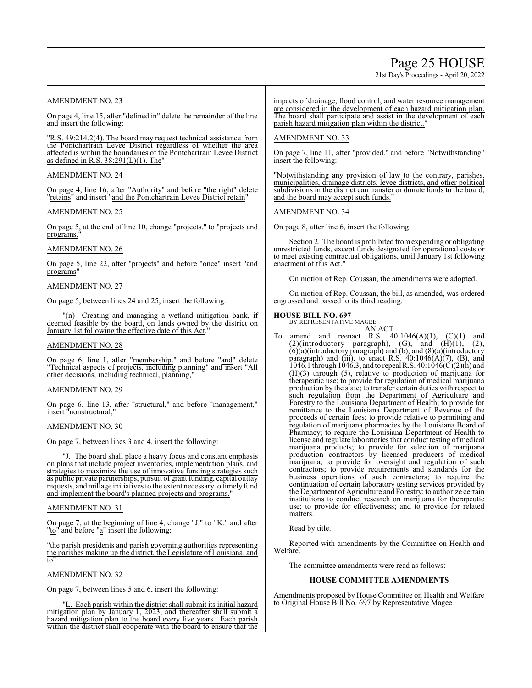# Page 25 HOUSE

21st Day's Proceedings - April 20, 2022

# AMENDMENT NO. 23

On page 4, line 15, after "defined in" delete the remainder of the line and insert the following:

"R.S. 49:214.2(4). The board may request technical assistance from the Pontchartrain Levee District regardless of whether the area affected is within the boundaries of the Pontchartrain Levee District as defined in R.S.  $38:291(L)(1)$ . The

# AMENDMENT NO. 24

On page 4, line 16, after "Authority" and before "the right" delete "retains" and insert "and the Pontchartrain Levee District retain"

# AMENDMENT NO. 25

On page 5, at the end of line 10, change "projects." to "projects and programs."

# AMENDMENT NO. 26

On page 5, line 22, after "projects" and before "once" insert "and programs"

# AMENDMENT NO. 27

On page 5, between lines 24 and 25, insert the following:

Creating and managing a wetland mitigation bank, if deemed feasible by the board, on lands owned by the district on January 1st following the effective date of this Act.

# AMENDMENT NO. 28

On page 6, line 1, after "membership." and before "and" delete "Technical aspects of projects, including planning" and insert "All other decisions, including technical, planning,

# AMENDMENT NO. 29

On page 6, line 13, after "structural," and before "management," insert "nonstructural,

# AMENDMENT NO. 30

On page 7, between lines 3 and 4, insert the following:

"J. The board shall place a heavy focus and constant emphasis on plans that include project inventories, implementation plans, and strategies to maximize the use of innovative funding strategies such as public private partnerships, pursuit of grant funding, capital outlay requests, and millage initiatives to the extent necessaryto timely fund and implement the board's planned projects and programs."

# AMENDMENT NO. 31

On page 7, at the beginning of line 4, change "J." to "K." and after "to" and before "a" insert the following:

"the parish presidents and parish governing authorities representing the parishes making up the district, the Legislature of Louisiana, and to"

# AMENDMENT NO. 32

On page 7, between lines 5 and 6, insert the following:

"L. Each parish within the district shall submit its initial hazard mitigation plan by January 1, 2023, and thereafter shall submit a hazard mitigation plan to the board every five years. Each parish within the district shall cooperate with the board to ensure that the impacts of drainage, flood control, and water resource management are considered in the development of each hazard mitigation plan. The board shall participate and assist in the development of each parish hazard mitigation plan within the district.

# AMENDMENT NO. 33

On page 7, line 11, after "provided." and before "Notwithstanding" insert the following:

"Notwithstanding any provision of law to the contrary, parishes, municipalities, drainage districts, levee districts, and other political subdivisions in the district can transfer or donate funds to the board, and the board may accept such funds."

# AMENDMENT NO. 34

On page 8, after line 6, insert the following:

Section 2. The board is prohibited fromexpending or obligating unrestricted funds, except funds designated for operational costs or to meet existing contractual obligations, until January 1st following enactment of this Act."

On motion of Rep. Coussan, the amendments were adopted.

On motion of Rep. Coussan, the bill, as amended, was ordered engrossed and passed to its third reading.

#### **HOUSE BILL NO. 697—**

BY REPRESENTATIVE MAGEE AN ACT

To amend and reenact R.S.  $40:1046(A)(1)$ ,  $(C)(1)$  and  $(2)($ introductory paragraph),  $(G)$ , and  $(H)(1)$ ,  $(2)$ , (6)(a)(introductory paragraph) and (b), and (8)(a)(introductory paragraph) and (iii), to enact R.S.  $40:1046(A)(7)$ , (B), and 1046.1 through 1046.3, and to repeal R.S.  $40:1046(C)(2)(h)$  and (H)(3) through (5), relative to production of marijuana for therapeutic use; to provide for regulation of medical marijuana production by the state; to transfer certain duties with respect to such regulation from the Department of Agriculture and Forestry to the Louisiana Department of Health; to provide for remittance to the Louisiana Department of Revenue of the proceeds of certain fees; to provide relative to permitting and regulation of marijuana pharmacies by the Louisiana Board of Pharmacy; to require the Louisiana Department of Health to license and regulate laboratories that conduct testing of medical marijuana products; to provide for selection of marijuana production contractors by licensed producers of medical marijuana; to provide for oversight and regulation of such contractors; to provide requirements and standards for the business operations of such contractors; to require the continuation of certain laboratory testing services provided by the Department of Agriculture and Forestry; to authorize certain institutions to conduct research on marijuana for therapeutic use; to provide for effectiveness; and to provide for related matters.

# Read by title.

Reported with amendments by the Committee on Health and Welfare.

The committee amendments were read as follows:

# **HOUSE COMMITTEE AMENDMENTS**

Amendments proposed by House Committee on Health and Welfare to Original House Bill No. 697 by Representative Magee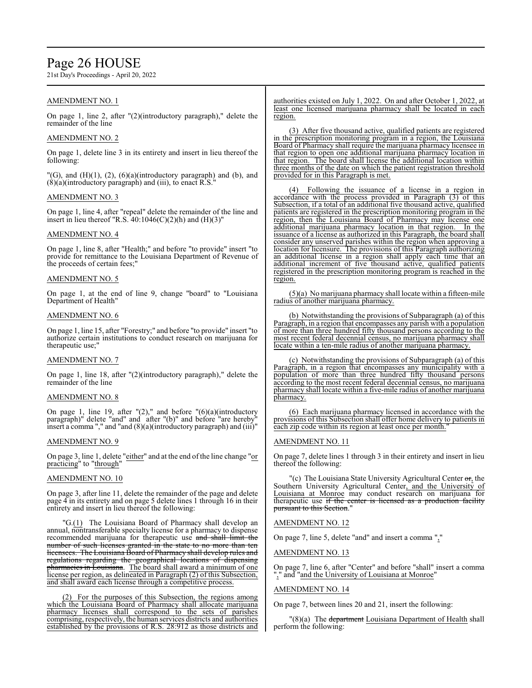# Page 26 HOUSE

21st Day's Proceedings - April 20, 2022

# AMENDMENT NO. 1

On page 1, line 2, after "(2)(introductory paragraph)," delete the remainder of the line

# AMENDMENT NO. 2

On page 1, delete line 3 in its entirety and insert in lieu thereof the following:

"(G), and (H)(1), (2), (6)(a)(introductory paragraph) and (b), and  $(8)(a)$ (introductory paragraph) and (iii), to enact R.S.

# AMENDMENT NO. 3

On page 1, line 4, after "repeal" delete the remainder of the line and insert in lieu thereof "R.S.  $40:1046(C)(2)(h)$  and  $(H)(3)$ "

# AMENDMENT NO. 4

On page 1, line 8, after "Health;" and before "to provide" insert "to provide for remittance to the Louisiana Department of Revenue of the proceeds of certain fees;"

### AMENDMENT NO. 5

On page 1, at the end of line 9, change "board" to "Louisiana Department of Health"

#### AMENDMENT NO. 6

On page 1, line 15, after "Forestry;" and before "to provide" insert "to authorize certain institutions to conduct research on marijuana for therapeutic use;"

#### AMENDMENT NO. 7

On page 1, line 18, after "(2)(introductory paragraph)," delete the remainder of the line

#### AMENDMENT NO. 8

On page 1, line 19, after " $(2)$ ," and before " $(6)(a)$ (introductory paragraph)" delete "and" and after "(b)" and before "are hereby" insert a comma "," and "and (8)(a)(introductory paragraph) and (iii)"

#### AMENDMENT NO. 9

On page 3, line 1, delete "either" and at the end of the line change "or practicing" to "through"

### AMENDMENT NO. 10

On page 3, after line 11, delete the remainder of the page and delete page 4 in its entirety and on page 5 delete lines 1 through 16 in their entirety and insert in lieu thereof the following:

"G.(1) The Louisiana Board of Pharmacy shall develop an annual, nontransferable specialty license for a pharmacy to dispense recommended marijuana for therapeutic use and shall limit the number of such licenses granted in the state to no more than ten licensees. The Louisiana Board of Pharmacy shall develop rules and regulations regarding the geographical locations of dispensing pharmacies in Louisiana. The board shall award a minimum of one license per region, as delineated in Paragraph (2) of this Subsection, and shall award each license through a competitive process.

(2) For the purposes of this Subsection, the regions among which the Louisiana Board of Pharmacy shall allocate marijuana pharmacy licenses shall correspond to the sets of parishes comprising, respectively, the human services districts and authorities established by the provisions of R.S. 28:912 as those districts and

authorities existed on July 1, 2022. On and after October 1, 2022, at least one licensed marijuana pharmacy shall be located in each region.

(3) After five thousand active, qualified patients are registered in the prescription monitoring program in a region, the Louisiana Board of Pharmacy shall require the marijuana pharmacy licensee in that region to open one additional marijuana pharmacy location in that region. The board shall license the additional location within three months of the date on which the patient registration threshold provided for in this Paragraph is met.

(4) Following the issuance of a license in a region in accordance with the process provided in Paragraph (3) of this Subsection, if a total of an additional five thousand active, qualified patients are registered in the prescription monitoring program in the region, then the Louisiana Board of Pharmacy may license one additional marijuana pharmacy location in that region. In the issuance of a license as authorized in this Paragraph, the board shall consider any unserved parishes within the region when approving a location for licensure. The provisions of this Paragraph authorizing an additional license in a region shall apply each time that an additional increment of five thousand active, qualified patients registered in the prescription monitoring program is reached in the region.

(5)(a) No marijuana pharmacy shall locate within a fifteen-mile radius of another marijuana pharmacy.

(b) Notwithstanding the provisions of Subparagraph (a) of this Paragraph, in a region that encompasses any parish with a population of more than three hundred fifty thousand persons according to the most recent federal decennial census, no marijuana pharmacy shall locate within a ten-mile radius of another marijuana pharmacy.

(c) Notwithstanding the provisions of Subparagraph (a) of this Paragraph, in a region that encompasses any municipality with a population of more than three hundred fifty thousand persons according to the most recent federal decennial census, no marijuana pharmacy shall locate within a five-mile radius of another marijuana pharmacy.

(6) Each marijuana pharmacy licensed in accordance with the provisions of this Subsection shall offer home delivery to patients in each zip code within its region at least once per month.

# AMENDMENT NO. 11

On page 7, delete lines 1 through 3 in their entirety and insert in lieu thereof the following:

"(c) The Louisiana State University Agricultural Center or, the Southern University Agricultural Center, and the University of Louisiana at Monroe may conduct research on marijuana for therapeutic use if the center is licensed as a production facility pursuant to this Section."

# AMENDMENT NO. 12

On page 7, line 5, delete "and" and insert a comma ","

#### AMENDMENT NO. 13

On page 7, line 6, after "Center" and before "shall" insert a comma "," and "and the University of Louisiana at Monroe"

#### AMENDMENT NO. 14

On page 7, between lines 20 and 21, insert the following:

"(8)(a) The department Louisiana Department of Health shall perform the following: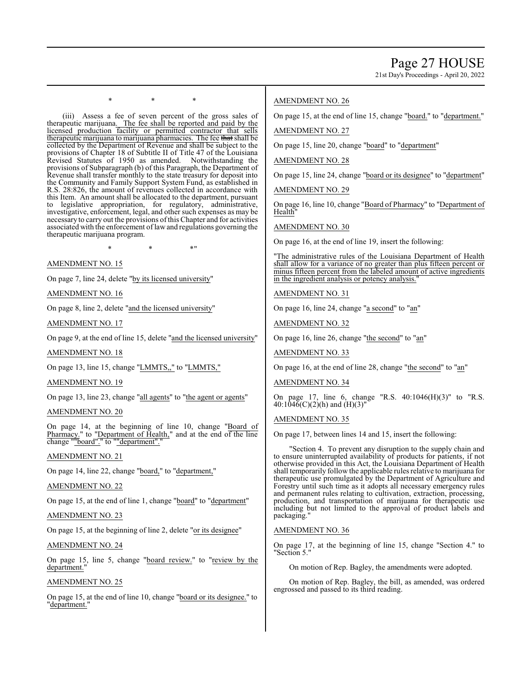21st Day's Proceedings - April 20, 2022

\* \* \*

(iii) Assess a fee of seven percent of the gross sales of therapeutic marijuana. The fee shall be reported and paid by the licensed production facility or permitted contractor that sells therapeutic marijuana to marijuana pharmacies. The fee that shall be collected by the Department of Revenue and shall be subject to the provisions of Chapter 18 of Subtitle II of Title 47 of the Louisiana Revised Statutes of 1950 as amended. Notwithstanding the provisions of Subparagraph (b) of this Paragraph, the Department of Revenue shall transfer monthly to the state treasury for deposit into the Community and Family Support System Fund, as established in R.S. 28:826, the amount of revenues collected in accordance with this Item. An amount shall be allocated to the department, pursuant to legislative appropriation, for regulatory, administrative, investigative, enforcement, legal, and other such expenses as may be necessary to carry out the provisions ofthis Chapter and for activities associated with the enforcement oflawand regulations governing the therapeutic marijuana program.

 $*$  \*  $*$  \*

### AMENDMENT NO. 15

On page 7, line 24, delete "by its licensed university"

AMENDMENT NO. 16

On page 8, line 2, delete "and the licensed university"

AMENDMENT NO. 17

On page 9, at the end of line 15, delete "and the licensed university"

AMENDMENT NO. 18

On page 13, line 15, change "LMMTS,," to "LMMTS,"

#### AMENDMENT NO. 19

On page 13, line 23, change "all agents" to "the agent or agents"

#### AMENDMENT NO. 20

On page 14, at the beginning of line 10, change "Board of Pharmacy." to "Department of Health," and at the end of the line change ""board"." to ""department".

#### AMENDMENT NO. 21

On page 14, line 22, change "board," to "department,"

# AMENDMENT NO. 22

On page 15, at the end of line 1, change "board" to "department"

# AMENDMENT NO. 23

On page 15, at the beginning of line 2, delete "or its designee"

# AMENDMENT NO. 24

On page 15, line 5, change "board review." to "review by the department.'

# AMENDMENT NO. 25

On page 15, at the end of line 10, change "board or its designee." to "<u>department.</u>"

# AMENDMENT NO. 26

On page 15, at the end of line 15, change "board." to "department."

# AMENDMENT NO. 27

On page 15, line 20, change "board" to "department"

# AMENDMENT NO. 28

On page 15, line 24, change "board or its designee" to "department"

AMENDMENT NO. 29

On page 16, line 10, change "Board of Pharmacy" to "Department of **Health** 

#### AMENDMENT NO. 30

On page 16, at the end of line 19, insert the following:

"The administrative rules of the Louisiana Department of Health shall allow for a variance of no greater than plus fifteen percent or minus fifteen percent from the labeled amount of active ingredients in the ingredient analysis or potency analysis.

# AMENDMENT NO. 31

On page 16, line 24, change "a second" to "an"

AMENDMENT NO. 32

On page 16, line 26, change "the second" to "an"

AMENDMENT NO. 33

On page 16, at the end of line 28, change "the second" to "an"

# AMENDMENT NO. 34

On page 17, line 6, change "R.S. 40:1046(H)(3)" to "R.S.  $40:104\bar{6}$ (C)(2)(h) and (H)(3)"

# AMENDMENT NO. 35

On page 17, between lines 14 and 15, insert the following:

"Section 4. To prevent any disruption to the supply chain and to ensure uninterrupted availability of products for patients, if not otherwise provided in this Act, the Louisiana Department of Health shall temporarily follow the applicable rules relative to marijuana for therapeutic use promulgated by the Department of Agriculture and Forestry until such time as it adopts all necessary emergency rules and permanent rules relating to cultivation, extraction, processing, production, and transportation of marijuana for therapeutic use including but not limited to the approval of product labels and packaging."

### AMENDMENT NO. 36

On page 17, at the beginning of line 15, change "Section 4." to "Section 5."

On motion of Rep. Bagley, the amendments were adopted.

On motion of Rep. Bagley, the bill, as amended, was ordered engrossed and passed to its third reading.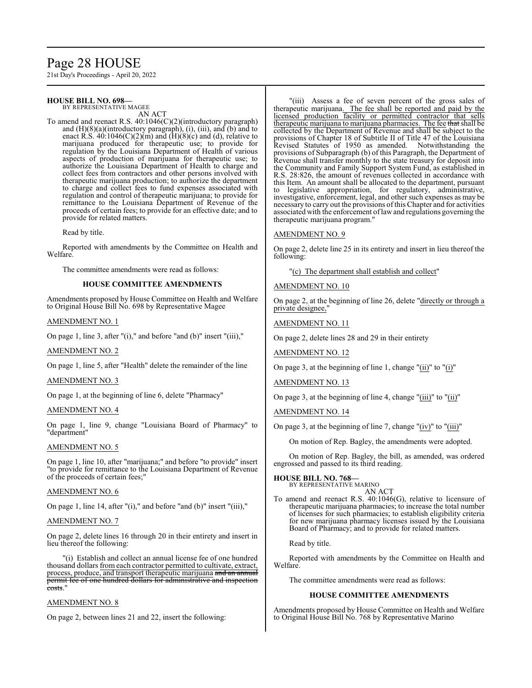# Page 28 HOUSE

21st Day's Proceedings - April 20, 2022

#### **HOUSE BILL NO. 698—** BY REPRESENTATIVE MAGEE

AN ACT

To amend and reenact R.S. 40:1046(C)(2)(introductory paragraph) and (H)(8)(a)(introductory paragraph), (i), (iii), and (b) and to enact R.S.  $40:1046(C)(2)(m)$  and  $(H)(8)(c)$  and  $(d)$ , relative to marijuana produced for therapeutic use; to provide for regulation by the Louisiana Department of Health of various aspects of production of marijuana for therapeutic use; to authorize the Louisiana Department of Health to charge and collect fees from contractors and other persons involved with therapeutic marijuana production; to authorize the department to charge and collect fees to fund expenses associated with regulation and control of therapeutic marijuana; to provide for remittance to the Louisiana Department of Revenue of the proceeds of certain fees; to provide for an effective date; and to provide for related matters.

Read by title.

Reported with amendments by the Committee on Health and Welfare.

The committee amendments were read as follows:

#### **HOUSE COMMITTEE AMENDMENTS**

Amendments proposed by House Committee on Health and Welfare to Original House Bill No. 698 by Representative Magee

#### AMENDMENT NO. 1

On page 1, line 3, after "(i)," and before "and (b)" insert "(iii),"

#### AMENDMENT NO. 2

On page 1, line 5, after "Health" delete the remainder of the line

### AMENDMENT NO. 3

On page 1, at the beginning of line 6, delete "Pharmacy"

### AMENDMENT NO. 4

On page 1, line 9, change "Louisiana Board of Pharmacy" to "department"

#### AMENDMENT NO. 5

On page 1, line 10, after "marijuana;" and before "to provide" insert "to provide for remittance to the Louisiana Department of Revenue of the proceeds of certain fees;"

#### AMENDMENT NO. 6

On page 1, line 14, after "(i)," and before "and (b)" insert "(iii),"

#### AMENDMENT NO. 7

On page 2, delete lines 16 through 20 in their entirety and insert in lieu thereof the following:

"(i) Establish and collect an annual license fee of one hundred thousand dollars from each contractor permitted to cultivate, extract, process, produce, and transport therapeutic marijuana and an annual permit fee of one hundred dollars for administrative and inspection costs."

# AMENDMENT NO. 8

On page 2, between lines 21 and 22, insert the following:

"(iii) Assess a fee of seven percent of the gross sales of therapeutic marijuana. The fee shall be reported and paid by the licensed production facility or permitted contractor that sells therapeutic marijuana to marijuana pharmacies. The fee that shall be collected by the Department of Revenue and shall be subject to the provisions of Chapter 18 of Subtitle II of Title 47 of the Louisiana Revised Statutes of 1950 as amended. Notwithstanding the provisions of Subparagraph (b) of this Paragraph, the Department of Revenue shall transfer monthly to the state treasury for deposit into the Community and Family Support System Fund, as established in R.S. 28:826, the amount of revenues collected in accordance with this Item. An amount shall be allocated to the department, pursuant to legislative appropriation, for regulatory, administrative, investigative, enforcement, legal, and other such expenses as may be necessary to carry out the provisions ofthis Chapter and for activities associated with the enforcement oflawand regulations governing the therapeutic marijuana program."

#### AMENDMENT NO. 9

On page 2, delete line 25 in its entirety and insert in lieu thereof the following:

"(c) The department shall establish and collect"

#### AMENDMENT NO. 10

On page 2, at the beginning of line 26, delete "directly or through a private designee,"

### AMENDMENT NO. 11

On page 2, delete lines 28 and 29 in their entirety

AMENDMENT NO. 12

On page 3, at the beginning of line 1, change "(ii)" to "(i)"

#### AMENDMENT NO. 13

On page 3, at the beginning of line 4, change "(iii)" to "(ii)"

AMENDMENT NO. 14

On page 3, at the beginning of line 7, change "(iv)" to "(iii)"

On motion of Rep. Bagley, the amendments were adopted.

On motion of Rep. Bagley, the bill, as amended, was ordered engrossed and passed to its third reading.

#### **HOUSE BILL NO. 768—**

BY REPRESENTATIVE MARINO AN ACT

To amend and reenact R.S. 40:1046(G), relative to licensure of therapeutic marijuana pharmacies; to increase the total number of licenses for such pharmacies; to establish eligibility criteria for new marijuana pharmacy licenses issued by the Louisiana Board of Pharmacy; and to provide for related matters.

Read by title.

Reported with amendments by the Committee on Health and Welfare.

The committee amendments were read as follows:

### **HOUSE COMMITTEE AMENDMENTS**

Amendments proposed by House Committee on Health and Welfare to Original House Bill No. 768 by Representative Marino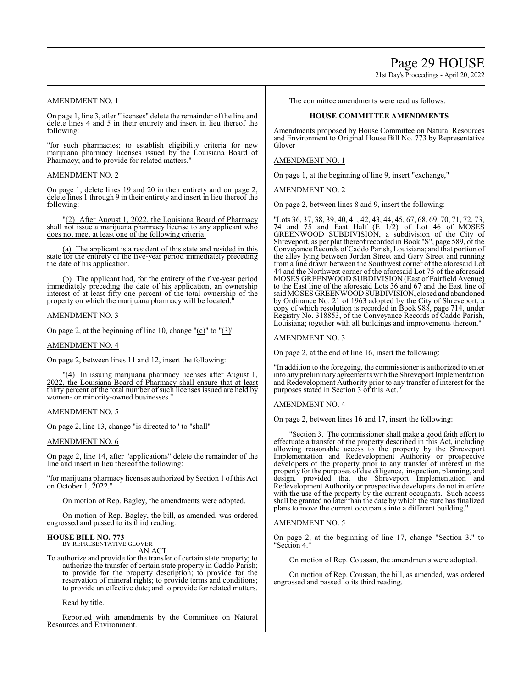# Page 29 HOUSE

21st Day's Proceedings - April 20, 2022

# AMENDMENT NO. 1

On page 1, line 3, after "licenses" delete the remainder of the line and delete lines 4 and 5 in their entirety and insert in lieu thereof the following:

"for such pharmacies; to establish eligibility criteria for new marijuana pharmacy licenses issued by the Louisiana Board of Pharmacy; and to provide for related matters."

# AMENDMENT NO. 2

On page 1, delete lines 19 and 20 in their entirety and on page 2, delete lines 1 through 9 in their entirety and insert in lieu thereof the following:

"(2) After August 1, 2022, the Louisiana Board of Pharmacy shall not issue a marijuana pharmacy license to any applicant who does not meet at least one of the following criteria:

(a) The applicant is a resident of this state and resided in this state for the entirety of the five-year period immediately preceding the date of his application.

(b) The applicant had, for the entirety of the five-year period immediately preceding the date of his application, an ownership interest of at least fifty-one percent of the total ownership of the property on which the marijuana pharmacy will be located."

### AMENDMENT NO. 3

On page 2, at the beginning of line 10, change "(c)" to "(3)"

#### AMENDMENT NO. 4

On page 2, between lines 11 and 12, insert the following:

"(4) In issuing marijuana pharmacy licenses after August 1, 2022, the Louisiana Board of Pharmacy shall ensure that at least thirty percent of the total number of such licenses issued are held by women- or minority-owned businesses.

# AMENDMENT NO. 5

On page 2, line 13, change "is directed to" to "shall"

# AMENDMENT NO. 6

On page 2, line 14, after "applications" delete the remainder of the line and insert in lieu thereof the following:

"for marijuana pharmacy licenses authorized by Section 1 of this Act on October 1, 2022."

On motion of Rep. Bagley, the amendments were adopted.

On motion of Rep. Bagley, the bill, as amended, was ordered engrossed and passed to its third reading.

# **HOUSE BILL NO. 773—** BY REPRESENTATIVE GLOVER

AN ACT

To authorize and provide for the transfer of certain state property; to authorize the transfer of certain state property in Caddo Parish; to provide for the property description; to provide for the reservation of mineral rights; to provide terms and conditions; to provide an effective date; and to provide for related matters.

Read by title.

Reported with amendments by the Committee on Natural Resources and Environment.

The committee amendments were read as follows:

# **HOUSE COMMITTEE AMENDMENTS**

Amendments proposed by House Committee on Natural Resources and Environment to Original House Bill No. 773 by Representative Glover

### AMENDMENT NO. 1

On page 1, at the beginning of line 9, insert "exchange,"

### AMENDMENT NO. 2

On page 2, between lines 8 and 9, insert the following:

"Lots 36, 37, 38, 39, 40, 41, 42, 43, 44, 45, 67, 68, 69, 70, 71, 72, 73, 74 and 75 and East Half (E 1/2) of Lot 46 of MOSES GREENWOOD SUBDIVISION, a subdivision of the City of Shreveport, as per plat thereofrecorded in Book "S", page 589, of the Conveyance Records of Caddo Parish, Louisiana; and that portion of the alley lying between Jordan Street and Gary Street and running from a line drawn between the Southwest corner of the aforesaid Lot 44 and the Northwest corner of the aforesaid Lot 75 of the aforesaid MOSES GREENWOOD SUBDIVISION (East of Fairfield Avenue) to the East line of the aforesaid Lots 36 and 67 and the East line of said MOSES GREENWOODSUBDIVISION, closed and abandoned by Ordinance No. 21 of 1963 adopted by the City of Shreveport, a copy of which resolution is recorded in Book 988, page 714, under Registry No. 318853, of the Conveyance Records of Caddo Parish, Louisiana; together with all buildings and improvements thereon."

### AMENDMENT NO. 3

On page 2, at the end of line 16, insert the following:

"In addition to the foregoing, the commissioner is authorized to enter into any preliminary agreements with the Shreveport Implementation and Redevelopment Authority prior to any transfer of interest for the purposes stated in Section 3 of this Act."

# AMENDMENT NO. 4

On page 2, between lines 16 and 17, insert the following:

"Section 3. The commissioner shall make a good faith effort to effectuate a transfer of the property described in this Act, including allowing reasonable access to the property by the Shreveport Implementation and Redevelopment Authority or prospective developers of the property prior to any transfer of interest in the property for the purposes of due diligence, inspection, planning, and design, provided that the Shreveport Implementation and Redevelopment Authority or prospective developers do not interfere with the use of the property by the current occupants. Such access shall be granted no later than the date by which the state has finalized plans to move the current occupants into a different building."

# AMENDMENT NO. 5

On page 2, at the beginning of line 17, change "Section 3." to "Section 4."

On motion of Rep. Coussan, the amendments were adopted.

On motion of Rep. Coussan, the bill, as amended, was ordered engrossed and passed to its third reading.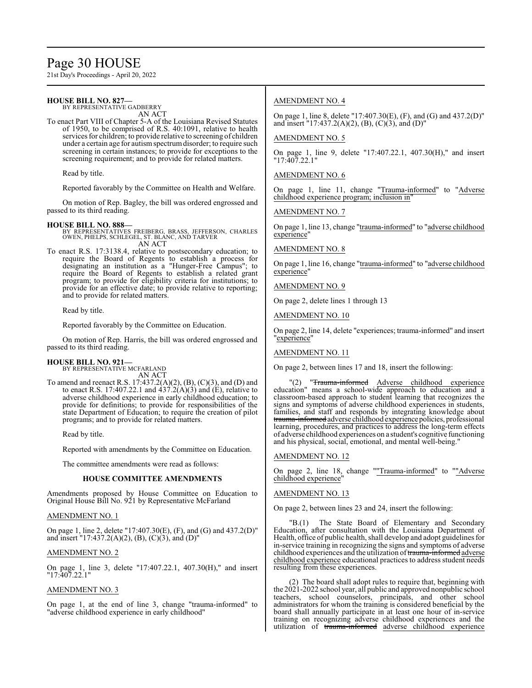# Page 30 HOUSE

21st Day's Proceedings - April 20, 2022

# **HOUSE BILL NO. 827—**

BY REPRESENTATIVE GADBERRY AN ACT

To enact Part VIII of Chapter 5-A of the Louisiana Revised Statutes of 1950, to be comprised of R.S. 40:1091, relative to health services for children; to provide relative to screening of children under a certain age for autismspectrumdisorder; to require such screening in certain instances; to provide for exceptions to the screening requirement; and to provide for related matters.

Read by title.

Reported favorably by the Committee on Health and Welfare.

On motion of Rep. Bagley, the bill was ordered engrossed and passed to its third reading.

#### **HOUSE BILL NO. 888—**

BY REPRESENTATIVES FREIBERG, BRASS, JEFFERSON, CHARLES OWEN, PHELPS, SCHLEGEL, ST. BLANC, AND TARVER AN ACT

To enact R.S. 17:3138.4, relative to postsecondary education; to require the Board of Regents to establish a process for designating an institution as a "Hunger-Free Campus"; to require the Board of Regents to establish a related grant program; to provide for eligibility criteria for institutions; to provide for an effective date; to provide relative to reporting; and to provide for related matters.

Read by title.

Reported favorably by the Committee on Education.

On motion of Rep. Harris, the bill was ordered engrossed and passed to its third reading.

# **HOUSE BILL NO. 921—**

BY REPRESENTATIVE MCFARLAND AN ACT

To amend and reenact R.S. 17:437.2(A)(2), (B), (C)(3), and (D) and to enact R.S. 17:407.22.1 and  $437.2(A)(3)$  and (E), relative to adverse childhood experience in early childhood education; to provide for definitions; to provide for responsibilities of the state Department of Education; to require the creation of pilot programs; and to provide for related matters.

Read by title.

Reported with amendments by the Committee on Education.

The committee amendments were read as follows:

#### **HOUSE COMMITTEE AMENDMENTS**

Amendments proposed by House Committee on Education to Original House Bill No. 921 by Representative McFarland

#### AMENDMENT NO. 1

On page 1, line 2, delete "17:407.30(E), (F), and (G) and 437.2(D)" and insert "17:437.2(A)(2), (B), (C)(3), and (D)"

### AMENDMENT NO. 2

On page 1, line 3, delete "17:407.22.1, 407.30(H)," and insert "17:407.22.1"

# AMENDMENT NO. 3

On page 1, at the end of line 3, change "trauma-informed" to "adverse childhood experience in early childhood"

# AMENDMENT NO. 4

On page 1, line 8, delete "17:407.30(E), (F), and (G) and 437.2(D)" and insert  $"17:437.2(A)(2)$ , (B), (C)(3), and (D)"

### AMENDMENT NO. 5

On page 1, line 9, delete "17:407.22.1, 407.30(H)," and insert "17:407.22.1"

### AMENDMENT NO. 6

On page 1, line 11, change "Trauma-informed" to "Adverse childhood experience program; inclusion in"

AMENDMENT NO. 7

On page 1, line 13, change "trauma-informed" to "adverse childhood experience"

## AMENDMENT NO. 8

On page 1, line 16, change "trauma-informed" to "adverse childhood experience"

AMENDMENT NO. 9

On page 2, delete lines 1 through 13

AMENDMENT NO. 10

On page 2, line 14, delete "experiences; trauma-informed" and insert "<u>experience</u>"

AMENDMENT NO. 11

On page 2, between lines 17 and 18, insert the following:

"Trauma-informed Adverse childhood experience education" means a school-wide approach to education and a classroom-based approach to student learning that recognizes the signs and symptoms of adverse childhood experiences in students, families, and staff and responds by integrating knowledge about t<del>rauma-informed</del> adverse childhood experience policies, professional learning, procedures, and practices to address the long-term effects of adverse childhood experiences on a student's cognitive functioning and his physical, social, emotional, and mental well-being."

#### AMENDMENT NO. 12

On page 2, line 18, change ""Trauma-informed" to ""Adverse childhood experience"

#### AMENDMENT NO. 13

On page 2, between lines 23 and 24, insert the following:

"B.(1) The State Board of Elementary and Secondary Education, after consultation with the Louisiana Department of Health, office of public health, shall develop and adopt guidelines for in-service training in recognizing the signs and symptoms of adverse childhood experiences and the utilization of trauma-informed adverse childhood experience educational practices to address student needs resulting from these experiences.

(2) The board shall adopt rules to require that, beginning with the 2021-2022 school year, all public and approved nonpublic school teachers, school counselors, principals, and other school administrators for whom the training is considered beneficial by the board shall annually participate in at least one hour of in-service training on recognizing adverse childhood experiences and the utilization of trauma-informed adverse childhood experience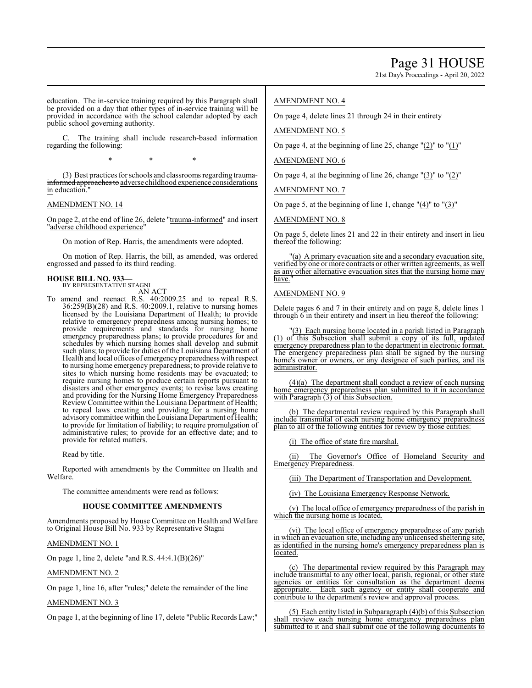21st Day's Proceedings - April 20, 2022

education. The in-service training required by this Paragraph shall be provided on a day that other types of in-service training will be provided in accordance with the school calendar adopted by each public school governing authority.

The training shall include research-based information regarding the following:

\* \* \*

(3) Best practices for schools and classrooms regarding traumainformed approaches to adverse childhood experience considerations in education.

#### AMENDMENT NO. 14

On page 2, at the end of line 26, delete "trauma-informed" and insert "adverse childhood experience"

On motion of Rep. Harris, the amendments were adopted.

On motion of Rep. Harris, the bill, as amended, was ordered engrossed and passed to its third reading.

#### **HOUSE BILL NO. 933—** BY REPRESENTATIVE STAGNI

AN ACT

To amend and reenact R.S. 40:2009.25 and to repeal R.S. 36:259(B)(28) and R.S. 40:2009.1, relative to nursing homes licensed by the Louisiana Department of Health; to provide relative to emergency preparedness among nursing homes; to provide requirements and standards for nursing home emergency preparedness plans; to provide procedures for and schedules by which nursing homes shall develop and submit such plans; to provide for duties of the Louisiana Department of Health and local offices of emergency preparedness with respect to nursing home emergency preparedness; to provide relative to sites to which nursing home residents may be evacuated; to require nursing homes to produce certain reports pursuant to disasters and other emergency events; to revise laws creating and providing for the Nursing Home Emergency Preparedness Review Committee within the Louisiana Department of Health; to repeal laws creating and providing for a nursing home advisory committee within the Louisiana Department of Health; to provide for limitation of liability; to require promulgation of administrative rules; to provide for an effective date; and to provide for related matters.

Read by title.

Reported with amendments by the Committee on Health and Welfare.

The committee amendments were read as follows:

#### **HOUSE COMMITTEE AMENDMENTS**

Amendments proposed by House Committee on Health and Welfare to Original House Bill No. 933 by Representative Stagni

### AMENDMENT NO. 1

On page 1, line 2, delete "and R.S. 44:4.1(B)(26)"

# AMENDMENT NO. 2

On page 1, line 16, after "rules;" delete the remainder of the line

# AMENDMENT NO. 3

On page 1, at the beginning of line 17, delete "Public Records Law;"

# AMENDMENT NO. 4

On page 4, delete lines 21 through 24 in their entirety

### AMENDMENT NO. 5

On page 4, at the beginning of line 25, change  $"(2)"$  to  $"(1)"$ 

# AMENDMENT NO. 6

On page 4, at the beginning of line 26, change  $\frac{1}{3}$  to  $\frac{1}{2}$ "

AMENDMENT NO. 7

On page 5, at the beginning of line 1, change "(4)" to "(3)"

### AMENDMENT NO. 8

On page 5, delete lines 21 and 22 in their entirety and insert in lieu thereof the following:

(a) A primary evacuation site and a secondary evacuation site, verified by one or more contracts or other written agreements, as well as any other alternative evacuation sites that the nursing home may have.

### AMENDMENT NO. 9

Delete pages 6 and 7 in their entirety and on page 8, delete lines 1 through 6 in their entirety and insert in lieu thereof the following:

3) Each nursing home located in a parish listed in Paragraph (1) of this Subsection shall submit a copy of its full, updated emergency preparedness plan to the department in electronic format. The emergency preparedness plan shall be signed by the nursing home's owner or owners, or any designee of such parties, and its administrator.

(4)(a) The department shall conduct a review of each nursing home emergency preparedness plan submitted to it in accordance with Paragraph (3) of this Subsection.

(b) The departmental review required by this Paragraph shall include transmittal of each nursing home emergency preparedness plan to all of the following entities for review by those entities:

(i) The office of state fire marshal.

(ii) The Governor's Office of Homeland Security and Emergency Preparedness.

(iii) The Department of Transportation and Development.

(iv) The Louisiana Emergency Response Network.

(v) The local office of emergency preparedness of the parish in which the nursing home is located.

(vi) The local office of emergency preparedness of any parish in which an evacuation site, including any unlicensed sheltering site, as identified in the nursing home's emergency preparedness plan is located.

(c) The departmental review required by this Paragraph may include transmittal to any other local, parish, regional, or other state agencies or entities for consultation as the department deems appropriate. Each such agency or entity shall cooperate and Each such agency or entity shall cooperate and contribute to the department's review and approval process.

(5) Each entity listed in Subparagraph (4)(b) of this Subsection shall review each nursing home emergency preparedness plan submitted to it and shall submit one of the following documents to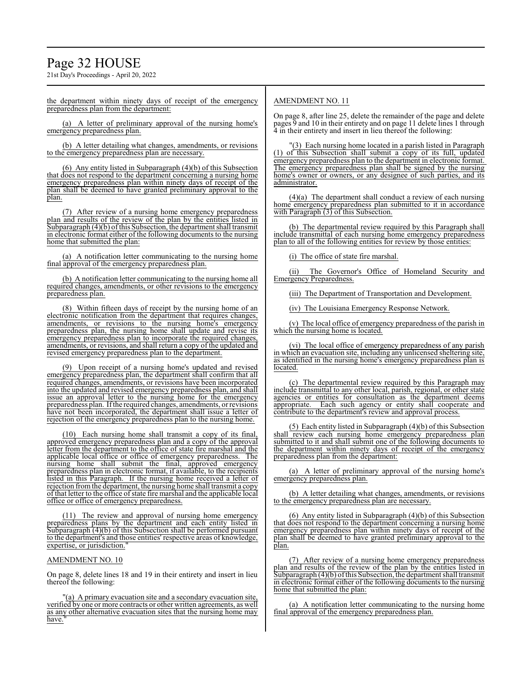# Page 32 HOUSE

21st Day's Proceedings - April 20, 2022

the department within ninety days of receipt of the emergency preparedness plan from the department:

(a) A letter of preliminary approval of the nursing home's emergency preparedness plan.

(b) A letter detailing what changes, amendments, or revisions to the emergency preparedness plan are necessary.

(6) Any entity listed in Subparagraph (4)(b) of this Subsection that does not respond to the department concerning a nursing home emergency preparedness plan within ninety days of receipt of the plan shall be deemed to have granted preliminary approval to the plan.

(7) After review of a nursing home emergency preparedness plan and results of the review of the plan by the entities listed in Subparagraph (4)(b) of this Subsection, the department shall transmit in electronic format either of the following documents to the nursing home that submitted the plan:

(a) A notification letter communicating to the nursing home final approval of the emergency preparedness plan.

(b) A notification letter communicating to the nursing home all required changes, amendments, or other revisions to the emergency preparedness plan.

(8) Within fifteen days of receipt by the nursing home of an electronic notification from the department that requires changes, amendments, or revisions to the nursing home's emergency preparedness plan, the nursing home shall update and revise its emergency preparedness plan to incorporate the required changes amendments, or revisions, and shall return a copy of the updated and revised emergency preparedness plan to the department.

(9) Upon receipt of a nursing home's updated and revised emergency preparedness plan, the department shall confirm that all required changes, amendments, or revisions have been incorporated into the updated and revised emergency preparedness plan, and shall issue an approval letter to the nursing home for the emergency preparedness plan. Ifthe required changes, amendments, orrevisions have not been incorporated, the department shall issue a letter of rejection of the emergency preparedness plan to the nursing home.

(10) Each nursing home shall transmit a copy of its final, approved emergency preparedness plan and a copy of the approval letter from the department to the office of state fire marshal and the applicable local office or office of emergency preparedness. The nursing home shall submit the final, approved emergency preparedness plan in electronic format, if available, to the recipients listed in this Paragraph. If the nursing home received a letter of rejection fromthe department, the nursing home shall transmit a copy of that letter to the office of state fire marshal and the applicable local office or office of emergency preparedness.

(11) The review and approval of nursing home emergency preparedness plans by the department and each entity listed in Subparagraph (4)(b) of this Subsection shall be performed pursuant to the department's and those entities' respective areas of knowledge, expertise, or jurisdiction.

#### AMENDMENT NO. 10

On page 8, delete lines 18 and 19 in their entirety and insert in lieu thereof the following:

"(a) A primary evacuation site and a secondary evacuation site, verified by one or more contracts or other written agreements, as well as any other alternative evacuation sites that the nursing home may have.

# AMENDMENT NO. 11

On page 8, after line 25, delete the remainder of the page and delete pages 9 and 10 in their entirety and on page 11 delete lines 1 through 4 in their entirety and insert in lieu thereof the following:

(3) Each nursing home located in a parish listed in Paragraph (1) of this Subsection shall submit a copy of its full, updated emergency preparedness plan to the department in electronic format. The emergency preparedness plan shall be signed by the nursing home's owner or owners, or any designee of such parties, and its administrator.

(4)(a) The department shall conduct a review of each nursing home emergency preparedness plan submitted to it in accordance with Paragraph (3) of this Subsection.

(b) The departmental review required by this Paragraph shall include transmittal of each nursing home emergency preparedness plan to all of the following entities for review by those entities:

(i) The office of state fire marshal.

(ii) The Governor's Office of Homeland Security and Emergency Preparedness.

(iii) The Department of Transportation and Development.

(iv) The Louisiana Emergency Response Network.

(v) The local office of emergency preparedness of the parish in which the nursing home is located.

(vi) The local office of emergency preparedness of any parish in which an evacuation site, including any unlicensed sheltering site, as identified in the nursing home's emergency preparedness plan is located.

(c) The departmental review required by this Paragraph may include transmittal to any other local, parish, regional, or other state agencies or entities for consultation as the department deems appropriate. Each such agency or entity shall cooperate and contribute to the department's review and approval process.

(5) Each entity listed in Subparagraph (4)(b) of this Subsection shall review each nursing home emergency preparedness plan submitted to it and shall submit one of the following documents to the department within ninety days of receipt of the emergency preparedness plan from the department:

(a) A letter of preliminary approval of the nursing home's emergency preparedness plan.

(b) A letter detailing what changes, amendments, or revisions to the emergency preparedness plan are necessary.

(6) Any entity listed in Subparagraph (4)(b) of this Subsection that does not respond to the department concerning a nursing home emergency preparedness plan within ninety days of receipt of the plan shall be deemed to have granted preliminary approval to the plan.

(7) After review of a nursing home emergency preparedness plan and results of the review of the plan by the entities listed in Subparagraph (4)(b) ofthis Subsection, the department shall transmit in electronic format either of the following documents to the nursing home that submitted the plan:

(a) A notification letter communicating to the nursing home final approval of the emergency preparedness plan.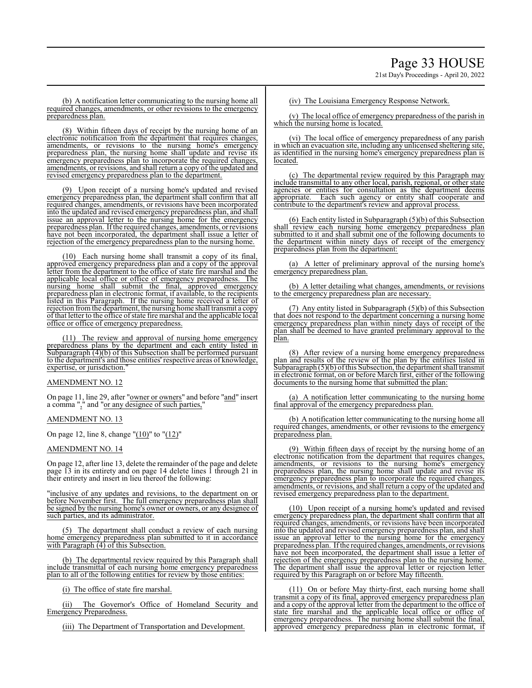(b) A notification letter communicating to the nursing home all required changes, amendments, or other revisions to the emergency preparedness plan.

(8) Within fifteen days of receipt by the nursing home of an electronic notification from the department that requires changes, amendments, or revisions to the nursing home's emergency preparedness plan, the nursing home shall update and revise its emergency preparedness plan to incorporate the required changes, amendments, or revisions, and shall return a copy of the updated and revised emergency preparedness plan to the department.

(9) Upon receipt of a nursing home's updated and revised emergency preparedness plan, the department shall confirm that all required changes, amendments, or revisions have been incorporated into the updated and revised emergency preparedness plan, and shall issue an approval letter to the nursing home for the emergency preparedness plan. Ifthe required changes, amendments, orrevisions have not been incorporated, the department shall issue a letter of rejection of the emergency preparedness plan to the nursing home.

Each nursing home shall transmit a copy of its final, approved emergency preparedness plan and a copy of the approval letter from the department to the office of state fire marshal and the applicable local office or office of emergency preparedness. The nursing home shall submit the final, approved emergency preparedness plan in electronic format, if available, to the recipients listed in this Paragraph. If the nursing home received a letter of rejection from the department, the nursing home shall transmit a copy of that letter to the office ofstate fire marshal and the applicable local office or office of emergency preparedness.

(11) The review and approval of nursing home emergency preparedness plans by the department and each entity listed in Subparagraph (4)(b) of this Subsection shall be performed pursuant to the department's and those entities' respective areas of knowledge, expertise, or jurisdiction.

#### AMENDMENT NO. 12

On page 11, line 29, after "owner or owners" and before "and" insert a comma "," and "or any designee of such parties,"

#### AMENDMENT NO. 13

On page 12, line 8, change " $(10)$ " to " $(12)$ "

#### AMENDMENT NO. 14

On page 12, after line 13, delete the remainder of the page and delete page 13 in its entirety and on page 14 delete lines 1 through 21 in their entirety and insert in lieu thereof the following:

"inclusive of any updates and revisions, to the department on or before November first. The full emergency preparedness plan shall be signed by the nursing home's owner or owners, or any designee of such parties, and its administrator.

(5) The department shall conduct a review of each nursing home emergency preparedness plan submitted to it in accordance with Paragraph  $(4)$  of this Subsection.

(b) The departmental review required by this Paragraph shall include transmittal of each nursing home emergency preparedness plan to all of the following entities for review by those entities:

(i) The office of state fire marshal.

(ii) The Governor's Office of Homeland Security and Emergency Preparedness.

(iii) The Department of Transportation and Development.

#### (iv) The Louisiana Emergency Response Network.

(v) The local office of emergency preparedness of the parish in which the nursing home is located.

(vi) The local office of emergency preparedness of any parish in which an evacuation site, including any unlicensed sheltering site, as identified in the nursing home's emergency preparedness plan is located.

(c) The departmental review required by this Paragraph may include transmittal to any other local, parish, regional, or other state agencies or entities for consultation as the department deems appropriate. Each such agency or entity shall cooperate and contribute to the department's review and approval process.

(6) Each entity listed in Subparagraph (5)(b) of this Subsection shall review each nursing home emergency preparedness plan submitted to it and shall submit one of the following documents to the department within ninety days of receipt of the emergency preparedness plan from the department:

(a) A letter of preliminary approval of the nursing home's emergency preparedness plan.

(b) A letter detailing what changes, amendments, or revisions to the emergency preparedness plan are necessary.

(7) Any entity listed in Subparagraph (5)(b) of this Subsection that does not respond to the department concerning a nursing home emergency preparedness plan within ninety days of receipt of the plan shall be deemed to have granted preliminary approval to the plan.

(8) After review of a nursing home emergency preparedness plan and results of the review of the plan by the entities listed in Subparagraph (5)(b) of this Subsection, the department shall transmit in electronic format, on or before March first, either of the following documents to the nursing home that submitted the plan:

(a) A notification letter communicating to the nursing home final approval of the emergency preparedness plan.

(b) A notification letter communicating to the nursing home all required changes, amendments, or other revisions to the emergency preparedness plan.

(9) Within fifteen days of receipt by the nursing home of an electronic notification from the department that requires changes, amendments, or revisions to the nursing home's emergency preparedness plan, the nursing home shall update and revise its emergency preparedness plan to incorporate the required changes, amendments, or revisions, and shall return a copy of the updated and revised emergency preparedness plan to the department.

(10) Upon receipt of a nursing home's updated and revised emergency preparedness plan, the department shall confirm that all required changes, amendments, or revisions have been incorporated into the updated and revised emergency preparedness plan, and shall issue an approval letter to the nursing home for the emergency preparedness plan. Ifthe required changes, amendments, or revisions have not been incorporated, the department shall issue a letter of rejection of the emergency preparedness plan to the nursing home. The department shall issue the approval letter or rejection letter required by this Paragraph on or before May fifteenth.

(11) On or before May thirty-first, each nursing home shall transmit a copy of its final, approved emergency preparedness plan and a copy of the approval letter from the department to the office of state fire marshal and the applicable local office or office of emergency preparedness. The nursing home shall submit the final, approved emergency preparedness plan in electronic format, if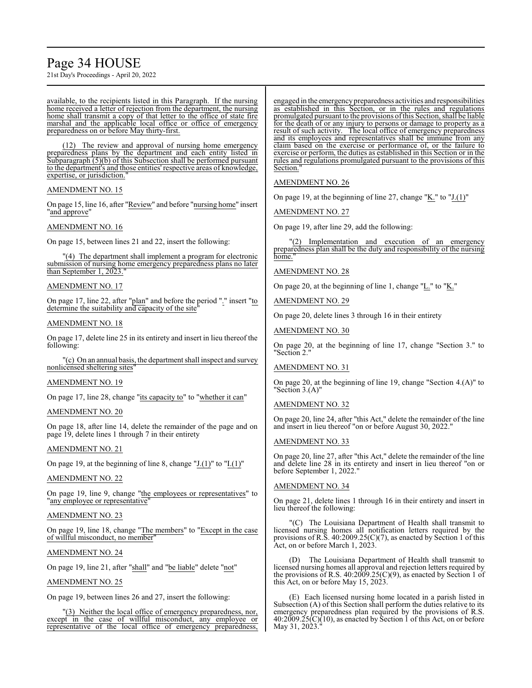# Page 34 HOUSE

21st Day's Proceedings - April 20, 2022

available, to the recipients listed in this Paragraph. If the nursing home received a letter of rejection from the department, the nursing home shall transmit a copy of that letter to the office of state fire marshal and the applicable local office or office of emergency preparedness on or before May thirty-first.

(12) The review and approval of nursing home emergency preparedness plans by the department and each entity listed in Subparagraph (5)(b) of this Subsection shall be performed pursuant to the department's and those entities' respective areas of knowledge, expertise, or jurisdiction.

## AMENDMENT NO. 15

On page 15, line 16, after "Review" and before "nursing home" insert "and approve"

# AMENDMENT NO. 16

On page 15, between lines 21 and 22, insert the following:

"(4) The department shall implement a program for electronic submission of nursing home emergency preparedness plans no later than September 1, 2023.

### AMENDMENT NO. 17

On page 17, line 22, after "plan" and before the period "." insert "to determine the suitability and capacity of the site

### AMENDMENT NO. 18

On page 17, delete line 25 in its entirety and insert in lieu thereof the following:

"(c) On an annual basis, the department shall inspect and survey nonlicensed sheltering sites"

# AMENDMENT NO. 19

On page 17, line 28, change "its capacity to" to "whether it can"

# AMENDMENT NO. 20

On page 18, after line 14, delete the remainder of the page and on page 19, delete lines 1 through 7 in their entirety

#### AMENDMENT NO. 21

On page 19, at the beginning of line 8, change " $J(1)$ " to " $I(1)$ "

#### AMENDMENT NO. 22

On page 19, line 9, change "the employees or representatives" to "any employee or representative

# AMENDMENT NO. 23

On page 19, line 18, change "The members" to "Except in the case of willful misconduct, no member"

### AMENDMENT NO. 24

On page 19, line 21, after "shall" and "be liable" delete "not"

# AMENDMENT NO. 25

On page 19, between lines 26 and 27, insert the following:

"(3) Neither the local office of emergency preparedness, nor, except in the case of willful misconduct, any employee or representative of the local office of emergency preparedness,

engaged in the emergencypreparedness activities and responsibilities as established in this Section, or in the rules and regulations promulgated pursuant to the provisions ofthis Section, shall be liable for the death of or any injury to persons or damage to property as a result of such activity. The local office of emergency preparedness and its employees and representatives shall be immune from any claim based on the exercise or performance of, or the failure to exercise or perform, the duties as established in this Section or in the rules and regulations promulgated pursuant to the provisions of this Section.

### AMENDMENT NO. 26

On page 19, at the beginning of line 27, change "K." to "J.(1)"

AMENDMENT NO. 27

On page 19, after line 29, add the following:

"(2) Implementation and execution of an emergency preparedness plan shall be the duty and responsibility of the nursing home."

# AMENDMENT NO. 28

On page 20, at the beginning of line 1, change "L." to "K."

AMENDMENT NO. 29

On page 20, delete lines 3 through 16 in their entirety

AMENDMENT NO. 30

On page 20, at the beginning of line 17, change "Section 3." to "Section 2."

#### AMENDMENT NO. 31

On page 20, at the beginning of line 19, change "Section 4.(A)" to "Section 3.(A)"

# AMENDMENT NO. 32

On page 20, line 24, after "this Act," delete the remainder of the line and insert in lieu thereof "on or before August 30, 2022."

# AMENDMENT NO. 33

On page 20, line 27, after "this Act," delete the remainder of the line and delete line 28 in its entirety and insert in lieu thereof "on or before September 1, 2022.'

# AMENDMENT NO. 34

On page 21, delete lines 1 through 16 in their entirety and insert in lieu thereof the following:

"(C) The Louisiana Department of Health shall transmit to licensed nursing homes all notification letters required by the provisions of R.S. 40:2009.25(C)(7), as enacted by Section 1 of this Act, on or before March 1, 2023.

(D) The Louisiana Department of Health shall transmit to licensed nursing homes all approval and rejection letters required by the provisions of R.S.  $40:2009.25(C)(9)$ , as enacted by Section 1 of this Act, on or before May 15, 2023.

(E) Each licensed nursing home located in a parish listed in Subsection (A) of this Section shall perform the duties relative to its emergency preparedness plan required by the provisions of R.S. 40:2009.25(C)(10), as enacted by Section 1 of this Act, on or before May 31, 2023.<sup>"</sup>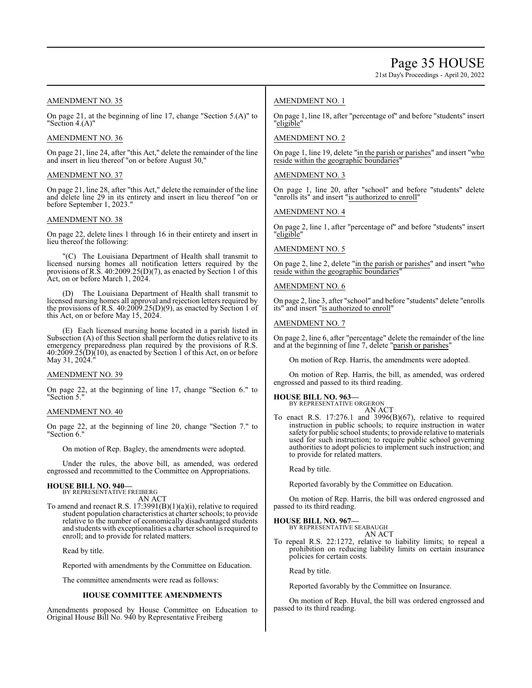21st Day's Proceedings - April 20, 2022

# AMENDMENT NO. 35

On page 21, at the beginning of line 17, change "Section 5.(A)" to "Section 4.(A)"

# AMENDMENT NO. 36

On page 21, line 24, after "this Act," delete the remainder of the line and insert in lieu thereof "on or before August 30,"

### AMENDMENT NO. 37

On page 21, line 28, after "this Act," delete the remainder of the line and delete line 29 in its entirety and insert in lieu thereof "on or before September 1, 2023."

### AMENDMENT NO. 38

On page 22, delete lines 1 through 16 in their entirety and insert in lieu thereof the following:

"(C) The Louisiana Department of Health shall transmit to licensed nursing homes all notification letters required by the provisions of R.S. 40:2009.25(D)(7), as enacted by Section 1 of this Act, on or before March 1, 2024.

The Louisiana Department of Health shall transmit to licensed nursing homes all approval and rejection letters required by the provisions of R.S. 40:2009.25(D)(9), as enacted by Section 1 of this Act, on or before May 15, 2024.

(E) Each licensed nursing home located in a parish listed in Subsection (A) of this Section shall perform the duties relative to its emergency preparedness plan required by the provisions of R.S.  $40:2009.25(D)(10)$ , as enacted by Section 1 of this Act, on or before May 31, 2024.<sup>"</sup>

# AMENDMENT NO. 39

On page 22, at the beginning of line 17, change "Section 6." to "Section 5."

#### AMENDMENT NO. 40

On page 22, at the beginning of line 20, change "Section 7." to "Section 6."

On motion of Rep. Bagley, the amendments were adopted.

Under the rules, the above bill, as amended, was ordered engrossed and recommitted to the Committee on Appropriations.

# **HOUSE BILL NO. 940—**

BY REPRESENTATIVE FREIBERG AN ACT

To amend and reenact R.S. 17:3991(B)(1)(a)(i), relative to required student population characteristics at charter schools; to provide relative to the number of economically disadvantaged students and students with exceptionalities a charter school is required to enroll; and to provide for related matters.

Read by title.

Reported with amendments by the Committee on Education.

The committee amendments were read as follows:

#### **HOUSE COMMITTEE AMENDMENTS**

Amendments proposed by House Committee on Education to Original House Bill No. 940 by Representative Freiberg

# AMENDMENT NO. 1

On page 1, line 18, after "percentage of" and before "students" insert "eligible"

# AMENDMENT NO. 2

On page 1, line 19, delete "in the parish or parishes" and insert "who reside within the geographic boundaries"

# AMENDMENT NO. 3

On page 1, line 20, after "school" and before "students" delete "enrolls its" and insert "is authorized to enroll"

### AMENDMENT NO. 4

On page 2, line 1, after "percentage of" and before "students" insert "eligible"

### AMENDMENT NO. 5

On page 2, line 2, delete "in the parish or parishes" and insert "who reside within the geographic boundaries'

### AMENDMENT NO. 6

On page 2, line 3, after "school" and before "students" delete "enrolls its" and insert "is authorized to enroll"

#### AMENDMENT NO. 7

On page 2, line 6, after "percentage" delete the remainder of the line and at the beginning of line 7, delete "parish or parishes"

On motion of Rep. Harris, the amendments were adopted.

On motion of Rep. Harris, the bill, as amended, was ordered engrossed and passed to its third reading.

# **HOUSE BILL NO. 963—**

BY REPRESENTATIVE ORGERON AN ACT

To enact R.S.  $17:276.1$  and  $3996(B)(67)$ , relative to required instruction in public schools; to require instruction in water safety for public school students; to provide relative to materials used for such instruction; to require public school governing authorities to adopt policies to implement such instruction; and to provide for related matters.

Read by title.

Reported favorably by the Committee on Education.

On motion of Rep. Harris, the bill was ordered engrossed and passed to its third reading.

# **HOUSE BILL NO. 967—**

BY REPRESENTATIVE SEABAUGH AN ACT

To repeal R.S. 22:1272, relative to liability limits; to repeal a prohibition on reducing liability limits on certain insurance policies for certain costs.

Read by title.

Reported favorably by the Committee on Insurance.

On motion of Rep. Huval, the bill was ordered engrossed and passed to its third reading.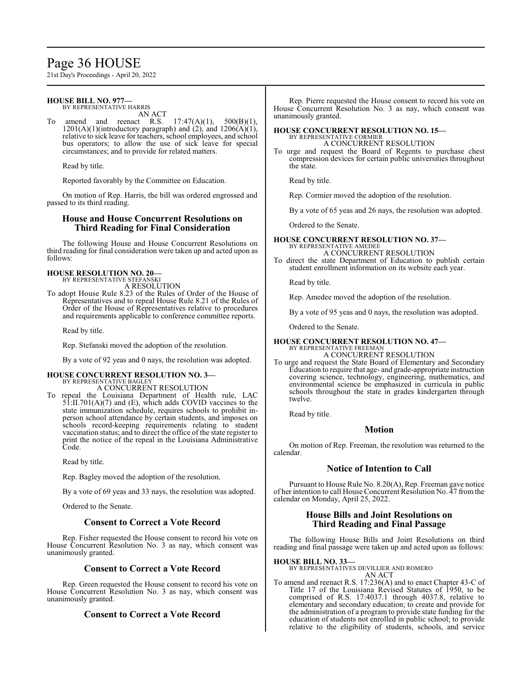# Page 36 HOUSE

21st Day's Proceedings - April 20, 2022

#### **HOUSE BILL NO. 977—** BY REPRESENTATIVE HARRIS

AN ACT

To amend and reenact R.S.  $17:47(A)(1)$ ,  $500(B)(1)$ , 1201(A)(1)(introductory paragraph) and  $(2)$ , and 1206(A)(1), relative to sick leave for teachers, school employees, and school bus operators; to allow the use of sick leave for special circumstances; and to provide for related matters.

Read by title.

Reported favorably by the Committee on Education.

On motion of Rep. Harris, the bill was ordered engrossed and passed to its third reading.

# **House and House Concurrent Resolutions on Third Reading for Final Consideration**

The following House and House Concurrent Resolutions on third reading for final consideration were taken up and acted upon as follows:

# **HOUSE RESOLUTION NO. 20—**

BY REPRESENTATIVE STEFANSKI A RESOLUTION

To adopt House Rule 8.23 of the Rules of Order of the House of Representatives and to repeal House Rule 8.21 of the Rules of Order of the House of Representatives relative to procedures and requirements applicable to conference committee reports.

Read by title.

Rep. Stefanski moved the adoption of the resolution.

By a vote of 92 yeas and 0 nays, the resolution was adopted.

#### **HOUSE CONCURRENT RESOLUTION NO. 3—** BY REPRESENTATIVE BAGLEY

A CONCURRENT RESOLUTION

To repeal the Louisiana Department of Health rule, LAC 51:II.701(A)(7) and (E), which adds COVID vaccines to the state immunization schedule, requires schools to prohibit inperson school attendance by certain students, and imposes on schools record-keeping requirements relating to student vaccination status; and to direct the office of the state register to print the notice of the repeal in the Louisiana Administrative Code.

Read by title.

Rep. Bagley moved the adoption of the resolution.

By a vote of 69 yeas and 33 nays, the resolution was adopted.

Ordered to the Senate.

# **Consent to Correct a Vote Record**

Rep. Fisher requested the House consent to record his vote on House Concurrent Resolution No. 3 as nay, which consent was unanimously granted.

# **Consent to Correct a Vote Record**

Rep. Green requested the House consent to record his vote on House Concurrent Resolution No. 3 as nay, which consent was unanimously granted.

# **Consent to Correct a Vote Record**

Rep. Pierre requested the House consent to record his vote on House Concurrent Resolution No. 3 as nay, which consent was unanimously granted.

#### **HOUSE CONCURRENT RESOLUTION NO. 15—** BY REPRESENTATIVE CORMIER A CONCURRENT RESOLUTION

To urge and request the Board of Regents to purchase chest compression devices for certain public universities throughout the state.

Read by title.

Rep. Cormier moved the adoption of the resolution.

By a vote of 65 yeas and 26 nays, the resolution was adopted.

Ordered to the Senate.

# **HOUSE CONCURRENT RESOLUTION NO. 37—** BY REPRESENTATIVE AMEDEE A CONCURRENT RESOLUTION

To direct the state Department of Education to publish certain student enrollment information on its website each year.

Read by title.

Rep. Amedee moved the adoption of the resolution.

By a vote of 95 yeas and 0 nays, the resolution was adopted.

Ordered to the Senate.

#### **HOUSE CONCURRENT RESOLUTION NO. 47—** BY REPRESENTATIVE FREEMAN

A CONCURRENT RESOLUTION

To urge and request the State Board of Elementary and Secondary Education to require that age- and grade-appropriate instruction covering science, technology, engineering, mathematics, and environmental science be emphasized in curricula in public schools throughout the state in grades kindergarten through twelve.

Read by title.

# **Motion**

On motion of Rep. Freeman, the resolution was returned to the calendar.

# **Notice of Intention to Call**

Pursuant to House Rule No. 8.20(A), Rep. Freeman gave notice of her intention to call House Concurrent Resolution No. 47 fromthe calendar on Monday, April 25, 2022.

# **House Bills and Joint Resolutions on Third Reading and Final Passage**

The following House Bills and Joint Resolutions on third reading and final passage were taken up and acted upon as follows:

**HOUSE BILL NO. 33—**

BY REPRESENTATIVES DEVILLIER AND ROMERO AN ACT

To amend and reenact R.S. 17:236(A) and to enact Chapter 43-C of Title 17 of the Louisiana Revised Statutes of 1950, to be comprised of R.S. 17:4037.1 through 4037.8, relative to elementary and secondary education; to create and provide for the administration of a program to provide state funding for the education of students not enrolled in public school; to provide relative to the eligibility of students, schools, and service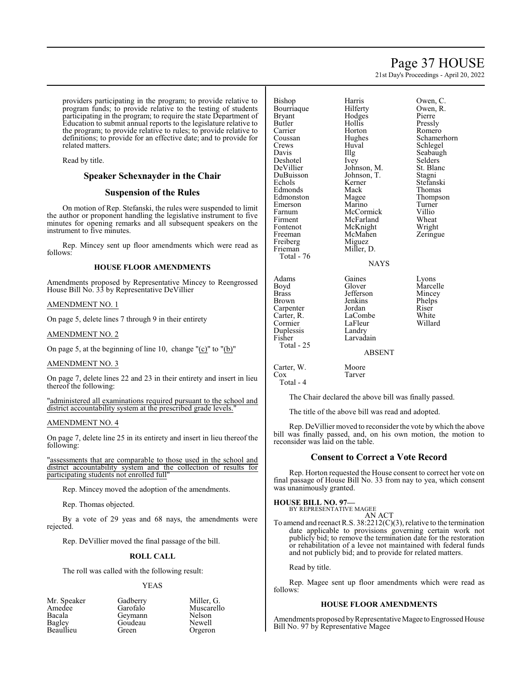# Page 37 HOUSE

21st Day's Proceedings - April 20, 2022

providers participating in the program; to provide relative to program funds; to provide relative to the testing of students participating in the program; to require the state Department of Education to submit annual reports to the legislature relative to the program; to provide relative to rules; to provide relative to definitions; to provide for an effective date; and to provide for related matters.

Read by title.

# **Speaker Schexnayder in the Chair**

# **Suspension of the Rules**

On motion of Rep. Stefanski, the rules were suspended to limit the author or proponent handling the legislative instrument to five minutes for opening remarks and all subsequent speakers on the instrument to five minutes.

Rep. Mincey sent up floor amendments which were read as follows:

### **HOUSE FLOOR AMENDMENTS**

Amendments proposed by Representative Mincey to Reengrossed House Bill No. 33 by Representative DeVillier

### AMENDMENT NO. 1

On page 5, delete lines 7 through 9 in their entirety

#### AMENDMENT NO. 2

On page 5, at the beginning of line 10, change " $(c)$ " to " $(b)$ "

#### AMENDMENT NO. 3

On page 7, delete lines 22 and 23 in their entirety and insert in lieu thereof the following:

"administered all examinations required pursuant to the school and district accountability system at the prescribed grade levels."

#### AMENDMENT NO. 4

On page 7, delete line 25 in its entirety and insert in lieu thereof the following:

"assessments that are comparable to those used in the school and district accountability system and the collection of results for participating students not enrolled full"

Rep. Mincey moved the adoption of the amendments.

Rep. Thomas objected.

By a vote of 29 yeas and 68 nays, the amendments were rejected.

Rep. DeVillier moved the final passage of the bill.

# **ROLL CALL**

The roll was called with the following result:

### YEAS

| Mr. Speaker   |
|---------------|
| Amedee        |
| Bacala        |
| <b>Bagley</b> |
| Beaullieu     |

Gadberry Miller, G.<br>Garofalo Muscarell Geymann Nelson<br>Goudeau Newell Goudeau<br>Green

Muscarello<br>Nelson

Orgeron

Bishop Harris Owen, C.<br>Bourriaque Hilferty Owen, R. Bourriaque Hilferty Owen,<br>Bryant Hodges Pierre Bryant Hodges<br>Butler Hollis Butler Hollis Pressly Carrier Horton Romero<br>Coussan Hughes Schame Schamerhorn Crews Huval Schlegel<br>
Davis HIIg Seabaugl Illg Seabaugh<br>Ivey Selders Deshotel Ivey Selders<br>DeVillier Johnson, M. St. Blanc DeVillier Johnson, M. St. Blanch<br>DuBuisson Johnson, T. Stagni DuBuisson Johnson, T.<br>Echols Kerner Kerner Stefanski<br>Mack Thomas Edmonds Mack Thomas<br>Edmonston Magee Thompson Edmonston Magee Thomp<br>
Emerson Marino Turner Emerson Marino Turner<br>Farnum McCormick Villio Farnum McCormick Villio<br>Firment McFarland Wheat Firment McFarland Wheat<br>
Fontenot McKnight Wright Fontenot McKnight<br>Freeman McMahen McMahen Zeringue<br>Miguez Freiberg<br>Frieman Miller, D. Total - 76 NAYS Adams Gaines Lyons<br>Boyd Glover Marce Boyd Glover Marcelle<br>Brass Jefferson Mincey Brass Jefferson<br>Brown Jenkins Jenkins Phelps<br>Jordan Riser Carpenter Jordan Riser<br>Carter R. LaCombe White Carter, R. LaCombe White<br>
Cormier LaFleur Willard Cormier LaFleur<br>
Duplessis Landry Duplessis<br>Fisher Larvadain Total - 25 ABSENT Carter, W. Moore

Cox Tarver Total - 4

The Chair declared the above bill was finally passed.

The title of the above bill was read and adopted.

Rep. DeVillier moved to reconsider the vote by which the above bill was finally passed, and, on his own motion, the motion to reconsider was laid on the table.

#### **Consent to Correct a Vote Record**

Rep. Horton requested the House consent to correct her vote on final passage of House Bill No. 33 from nay to yea, which consent was unanimously granted.

**HOUSE BILL NO. 97—**

BY REPRESENTATIVE MAGEE AN ACT

To amend and reenact R.S. 38:2212(C)(3), relative to the termination date applicable to provisions governing certain work not publicly bid; to remove the termination date for the restoration or rehabilitation of a levee not maintained with federal funds and not publicly bid; and to provide for related matters.

Read by title.

Rep. Magee sent up floor amendments which were read as follows:

#### **HOUSE FLOOR AMENDMENTS**

Amendments proposed by Representative Magee to Engrossed House Bill No. 97 by Representative Magee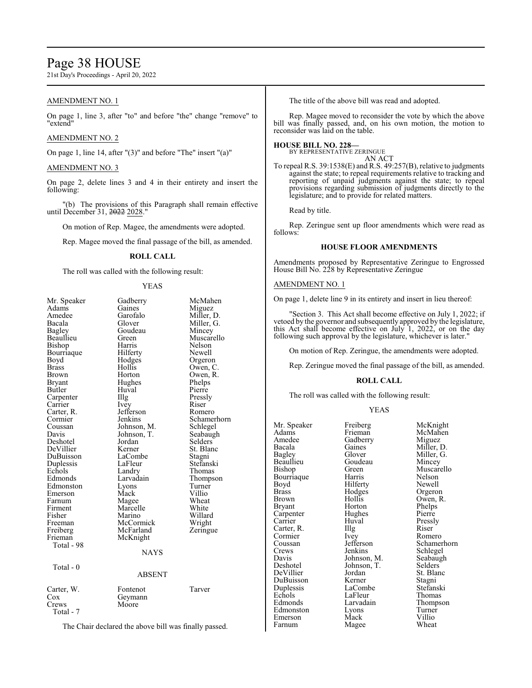# Page 38 HOUSE

21st Day's Proceedings - April 20, 2022

# AMENDMENT NO. 1

On page 1, line 3, after "to" and before "the" change "remove" to "extend"

# AMENDMENT NO. 2

On page 1, line 14, after "(3)" and before "The" insert "(a)"

#### AMENDMENT NO. 3

On page 2, delete lines 3 and 4 in their entirety and insert the following:

"(b) The provisions of this Paragraph shall remain effective until December 31, 2022 2028.

On motion of Rep. Magee, the amendments were adopted.

Rep. Magee moved the final passage of the bill, as amended.

# **ROLL CALL**

The roll was called with the following result:

#### YEAS

| Mr. Speaker       | Gadberry         | McMahen     |
|-------------------|------------------|-------------|
| Adams             | Gaines           | Miguez      |
| Amedee            | Garofalo         | Miller, D.  |
| Bacala            | Glover           | Miller, G.  |
| Bagley            | Goudeau          | Mincey      |
| Beaullieu         | Green            | Muscarello  |
| Bishop            | Harris           | Nelson      |
| Bourriaque        | Hilferty         | Newell      |
| Boyd              | Hodges           | Orgeron     |
| Brass             | Hollis           | Owen, C.    |
| Brown             | Horton           | Owen, R.    |
| Bryant            | Hughes           | Phelps      |
| Butler            | Huval            | Pierre      |
| Carpenter         | Illg             | Pressly     |
| Carrier           | Ivey             | Riser       |
| Carter, R.        | Jefferson        | Romero      |
| Cormier           | Jenkins          | Schamerhorn |
| Coussan           | Johnson, M.      | Schlegel    |
| Davis             | Johnson, T.      | Seabaugh    |
| Deshotel          | Jordan           | Selders     |
| DeVillier         | Kerner           | St. Blanc   |
| DuBuisson         | LaCombe          | Stagni      |
| Duplessis         | LaFleur          | Stefanski   |
| Echols            | Landry           | Thomas      |
| Edmonds           | Larvadain        | Thompson    |
| Edmonston         | Lyons            | Turner      |
| Emerson           | Mack             | Villio      |
| Farnum            | Magee            | Wheat       |
| Firment           | Marcelle         | White       |
| Fisher            | Marino           | Willard     |
| Freeman           | McCormick        | Wright      |
| Freiberg          | McFarland        | Zeringue    |
| Frieman           | McKnight         |             |
| Total - 98        |                  |             |
|                   | NAYS             |             |
|                   |                  |             |
| Total - 0         |                  |             |
|                   | <b>ABSENT</b>    |             |
|                   |                  |             |
| Carter, W.<br>Cox | Fontenot         | Tarver      |
| Crews             | Geymann<br>Moore |             |
| Total - 7         |                  |             |
|                   |                  |             |

The Chair declared the above bill was finally passed.

The title of the above bill was read and adopted.

Rep. Magee moved to reconsider the vote by which the above bill was finally passed, and, on his own motion, the motion to reconsider was laid on the table.

#### **HOUSE BILL NO. 228—**

BY REPRESENTATIVE ZERINGUE

AN ACT

To repeal R.S. 39:1538(E) and R.S. 49:257(B), relative to judgments against the state; to repeal requirements relative to tracking and reporting of unpaid judgments against the state; to repeal provisions regarding submission of judgments directly to the legislature; and to provide for related matters.

Read by title.

Rep. Zeringue sent up floor amendments which were read as follows:

# **HOUSE FLOOR AMENDMENTS**

Amendments proposed by Representative Zeringue to Engrossed House Bill No. 228 by Representative Zeringue

#### AMENDMENT NO. 1

On page 1, delete line 9 in its entirety and insert in lieu thereof:

"Section 3. This Act shall become effective on July 1, 2022; if vetoed by the governor and subsequently approved by the legislature, this Act shall become effective on July 1, 2022, or on the day following such approval by the legislature, whichever is later."

On motion of Rep. Zeringue, the amendments were adopted.

Rep. Zeringue moved the final passage of the bill, as amended.

#### **ROLL CALL**

The roll was called with the following result:

#### YEAS

| Mr. Speaker | Freiberg    | McKnight   |
|-------------|-------------|------------|
| Adams       | Frieman     | McMahen    |
| Amedee      | Gadberry    | Miguez     |
| Bacala      | Gaines      | Miller, D. |
| Bagley      | Glover      | Miller, G. |
| Beaullieu   | Goudeau     | Mincey     |
| Bishop      | Green       | Muscarello |
| Bourriaque  | Harris      | Nelson     |
| Boyd        | Hilferty    | Newell     |
| Brass       | Hodges      | Orgeron    |
| Brown       | Hollis      | Owen, R.   |
| Bryant      | Horton      | Phelps     |
| Carpenter   | Hughes      | Pierre     |
| Carrier     | Huval       | Pressly    |
| Carter, R.  | Illg        | Riser      |
| Cormier     | Ivey        | Romero     |
| Coussan     | Jefferson   | Schamerho  |
| Crews       | Jenkins     | Schlegel   |
| Davis       | Johnson, M. | Seabaugh   |
| Deshotel    | Johnson, T. | Selders    |
| DeVillier   | Jordan      | St. Blanc  |
| DuBuisson   | Kerner      | Stagni     |
| Duplessis   | LaCombe     | Stefanski  |
| Echols      | LaFleur     | Thomas     |
| Edmonds     | Larvadain   | Thompson   |
| Edmonston   | Lyons       | Turner     |
| Emerson     | Mack        | Villio     |
| Farnum      | Magee       | Wheat      |

Gaines Miller, D.<br>Glover Miller, G. Glover Miller, G.<br>Goudeau Mincey Goudeau Mincey<br>Green Muscar Green Muscarello<br>Harris Nelson enternal Harris Nelson<br>Bourries Newell Boyd Hilferty Newell Hodges Orgeron<br>Hollis Owen, R Hollis Owen, R.<br>Horton Phelps Phelps<br>Pierre Carrier Huval Pressly Ivey Romero<br>Jefferson Schame Jefferson Schamerhorn<br>Jenkins Schlegel Schlegel<br>Seabaugh Johnson, M. Seabaugh<br>Johnson, T. Selders St. Blanc<br>Stagni Kerner Stagni<br>LaCombe Stefanski LaFleur Thomas<br>Larvadain Thomps Exercise Larvadain<br>
External Lyons<br>
Lyons<br>
Lyons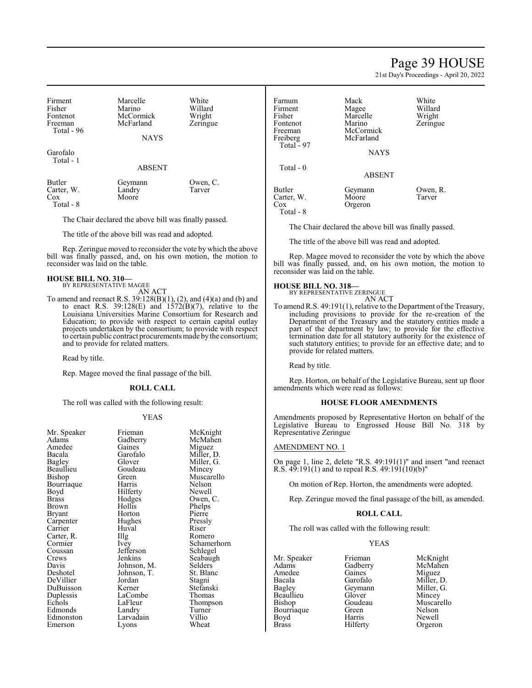# Page 39 HOUSE

21st Day's Proceedings - April 20, 2022

| Firment<br>Fisher<br>Fontenot<br>Freeman<br>Total - 96 | Marcelle<br>Marino<br>McCormick<br>McFarland | White<br>Willard<br>Wright<br>Zeringue |
|--------------------------------------------------------|----------------------------------------------|----------------------------------------|
|                                                        | <b>NAYS</b>                                  |                                        |
| Garofalo<br>Total - 1                                  | <b>ABSENT</b>                                |                                        |

| Butler     | Geymann | Owen, C. |
|------------|---------|----------|
| Carter, W. | Landry  | Tarver   |
| Cox        | Moore   |          |
| Total - 8  |         |          |

The Chair declared the above bill was finally passed.

The title of the above bill was read and adopted.

Rep. Zeringue moved to reconsider the vote by which the above bill was finally passed, and, on his own motion, the motion to reconsider was laid on the table.

#### **HOUSE BILL NO. 310—** BY REPRESENTATIVE MAGEE

AN ACT

To amend and reenact R.S. 39:128(B)(1), (2), and (4)(a) and (b) and to enact R.S.  $39:128(E)$  and  $1572(B)(7)$ , relative to the Louisiana Universities Marine Consortium for Research and Education; to provide with respect to certain capital outlay projects undertaken by the consortium; to provide with respect to certain public contract procurements made bythe consortium; and to provide for related matters.

Read by title.

Rep. Magee moved the final passage of the bill.

#### **ROLL CALL**

The roll was called with the following result:

#### YEAS

| Mr. Speaker | Frieman     | McKn                |
|-------------|-------------|---------------------|
| Adams       | Gadberry    | McMa                |
| Amedee      | Gaines      | Migue               |
| Bacala      | Garofalo    | Miller              |
| Bagley      | Glover      | Miller,             |
| Beaullieu   | Goudeau     | Mince               |
| Bishop      | Green       | Musca               |
| Bourriaque  | Harris      | Nelson              |
| Boyd        | Hilferty    | Newel               |
| Brass       | Hodges      | Owen,               |
| Brown       | Hollis      | Phelps              |
| Bryant      | Horton      | Pierre              |
| Carpenter   | Hughes      | Pressl <sub>!</sub> |
| Carrier     | Huval       | Riser               |
| Carter, R.  | Illg        | Romer               |
| Cormier     | Ivey        | Scham               |
| Coussan     | Jefferson   | Schleg              |
| Crews       | Jenkins     | Seabai              |
| Davis       | Johnson, M. | Selder              |
| Deshotel    | Johnson, T. | St. Bla             |
| DeVillier   | Jordan      | Stagni              |
| DuBuisson   | Kerner      | Stefan              |
| Duplessis   | LaCombe     | Thoma               |
| Echols      | LaFleur     | Thomp               |
| Edmonds     | Landry      | Turnei              |
| Edmonston   | Larvadain   | Villio              |
| Emerson     | Lyons       | Wheat               |
|             |             |                     |

eman McKnight<br>dberry McMahen dberry McMahen<br>
ines Miguez ines Miguez<br>
rofalo Miller I Bacala Garofalo Miller, D. ber Miller, G.<br>Baglerich Mincey udeau Mincey<br>een Muscare Muscarello rris Nelson Ferty Newell<br>dges Owen, dges Owen, C.<br>Ilis Phelps llis Phelps<br>rton Pierre ghes Pressly<br>val Riser Romero y<br>
Ferson Schlegel<br>
Schlegel ferson Schlegel<br>1991 - Seabaugl Seabaugh<br>Selders nson, T.<br>
dan Stagni Stagni rner Stefanski<br>Combe Thomas Combe Thomas<br>Fleur Thomps Fleur Thompson<br>
Turner Turner Turner<br>Villio vadain Villio<br>ons Wheat

| Farnum<br>Firment<br>Fisher<br>Fontenot<br>Freeman | Mack<br>Magee<br>Marcelle<br>Marino<br>McCormick | White<br>Willard<br>Wright<br>Zeringue |
|----------------------------------------------------|--------------------------------------------------|----------------------------------------|
| Freiberg<br>Total $-97$                            | McFarland<br><b>NAYS</b>                         |                                        |
| Total - 0                                          | <b>ABSENT</b>                                    |                                        |
| Butler<br>Carter, W.<br>Cox<br>Total - 8           | Geymann<br>Moore<br>Orgeron                      | Owen, R.<br>Tarver                     |

The Chair declared the above bill was finally passed.

The title of the above bill was read and adopted.

Rep. Magee moved to reconsider the vote by which the above bill was finally passed, and, on his own motion, the motion to reconsider was laid on the table.

# **HOUSE BILL NO. 318—**

BY REPRESENTATIVE ZERINGUE

- AN ACT
- To amend R.S. 49:191(1), relative to the Department of the Treasury, including provisions to provide for the re-creation of the Department of the Treasury and the statutory entities made a part of the department by law; to provide for the effective termination date for all statutory authority for the existence of such statutory entities; to provide for an effective date; and to provide for related matters.

Read by title.

Rep. Horton, on behalf of the Legislative Bureau, sent up floor amendments which were read as follows:

#### **HOUSE FLOOR AMENDMENTS**

Amendments proposed by Representative Horton on behalf of the Legislative Bureau to Engrossed House Bill No. 318 by Representative Zeringue

#### AMENDMENT NO. 1

On page 1, line 2, delete "R.S. 49:191(1)" and insert "and reenact R.S. 49:191(1) and to repeal R.S. 49:191(10)(b)"

On motion of Rep. Horton, the amendments were adopted.

Rep. Zeringue moved the final passage of the bill, as amended.

#### **ROLL CALL**

The roll was called with the following result:

#### YEAS

Mr. Speaker Frieman McKnight<br>
Adams Gadberry McMahen Amedee Gaines<br>Bacala Garofalo Bacala Garofalo Miller, D.<br>Bagley Geymann Miller, G. Bagley Geymann Miller, G.<br>Beaullieu Glover Mincey Beaullieu Glover Mincey<br>Bishop Goudeau Muscare Bourriaque<br>Boyd Boyd Harris Newell<br>Brass Hilferty Orgero

Gadberry McMahen<br>Gaines Miguez Goudeau Muscarello<br>Green Nelson Orgeron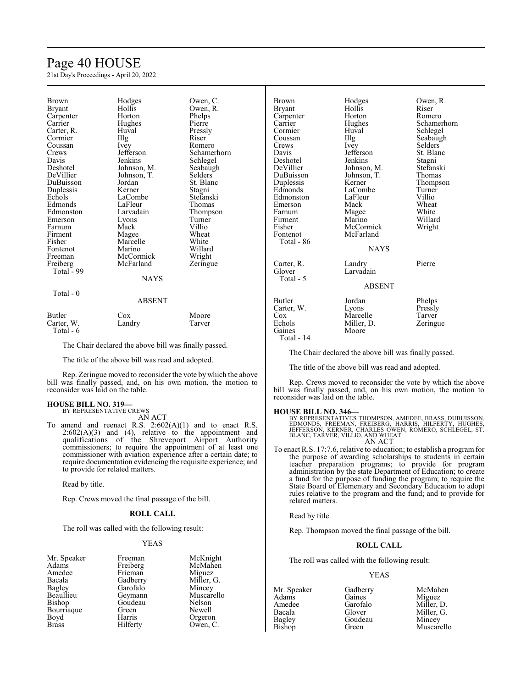# Page 40 HOUSE

21st Day's Proceedings - April 20, 2022

| Brown<br>Bryant<br>Carpenter<br>Carrier<br>Carter, R.<br>Cormier<br>Coussan<br>Crews<br>Davis<br>Deshotel<br>DeVillier<br>DuBuisson<br>Duplessis<br>Echols<br>Edmonds<br>Edmonston<br>Emerson<br>Farnum<br>Firment<br>Fisher<br>Fontenot<br>Freeman<br>Freiberg<br>Total - 99 | Hodges<br>Hollis<br>Horton<br>Hughes<br>Huval<br>$\prod_{i=1}^{n}$<br><i>lvey</i><br>Jefferson<br><b>Jenkins</b><br>Johnson, M.<br>Johnson, T.<br>Jordan<br>Kerner<br>LaCombe<br>LaFleur<br>Larvadain<br>Lyons<br>Mack<br>Magee<br>Marcelle<br>Marino<br>McCormick<br>McFarland<br><b>NAYS</b> | Owen, C.<br>Owen, R.<br>Phelps<br>Pierre<br>Pressly<br>Riser<br>Romero<br>Schamerhorn<br>Schlegel<br>Seabaugh<br>Selders<br>St. Blanc<br>Stagni<br>Stefanski<br>Thomas<br>Thompson<br>Turner<br>Villio<br>Wheat<br>White<br>Willard<br>Wright<br>Zeringue |
|-------------------------------------------------------------------------------------------------------------------------------------------------------------------------------------------------------------------------------------------------------------------------------|------------------------------------------------------------------------------------------------------------------------------------------------------------------------------------------------------------------------------------------------------------------------------------------------|-----------------------------------------------------------------------------------------------------------------------------------------------------------------------------------------------------------------------------------------------------------|
|                                                                                                                                                                                                                                                                               |                                                                                                                                                                                                                                                                                                |                                                                                                                                                                                                                                                           |
| Total - 0                                                                                                                                                                                                                                                                     | ABSENT                                                                                                                                                                                                                                                                                         |                                                                                                                                                                                                                                                           |

| Butler     | Cox    | Moore  |
|------------|--------|--------|
| Carter, W. | Landry | Tarver |
| Total - 6  |        |        |

The Chair declared the above bill was finally passed.

The title of the above bill was read and adopted.

Rep. Zeringue moved to reconsider the vote by which the above bill was finally passed, and, on his own motion, the motion to reconsider was laid on the table.

# **HOUSE BILL NO. 319—** BY REPRESENTATIVE CREWS

AN ACT

To amend and reenact R.S.  $2:602(A)(1)$  and to enact R.S.  $2:602(A)(3)$  and  $(4)$ , relative to the appointment and qualifications of the Shreveport Airport Authority commissioners; to require the appointment of at least one commissioner with aviation experience after a certain date; to require documentation evidencing the requisite experience; and to provide for related matters.

Read by title.

Rep. Crews moved the final passage of the bill.

#### **ROLL CALL**

The roll was called with the following result:

# YEAS

| Mr. Speaker  | Freeman  | McKnigh   |
|--------------|----------|-----------|
| Adams        | Freiberg | McMahe    |
| Amedee       | Frieman  | Miguez    |
| Bacala       | Gadberry | Miller, G |
| Bagley       | Garofalo | Mincey    |
| Beaullieu    | Geymann  | Muscarel  |
| Bishop       | Goudeau  | Nelson    |
| Bourriaque   | Green    | Newell    |
| Boyd         | Harris   | Orgeron   |
| <b>Brass</b> | Hilferty | Owen, C.  |
|              |          |           |

McKnight McMahen Miguez Miller, G. Mincey Muscarello Nelson Newell Orgeron

| <b>Brown</b><br>Bryant<br>Carpenter<br>Carrier<br>Cormier<br>Coussan<br>Crews<br>Davis<br>Deshotel<br>DeVillier<br>DuBuisson<br>Duplessis<br>Edmonds<br>Edmonston<br>Emerson<br>Farnum<br>Firment<br>Fisher<br>Fontenot<br>Total - 86 | Hodges<br>Hollis<br>Horton<br>Hughes<br>Huval<br>Illg<br><i>lvey</i><br>Jefferson<br>Jenkins<br>Johnson, M.<br>Johnson, T.<br>Kerner<br>LaCombe<br>LaFleur<br>Mack<br>Magee<br>Marino<br>McCormick<br>McFarland<br><b>NAYS</b> | Owen, R.<br>Riser<br>Romero<br>Schamerhorn<br>Schlegel<br>Seabaugh<br>Selders<br>St. Blanc<br>Stagni<br>Stefanski<br>Thomas<br>Thompson<br>Turner<br>Villio<br>Wheat<br>White<br>Willard<br>Wright |
|---------------------------------------------------------------------------------------------------------------------------------------------------------------------------------------------------------------------------------------|--------------------------------------------------------------------------------------------------------------------------------------------------------------------------------------------------------------------------------|----------------------------------------------------------------------------------------------------------------------------------------------------------------------------------------------------|
| Carter, R.<br>Glover<br>Total - 5                                                                                                                                                                                                     | Landry<br>Larvadain<br><b>ABSENT</b>                                                                                                                                                                                           | Pierre                                                                                                                                                                                             |
| <b>Butler</b><br>Carter, W.<br>Cox<br>Echols<br>Gaines                                                                                                                                                                                | Jordan<br>Lyons<br>Marcelle<br>Miller, D.<br>Moore                                                                                                                                                                             | Phelps<br>Pressly<br>Tarver<br>Zeringue                                                                                                                                                            |

Total - 14

The Chair declared the above bill was finally passed.

The title of the above bill was read and adopted.

Rep. Crews moved to reconsider the vote by which the above bill was finally passed, and, on his own motion, the motion to reconsider was laid on the table.

### **HOUSE BILL NO. 346—**

BY REPRESENTATIVES THOMPSON, AMEDEE, BRASS, DUBUISSON,<br>EDMONDS, FREEMAN, FREIBERG, HARRIS, HILFERTY, HUGHES,<br>JEFFERSON, KERNER, CHARLES OWEN, ROMERO, SCHLEGEL, ST.<br>BLANC, TARVER, VILLIO, AND WHEAT AN ACT

To enact R.S. 17:7.6, relative to education; to establish a program for the purpose of awarding scholarships to students in certain teacher preparation programs; to provide for program administration by the state Department of Education; to create a fund for the purpose of funding the program; to require the State Board of Elementary and Secondary Education to adopt rules relative to the program and the fund; and to provide for related matters.

Read by title.

Rep. Thompson moved the final passage of the bill.

# **ROLL CALL**

The roll was called with the following result:

#### YEAS

Adams Gaines<br>Amedee Garofalo Bagley Goudeau<br>Bishop Green

Mr. Speaker Gadberry McMahen<br>Adams Gaines Miguez Amedee Garofalo Miller, D.<br>Bacala Glover Miller, G. Bacala Glover Miller, G.<br>Bagley Goudeau Mincey Muscarello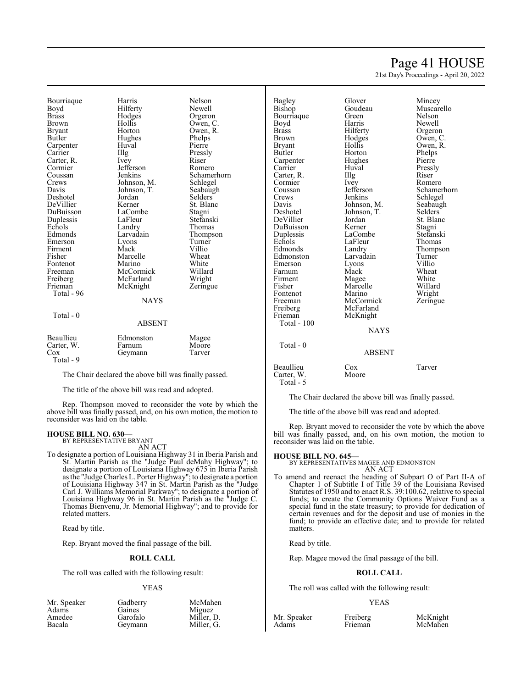# Page 41 HOUSE

21st Day's Proceedings - April 20, 2022

Bourriaque Harris Nelson<br>Boyd Hilferty Newell Boyd Hilferty<br>Brass Hodges Brass Hodges Orgeron Brown Hollis Owen, C. Bryant Horton Owen, R.<br>Butler Hughes Phelps Carpenter Huval<br>Carrier Hllg Carter, R. Ivey Riser Cormier Befferson Romero Cormier Jefferson<br>Coussan Jenkins Coussan Jenkins Schamerhorn<br>Crews Johnson, M. Schlegel Crews Johnson, M. Schlegel<br>Davis Johnson, T. Seabaugh Deshotel Jordan Selders DeVillier<br>DuBuisson Duplessis LaFleur<br>Echols Landry Echols Landry Thomas<br>
Edmonds Larvadain Thomps Emerson Lyons Turner<br>Firment Mack Villio Firment Mack Villio<br>Fisher Marcelle Wheat Fontenot Marino White<br>
Freeman McCormick Willard Freeman McCormick Willard<br>
Freiberg McFarland Wright Freiberg McFarland Wright<br>Frieman McKnight Zeringue Total - 96

Total - 0

Total - 9

reconsider was laid on the table.

BY REPRESENTATIVE BRYANT

**HOUSE BILL NO. 630—**

related matters. Read by title.

Hughes Phelps<br>Huval Pierre The Pressly<br>
Ivey Riser Johnson, T. Seabaug<br>Jordan Selders LaCombe Stagni<br>LaFleur Stefanski Larvadain Thompson<br>Lyons Turner Marcelle Wheat<br>Marino White McKnight **NAYS** 

ABSENT

The Chair declared the above bill was finally passed. The title of the above bill was read and adopted.

Rep. Thompson moved to reconsider the vote by which the above bill was finally passed, and, on his own motion, the motion to

AN ACT To designate a portion of Louisiana Highway 31 in Iberia Parish and St. Martin Parish as the "Judge Paul deMahy Highway"; to designate a portion of Louisiana Highway 675 in Iberia Parish as the "Judge Charles L. Porter Highway"; to designate a portion of Louisiana Highway 347 in St. Martin Parish as the "Judge Carl J. Williams Memorial Parkway"; to designate a portion of Louisiana Highway 96 in St. Martin Parish as the "Judge C. Thomas Bienvenu, Jr. Memorial Highway"; and to provide for

Rep. Bryant moved the final passage of the bill.

The roll was called with the following result:

**ROLL CALL**

YEAS

Beaullieu Edmonston Magee<br>Carter, W. Farnum Moore Carter, W. Farnum Moore<br>Cox Geymann Tarver Geymann

# Bagley Glover Mincey<br>Bishop Goudeau Muscar Bourriaque Green<br>Boyd Harris Boyd Harris Newell<br>Brass Hilferty Orgeron Brass Hilferty<br>Brown Hodges Brown Hodges Owen, C.<br>Bryant Hollis Owen, R. Bryant Hollis Owen, R.<br>Butler Horton Phelps Carpenter Hughe<br>Carrier Huval Carter, R. Illg Riser Cormier Livey Romero Cormier Ivey<br>Coussan Jefferson Coussan Jefferson Schamerhorn<br>Crews Jenkins Schlegel Crews Jenkins Schlegel<br>Davis Johnson, M. Seabaugh Davis Johnson, M.<br>Deshotel Johnson T. DeVillier Jordan St. Blanc<br>DuBuisson Kerner Stagni DuBuisson Kerner Stagni Duplessis LaCombe Stefansk<br>Echols LaFleur Thomas Echols LaFleur<br>Edmonds Landry Edmonston Larvadain Turner<br>Emerson Lyons Villio Emerson Lyons Villio<br>
Farnum Mack Wheat Farnum Mack Wheat<br>Firment Mage White Firment Magee White<br>
Fisher Marcelle Willard Fontenot Marino Wright<br>
Freeman McCormick Zeringue Freeman McCormick<br>Freiberg McFarland Freiberg McFarland<br>Frieman McKnight Total - 100

Horton Phelps<br>Hughes Pierre Huval Pressly<br>Illg Riser Johnson, T. Selders<br>Jordan St. Blanc Marcelle Willard<br>
Marino Wright McKnight NAYS

Goudeau Muscarello<br>Green Nelson Landry Thompson<br>Larvadain Turner

 Total - 0 ABSENT Beaullieu Cox Tarver Carter, W. Moore Total - 5

The Chair declared the above bill was finally passed.

The title of the above bill was read and adopted.

Rep. Bryant moved to reconsider the vote by which the above bill was finally passed, and, on his own motion, the motion to reconsider was laid on the table.

#### **HOUSE BILL NO. 645—**

BY REPRESENTATIVES MAGEE AND EDMONSTON AN ACT

To amend and reenact the heading of Subpart O of Part II-A of Chapter 1 of Subtitle I of Title 39 of the Louisiana Revised Statutes of 1950 and to enact R.S. 39:100.62, relative to special funds; to create the Community Options Waiver Fund as a special fund in the state treasury; to provide for dedication of certain revenues and for the deposit and use of monies in the fund; to provide an effective date; and to provide for related matters.

Read by title.

Rep. Magee moved the final passage of the bill.

### **ROLL CALL**

The roll was called with the following result:

#### YEAS

| Mr. Speaker | Gadberry | McMahen    |             |
|-------------|----------|------------|-------------|
| Adams       | Gaines   | Miguez     |             |
| Amedee      | Garofalo | Miller, D. | Mr. Speaker |
| Bacala      | Gevmann  | Miller. G. | Adams       |

Freiberg McKnight<br>
Frieman McMahen McMahen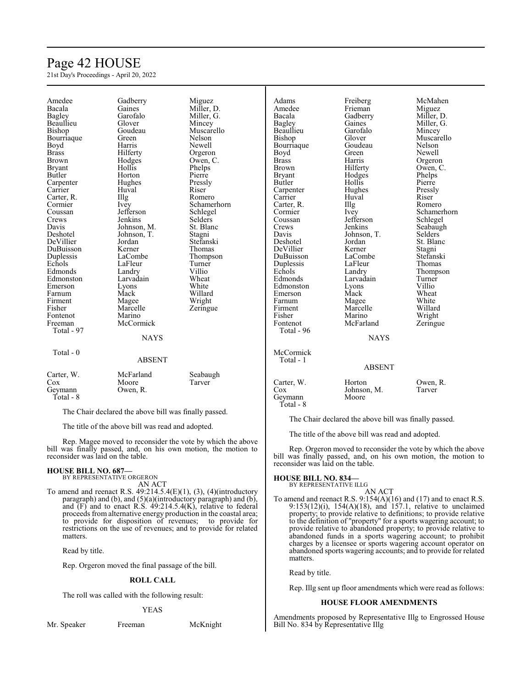# Page 42 HOUSE

21st Day's Proceedings - April 20, 2022

| Amedee        | Gadberry                               | Miguez      | Adams         | Freiberg      | McMahen     |
|---------------|----------------------------------------|-------------|---------------|---------------|-------------|
| Bacala        | Gaines                                 | Miller, D.  | Amedee        | Frieman       | Miguez      |
| <b>Bagley</b> | Garofalo                               | Miller, G.  | Bacala        | Gadberry      | Miller, D.  |
| Beaullieu     | Glover                                 | Mincey      | Bagley        | Gaines        | Miller, G.  |
| Bishop        | Goudeau                                | Muscarello  | Beaullieu     | Garofalo      | Mincey      |
| Bourriaque    | Green                                  | Nelson      | Bishop        | Glover        | Muscarello  |
| Boyd          | Harris                                 | Newell      | Bourriaque    | Goudeau       | Nelson      |
| <b>Brass</b>  | Hilferty                               | Orgeron     | Boyd          | Green         | Newell      |
| <b>Brown</b>  | Hodges                                 | Owen, C.    | <b>Brass</b>  | Harris        | Orgeron     |
| <b>Bryant</b> | Hollis                                 | Phelps      | <b>Brown</b>  | Hilferty      | Owen, C.    |
| Butler        | Horton                                 | Pierre      | <b>Bryant</b> | Hodges        | Phelps      |
| Carpenter     | Hughes                                 | Pressly     | Butler        | Hollis        | Pierre      |
| Carrier       | Huval                                  | Riser       | Carpenter     | Hughes        | Pressly     |
| Carter, R.    | Illg                                   | Romero      | Carrier       | Huval         | Riser       |
| Cormier       | Ivey                                   | Schamerhorn | Carter, R.    | Illg          | Romero      |
| Coussan       | Jefferson                              | Schlegel    | Cormier       | Ivey          | Schamerhorn |
| Crews         | Jenkins                                | Selders     | Coussan       | Jefferson     | Schlegel    |
| Davis         | Johnson, M.                            | St. Blanc   | Crews         | Jenkins       | Seabaugh    |
| Deshotel      | Johnson, T.                            | Stagni      | Davis         | Johnson, T.   | Selders     |
| DeVillier     | Jordan                                 | Stefanski   | Deshotel      | Jordan        | St. Blanc   |
| DuBuisson     | Kerner                                 | Thomas      | DeVillier     | Kerner        | Stagni      |
| Duplessis     | LaCombe                                | Thompson    | DuBuisson     | LaCombe       | Stefanski   |
| Echols        | LaFleur                                | Turner      | Duplessis     | LaFleur       | Thomas      |
| Edmonds       | Landry                                 | Villio      | Echols        | Landry        | Thompson    |
| Edmonston     | Larvadain                              | Wheat       | Edmonds       | Larvadain     | Turner      |
| Emerson       | Lyons                                  | White       | Edmonston     | Lyons         | Villio      |
| Farnum        | Mack                                   | Willard     | Emerson       | Mack          | Wheat       |
| Firment       | Magee                                  | Wright      | Farnum        | Magee         | White       |
| Fisher        | Marcelle                               | Zeringue    | Firment       | Marcelle      | Willard     |
| Fontenot      | Marino                                 |             | Fisher        | Marino        | Wright      |
| Freeman       | McCormick                              |             | Fontenot      | McFarland     | Zeringue    |
| Total - 97    |                                        |             | Total - 96    |               |             |
|               | <b>NAYS</b>                            |             |               | <b>NAYS</b>   |             |
| Total - $0$   |                                        |             | McCormick     |               |             |
|               | <b>ABSENT</b>                          |             | Total - 1     |               |             |
|               |                                        |             |               | <b>ABSENT</b> |             |
| Carter, W.    | McFarland                              | Seabaugh    |               |               |             |
| Cox           | Moore                                  | Tarver      | Carter, W.    | Horton        | Owen, R.    |
| Geymann       | Owen, R.                               |             | Cox           | Johnson, M.   | Tarver      |
| Total - 8     |                                        |             | Geymann       | Moore         |             |
|               | <b>THE CLUBS LEADER SET AND LEADER</b> | $\sim$ 11   | Total - 8     |               |             |

The Chair declared the above bill was finally passed.

The title of the above bill was read and adopted.

Rep. Orgeron moved to reconsider the vote by which the above bill was finally passed, and, on his own motion, the motion to reconsider was laid on the table.

#### **HOUSE BILL NO. 834—**

- BY REPRESENTATIVE ILLG AN ACT
- To amend and reenact R.S. 9:154(A)(16) and (17) and to enact R.S. 9:153(12)(i), 154(A)(18), and 157.1, relative to unclaimed property; to provide relative to definitions; to provide relative to the definition of "property" for a sports wagering account; to provide relative to abandoned property; to provide relative to abandoned funds in a sports wagering account; to prohibit charges by a licensee or sports wagering account operator on abandoned sports wagering accounts; and to provide for related matters.

Read by title.

Rep. Illg sent up floor amendments which were read as follows:

#### **HOUSE FLOOR AMENDMENTS**

Amendments proposed by Representative Illg to Engrossed House Bill No. 834 by Representative Illg

The Chair declared the above bill was finally passed.

The title of the above bill was read and adopted.

Rep. Magee moved to reconsider the vote by which the above bill was finally passed, and, on his own motion, the motion to reconsider was laid on the table.

# **HOUSE BILL NO. 687—** BY REPRESENTATIVE ORGERON

- AN ACT
- To amend and reenact R.S.  $49:214.5.4(E)(1)$ ,  $(3)$ ,  $(4)(introducing the same result)$ paragraph) and (b), and (5)(a)(introductory paragraph) and (b), and (F) and to enact R.S. 49:214.5.4(K), relative to federal proceeds from alternative energy production in the coastal area; to provide for disposition of revenues; to provide for restrictions on the use of revenues; and to provide for related matters.

Read by title.

Rep. Orgeron moved the final passage of the bill.

#### **ROLL CALL**

The roll was called with the following result:

#### YEAS

Mr. Speaker Freeman McKnight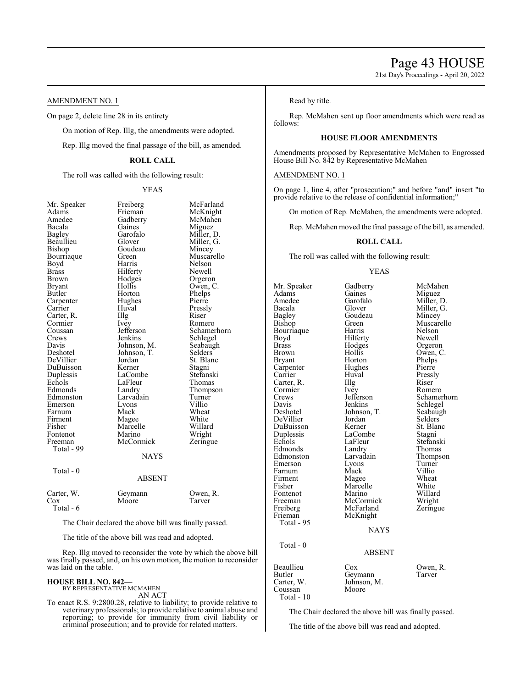21st Day's Proceedings - April 20, 2022

# AMENDMENT NO. 1

On page 2, delete line 28 in its entirety

On motion of Rep. Illg, the amendments were adopted.

Rep. Illg moved the final passage of the bill, as amended.

# **ROLL CALL**

The roll was called with the following result:

YEAS

McFarland McKnight McMahen Miguez Miller, D. Miller, G. Mincey Muscarello Nelson<br>Newell

Orgeron Owen, C. Phelps<br>Pierre

Romero Schamerhorn Schlegel Seabaugh Selders<sup>'</sup> St. Blanc<br>Stagni

Stefanski Thomas Thompson Turner<br>Villio

Wheat White Willard Wright Zeringue

Owen, R.<br>Tarver

| Mr. Speaker   | Freiberg      | McFarl   |
|---------------|---------------|----------|
| Adams         | Frieman       | McKni    |
| Amedee        | Gadberry      | McMal    |
| Bacala        | Gaines        | Miguez   |
| <b>Bagley</b> | Garofalo      | Miller,  |
| Beaullieu     | Glover        | Miller,  |
| Bishop        | Goudeau       | Mincey   |
| Bourriaque    | Green         | Muscar   |
| Boyd          | Harris        | Nelson   |
| <b>Brass</b>  | Hilferty      | Newell   |
| <b>Brown</b>  | Hodges        | Orgero   |
| <b>Bryant</b> | Hollis        | Owen,    |
| Butler        | Horton        | Phelps   |
| Carpenter     | Hughes        | Pierre   |
| Carrier       | Huval         | Pressly  |
| Carter, R.    | Illg          | Riser    |
| Cormier       | Ivey          | Romer    |
| Coussan       | Jefferson     | Scham    |
| Crews         | Jenkins       | Schleg   |
| Davis         | Johnson, M.   | Seabau   |
| Deshotel      | Johnson, T.   | Selders  |
| DeVillier     | Jordan        | St. Blai |
| DuBuisson     | Kerner        | Stagni   |
| Duplessis     | LaCombe       | Stefans  |
| Echols        | LaFleur       | Thoma    |
| Edmonds       | Landry        | Thomp    |
| Edmonston     | Larvadain     | Turner   |
| Emerson       | Lyons         | Villio   |
| Farnum        | Mack          | Wheat    |
| Firment       | Magee         | White    |
| Fisher        | Marcelle      | Willard  |
| Fontenot      | Marino        | Wright   |
| Freeman       | McCormick     | Zering   |
| Total - 99    |               |          |
|               | <b>NAYS</b>   |          |
| Total - 0     |               |          |
|               | <b>ABSENT</b> |          |
| Carter, W.    | Geymann       | Owen,    |
| $\cos$        | Moore         | Tarver   |
| Total - 6     |               |          |
|               |               |          |

The Chair declared the above bill was finally passed.

The title of the above bill was read and adopted.

Rep. Illg moved to reconsider the vote by which the above bill was finally passed, and, on his own motion, the motion to reconsider was laid on the table.

#### **HOUSE BILL NO. 842—**

BY REPRESENTATIVE MCMAHEN AN ACT

To enact R.S. 9:2800.28, relative to liability; to provide relative to veterinary professionals; to provide relative to animal abuse and reporting; to provide for immunity from civil liability or criminal prosecution; and to provide for related matters.

Read by title.

Rep. McMahen sent up floor amendments which were read as follows:

# **HOUSE FLOOR AMENDMENTS**

Amendments proposed by Representative McMahen to Engrossed House Bill No. 842 by Representative McMahen

#### AMENDMENT NO. 1

On page 1, line 4, after "prosecution;" and before "and" insert "to provide relative to the release of confidential information;"

On motion of Rep. McMahen, the amendments were adopted.

Rep. McMahen moved the final passage of the bill, as amended.

#### **ROLL CALL**

The roll was called with the following result:

#### YEAS

Mr. Speaker Gadberry McMahen<br>Adams Gaines Miguez Adams Gaines Miguez<br>Amedee Garofalo Miller I Amedee Garofalo Miller, D.<br>Bacala Glover Miller G Bacala Glover Miller, G.<br>Bagley Goudeau Mincey Bagley Goudeau Mincey<br>Bishop Green Muscar Bourriaque Harris Nelson<br>Boyd Hilferty Newell Boyd Hilferty<br>Brass Hodges Brass Brass Hodges Orgeron<br>Brown Hollis Owen, C Brown Hollis Owen, C.<br>Bryant Horton Phelps Horton Phelps<br>Hughes Pierre Carpenter Carrier Huval Pressly Carter, R. Illg Riser Cormier Livey Romero Cormier Ivey<br>Crews Jefferson Crews Jefferson Schamerhorn<br>
Davis Jenkins Schlegel Davis Jenkins Schlegel<br>Deshotel Johnson, T. Seabaugh DeVillier Jordan Selders<br>DuBuisson Kerner St. Blanc DuBuisson Kerner St. Bla<br>
Duplessis LaCombe Stagni Duplessis LaComb<br>Echols LaFleur Edmonds Landry<br>Edmonston Larvadain Edmonston Larvadain Thompson<br>Emerson Lyons Turner Emerson Lyons<br>Farnum Mack Farnum Mack Villio<br>Firment Magee Wheat Firment Magee Wheat<br>
Fisher Marcelle White Fontenot Marino Willard<br>Freeman McCormick Wright Freeman McCormick Wright<br>
Freiberg McFarland Zeringue Freiberg McFarland<br>Frieman McKnight McKnight Total - 95 **NAYS**  Total - 0 Butler Geymann<br>Carter, W. Johnson, J

Green Muscarello<br>Harris Nelson Johnson, T. Seabaughter Seabaughter Seabaughter Seabaughter Seabaughter Seabaughter Seabaughter Seabaughter Seabaughter Seabaughter Seabaughter Seabaughter Seabaughter Seabaughter Seabaughter Seabaughter Seabaughter Seabau LaFleur Stefanski<br>Landry Thomas Marcelle White<br>
Marino Willard

# ABSENT

Beaullieu Cox Owen, R.<br>Butler Geymann Tarver Johnson, M.<br>Moore Coussan Total - 10

The Chair declared the above bill was finally passed.

The title of the above bill was read and adopted.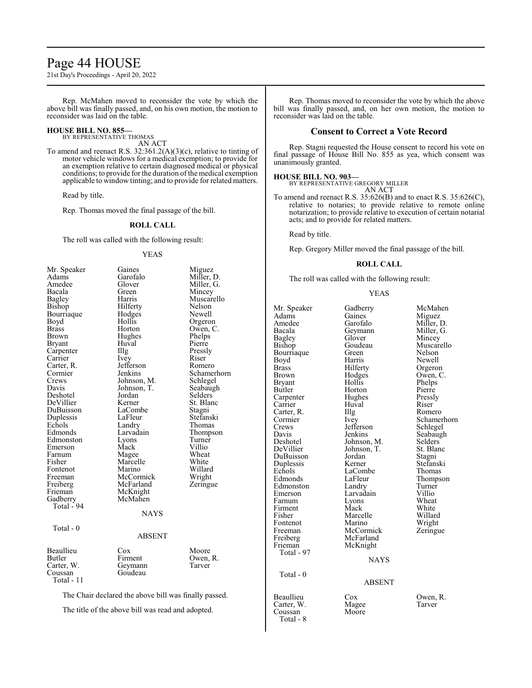# Page 44 HOUSE

21st Day's Proceedings - April 20, 2022

Rep. McMahen moved to reconsider the vote by which the above bill was finally passed, and, on his own motion, the motion to reconsider was laid on the table.

#### **HOUSE BILL NO. 855—**

BY REPRESENTATIVE THOMAS AN ACT

To amend and reenact R.S. 32:361.2(A)(3)(c), relative to tinting of motor vehicle windows for a medical exemption; to provide for an exemption relative to certain diagnosed medical or physical conditions; to provide for the duration of the medical exemption applicable to window tinting; and to provide for related matters.

Read by title.

Rep. Thomas moved the final passage of the bill.

# **ROLL CALL**

The roll was called with the following result:

#### YEAS

| Mr. Speaker   | Gaines        | Miguez      |
|---------------|---------------|-------------|
| Adams         | Garofalo      | Miller, D.  |
| Amedee        | Glover        | Miller, G.  |
| Bacala        | Green         | Mincey      |
| Bagley        | Harris        | Muscarello  |
| Bishop        | Hilferty      | Nelson      |
| Bourriaque    | Hodges        | Newell      |
| Boyd          | Hollis        | Orgeron     |
| <b>Brass</b>  | Horton        | Owen, C.    |
| Brown         | Hughes        | Phelps      |
| <b>Bryant</b> | Huval         | Pierre      |
| Carpenter     | Illg          | Pressly     |
| Carrier       | <i>lvey</i>   | Riser       |
| Carter, R.    | Jefferson     | Romero      |
| Cormier       | Jenkins       | Schamerhorn |
| Crews         | Johnson, M.   | Schlegel    |
| Davis         | Johnson, T.   | Seabaugh    |
| Deshotel      | Jordan        | Selders     |
| DeVillier     | Kerner        | St. Blanc   |
| DuBuisson     | LaCombe       | Stagni      |
| Duplessis     | LaFleur       | Stefanski   |
| Echols        | Landry        | Thomas      |
| Edmonds       | Larvadain     | Thompson    |
| Edmonston     | Lyons         | Turner      |
| Emerson       | Mack          | Villio      |
| Farnum        | Magee         | Wheat       |
| Fisher        | Marcelle      | White       |
| Fontenot      | Marino        | Willard     |
| Freeman       | McCormick     | Wright      |
| Freiberg      | McFarland     | Zeringue    |
| Frieman       | McKnight      |             |
| Gadberry      | McMahen       |             |
| Total - 94    |               |             |
|               | NAYS          |             |
| Total - $0$   |               |             |
|               | <b>ABSENT</b> |             |
|               |               |             |
| Beaullieu     | Cox           | Moore       |
| Butler        | Firment       | Owen, R.    |
| Carter, W.    | Geymann       | Tarver      |
| Coussan       | Goudeau       |             |
| Total - 11    |               |             |
|               |               |             |
|               |               |             |

The Chair declared the above bill was finally passed.

The title of the above bill was read and adopted.

Rep. Thomas moved to reconsider the vote by which the above bill was finally passed, and, on her own motion, the motion to reconsider was laid on the table.

# **Consent to Correct a Vote Record**

Rep. Stagni requested the House consent to record his vote on final passage of House Bill No. 855 as yea, which consent was unanimously granted.

**HOUSE BILL NO. 903—** BY REPRESENTATIVE GREGORY MILLER AN ACT

To amend and reenact R.S. 35:626(B) and to enact R.S. 35:626(C), relative to notaries; to provide relative to remote online notarization; to provide relative to execution of certain notarial acts; and to provide for related matters.

Read by title.

Rep. Gregory Miller moved the final passage of the bill.

### **ROLL CALL**

The roll was called with the following result:

#### YEAS

| Mr. Speaker<br>Adams<br>Amedee<br>Bacala<br><b>Bagley</b><br>Bishop<br>Bourriaque<br>Boyd<br>Brass<br><b>Brown</b><br><b>Bryant</b><br>Butler<br>Carpenter<br>Carrier<br>Carter, R.<br>Cormier<br>Crews<br>Davis<br>Deshotel<br>DeVillier<br>DuBuisson<br>Duplessis<br>Echols<br>Edmonds<br>Edmonston<br>Emerson<br>Farnum<br>Firment<br>Fisher<br>Fontenot<br>Freeman<br>Freiberg<br>Frieman<br>Total - 97 | Gadberry<br>Gaines<br>Garofalo<br>Geymann<br>Glover<br>Goudeau<br>Green<br>Harris<br>Hilferty<br>Hodges<br>Hollis<br>Horton<br>Hughes<br>Huval<br>Illg<br>Ivey<br>Jefferson<br>Jenkins<br>Johnson, M.<br>Johnson, T.<br>Jordan<br>Kerner<br>LaCombe<br>LaFleur<br>Landry<br>Larvadain<br>Lyons<br>Mack<br>Marcelle<br>Marino<br>McCormick<br>McFarland<br>McKnight<br><b>NAYS</b> | McMahen<br>Miguez<br>Miller, D.<br>Miller, G.<br>Mincey<br>Muscarello<br>Nelson<br>Newell<br>Orgeron<br>Owen, C.<br>Phelps<br>Pierre<br>Pressly<br>Riser<br>Romero<br>Schamerho<br>Schlegel<br>Seabaugh<br>Selders<br>St. Blanc<br>Stagni<br>Stefanski<br>Thomas<br>Thompson<br>Turner<br>Villio<br>Wheat<br>White<br>Willard<br>Wright<br>Zeringue |
|-------------------------------------------------------------------------------------------------------------------------------------------------------------------------------------------------------------------------------------------------------------------------------------------------------------------------------------------------------------------------------------------------------------|-----------------------------------------------------------------------------------------------------------------------------------------------------------------------------------------------------------------------------------------------------------------------------------------------------------------------------------------------------------------------------------|-----------------------------------------------------------------------------------------------------------------------------------------------------------------------------------------------------------------------------------------------------------------------------------------------------------------------------------------------------|
| Total - 0                                                                                                                                                                                                                                                                                                                                                                                                   | <b>ABSENT</b>                                                                                                                                                                                                                                                                                                                                                                     |                                                                                                                                                                                                                                                                                                                                                     |
| Beaullieu<br>Carter, W.<br>Coussan<br>Total - 8                                                                                                                                                                                                                                                                                                                                                             | $\cos$<br>Magee<br>Moore                                                                                                                                                                                                                                                                                                                                                          | Owen, R.<br>Tarver                                                                                                                                                                                                                                                                                                                                  |

ofalo Miller, D.<br>mann Miller, G. mann Miller, G.<br>
ver Mincey ver Mincey<br>deau Muscare deau Muscarello<br>
en Nelson en Nelson<br>Tis Newell ris Newell<br>Perty Orgeroi Preferty Orgeron<br>
Brass Owen, C lges Owen, C.<br>lis Phelps lis Phelps<br>ton Pierre ton Pierre<br>
ghes Pressl hes Pressly<br>cal Riser Romero External Schamerhorn<br>
Schlegel<br>
Schlegel erson Schlegel<br>
Seabaugh Seabaugh<br>Selders nson, T. St. Blanc<br>
lan Stagni lan Stagni<br>ner Stefans ner Stefanski<br>Stefanski Thomas Frame Combe<br>
Economic Lacombus Chemps<br>
Economic Thomas eur Thompson<br>dry Turner dry Turner<br>vadain Villio ns Wheat<br>External White k White<br>Firment Willem Willar relle Willard<br>Fino Wright ino Wright<br>Cormick Zeringu Zeringue

#### NAYS

#### ABSENT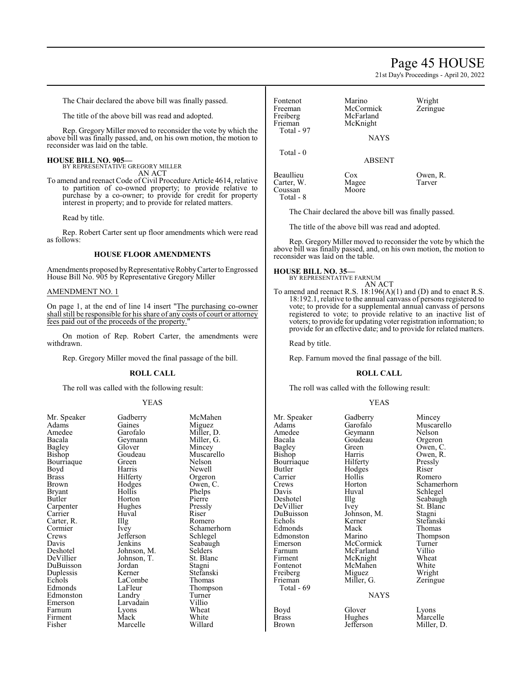# Page 45 HOUSE

21st Day's Proceedings - April 20, 2022

The Chair declared the above bill was finally passed.

The title of the above bill was read and adopted.

Rep. Gregory Miller moved to reconsider the vote by which the above bill was finally passed, and, on his own motion, the motion to reconsider was laid on the table.

#### **HOUSE BILL NO. 905—**

BY REPRESENTATIVE GREGORY MILLER AN ACT

To amend and reenact Code of Civil Procedure Article 4614, relative to partition of co-owned property; to provide relative to purchase by a co-owner; to provide for credit for property interest in property; and to provide for related matters.

Read by title.

Rep. Robert Carter sent up floor amendments which were read as follows:

#### **HOUSE FLOOR AMENDMENTS**

Amendments proposed by Representative Robby Carter to Engrossed House Bill No. 905 by Representative Gregory Miller

#### AMENDMENT NO. 1

On page 1, at the end of line 14 insert "The purchasing co-owner shall still be responsible for his share of any costs of court or attorney fees paid out of the proceeds of the property.

On motion of Rep. Robert Carter, the amendments were withdrawn.

Rep. Gregory Miller moved the final passage of the bill.

#### **ROLL CALL**

The roll was called with the following result:

#### YEAS

| Adams         | Gaines      | Miguez   |
|---------------|-------------|----------|
| Amedee        | Garofalo    | Miller,  |
| Bacala        | Geymann     | Miller,  |
| <b>Bagley</b> | Glover      | Mincey   |
| Bishop        | Goudeau     | Muscar   |
| Bourriaque    | Green       | Nelson   |
| Boyd          | Harris      | Newell   |
| <b>Brass</b>  | Hilferty    | Orgeroi  |
| Brown         | Hodges      | Owen, 0  |
| Bryant        | Hollis      | Phelps   |
| Butler        | Horton      | Pierre   |
| Carpenter     | Hughes      | Pressly  |
| Carrier       | Huval       | Riser    |
| Carter, R.    | Illg        | Romerc   |
| Cormier       | Ivey        | Schame   |
| Crews         | Jefferson   | Schlege  |
| Davis         | Jenkins     | Seabaug  |
| Deshotel      | Johnson, M. | Selders  |
| DeVillier     | Johnson, T. | St. Blar |
| DuBuisson     | Jordan      | Stagni   |
| Duplessis     | Kerner      | Stefansl |
| Echols        | LaCombe     | Thomas   |
| Edmonds       | LaFleur     | Thomps   |
| Edmonston     | Landry      | Turner   |
| Emerson       | Larvadain   | Villio   |
| Farnum        | Lyons       | Wheat    |
| Firment       | Mack        | White    |
| Fisher        | Marcelle    | Willard  |

Garofalo Miller, D.<br>Geymann Miller, G. Geymann Miller, G.<br>Glover Mincey Glover Mincey<br>Goudeau Muscare Goudeau Muscarello<br>Green Nelson Harris Newell<br>Hilferty Orgero Hilferty Orgeron<br>Hodges Owen, C Hodges Owen, C.<br>Hollis Phelns Horton Pierre<br>Hughes Pressly Hughes Pressl<br>Huval Riser Huval<br>Illg The Romero<br>
Ivev Schamer Jefferson<br>Jenkins Johnson, M. Selders<br>Johnson, T. St. Blanc Johnson, T. St. Blanch<br>Jordan Stagni Jordan<br>Kerner LaCombe<br>LaFleur Landry Turner<br>
Larvadain Villio Larvadain Villio<br>
Lyons Wheat Lyons Wheat<br>
Mack White Marcelle Willard

Mr. Speaker Gadberry McMahen<br>Adams Gaines Miguez Phelps<br>Pierre Schamerhorn<br>Schlegel Seabaugh<br>Selders Stefanski<br>Thomas Thompson<br>Turner

| Fontenot<br>Freeman<br>Freiberg<br>Frieman<br>Total - 97 | Marino<br>McCormick<br>McFarland<br>McKnight<br><b>NAYS</b> | Wright<br>Zeringue |
|----------------------------------------------------------|-------------------------------------------------------------|--------------------|
| Total - 0                                                | <b>ABSENT</b>                                               |                    |
| Beaullieu<br>Carter, W.<br>Coussan                       | Cox<br>Magee<br>Moore                                       | Owen, R.<br>Tarver |

The Chair declared the above bill was finally passed.

The title of the above bill was read and adopted.

Rep. Gregory Miller moved to reconsider the vote by which the above bill was finally passed, and, on his own motion, the motion to reconsider was laid on the table.

#### **HOUSE BILL NO. 35—**

Total - 8

BY REPRESENTATIVE FARNUM AN ACT

To amend and reenact R.S. 18:196(A)(1) and (D) and to enact R.S. 18:192.1, relative to the annual canvass of persons registered to vote; to provide for a supplemental annual canvass of persons registered to vote; to provide relative to an inactive list of voters; to provide for updating voter registration information; to provide for an effective date; and to provide for related matters.

Read by title.

Rep. Farnum moved the final passage of the bill.

#### **ROLL CALL**

The roll was called with the following result:

Miller, G.

NAYS

#### YEAS

Mr. Speaker Gadberry Mincey<br>Adams Garofalo Muscar Adams Garofalo Muscarello<br>Amedee Geymann Nelson Amedee Geymann Nelson Bacala Goudeau<br>Bagley Green Bagley Green Owen, C.<br>Bishop Harris Owen, R. Bourriaque Hilferty Pressl<br>Butler Hodges Riser Butler Hodges<br>Carrier Hollis Carrier Hollis Romero<br>Crews Horton Schamer Crews Horton Schamerhorn<br>
Davis Huval Schlegel Davis Huval Schlegel<br>Deshotel IIIg Seabaugh Deshotel Illg Seabaugh<br>DeVillier Ivey St. Blanc DeVillier Ivey St. Blanc<br>DuBuisson Johnson, M. Stagni DuBuisson Johnson, M.<br>Echols Kerner Edmonds Mack Thomas<br>Edmonston Marino Thompson Edmonston Marino Thomp<br>Emerson McCormick Turner Emerson McCormick Turner<br>Farnum McFarland Villio Farnum McFarland Villio<br>Firment McKnight Wheat Firment McKnight Wheat<br>Fontenot McMahen White Freiberg Miguez Wright<br>
Frieman Miller, G. Zeringue Total - 69 Boyd Glover Lyons<br>Brass Hughes Marcelle Brass Hughes<br>Brown Jefferson

Harris Owen, R.<br>Hilferty Pressly Kerner Stefanski<br>Mack Thomas McMahen White<br>
Miguez Wright

Miller, D.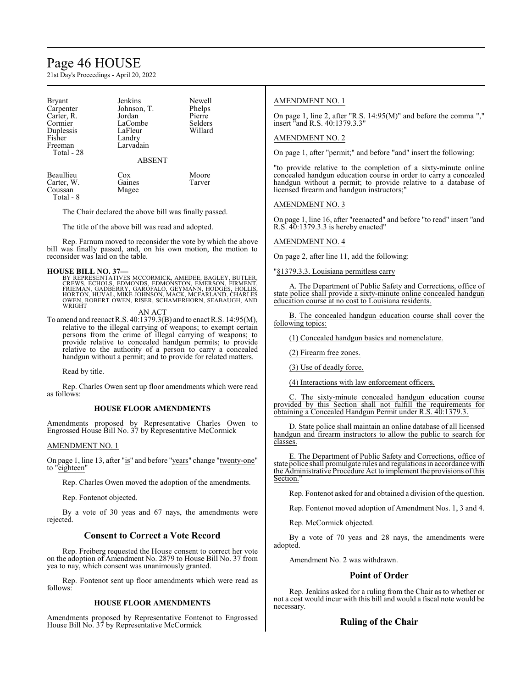# Page 46 HOUSE

21st Day's Proceedings - April 20, 2022

| <b>Bryant</b><br>Carpenter<br>Carter, R.<br>Cormier<br>Duplessis<br>Fisher<br>Freeman<br>Total - 28 | Jenkins<br>Johnson, T.<br>Jordan<br>LaCombe<br>LaFleur<br>Landry<br>Larvadain<br><b>ABSENT</b> | Newell<br>Phelps<br>Pierre<br>Selders<br>Willard |
|-----------------------------------------------------------------------------------------------------|------------------------------------------------------------------------------------------------|--------------------------------------------------|
| Beaullieu<br>Carter, W.<br>Coussan<br>Total - 8                                                     | Cox<br>Gaines<br>Magee                                                                         | Moore<br>Tarver                                  |

The Chair declared the above bill was finally passed.

The title of the above bill was read and adopted.

Rep. Farnum moved to reconsider the vote by which the above bill was finally passed, and, on his own motion, the motion to reconsider was laid on the table.

#### **HOUSE BILL NO. 37—**

BY REPRESENTATIVES MCCORMICK, AMEDEE, BAGLEY, BUTLER,<br>CREWS, ECHOLS, EDMONDS, EDMONSTON, EMERSON, FIRMENT,<br>FRIEMAN, GADBERRY, GARÓFALO, GEYMANN, HODGÉS, HOLLIS,<br>HORTON, HUVAL, MIKE JOHNSON, MACK, MCFARLAND, CHARLES<br>OWEN, R **WRIGHT** 

AN ACT

To amend and reenact R.S. 40:1379.3(B) and to enact R.S. 14:95(M), relative to the illegal carrying of weapons; to exempt certain persons from the crime of illegal carrying of weapons; to provide relative to concealed handgun permits; to provide relative to the authority of a person to carry a concealed handgun without a permit; and to provide for related matters.

Read by title.

Rep. Charles Owen sent up floor amendments which were read as follows:

#### **HOUSE FLOOR AMENDMENTS**

Amendments proposed by Representative Charles Owen to Engrossed House Bill No. 37 by Representative McCormick

AMENDMENT NO. 1

On page 1, line 13, after "is" and before "years" change "twenty-one" to "eighteen"

Rep. Charles Owen moved the adoption of the amendments.

Rep. Fontenot objected.

By a vote of 30 yeas and 67 nays, the amendments were rejected.

# **Consent to Correct a Vote Record**

Rep. Freiberg requested the House consent to correct her vote on the adoption of Amendment No. 2879 to House Bill No. 37 from yea to nay, which consent was unanimously granted.

Rep. Fontenot sent up floor amendments which were read as follows:

#### **HOUSE FLOOR AMENDMENTS**

Amendments proposed by Representative Fontenot to Engrossed House Bill No. 37 by Representative McCormick

### AMENDMENT NO. 1

On page 1, line 2, after "R.S. 14:95(M)" and before the comma "," insert "and R.S. 40:1379.3.3"

#### AMENDMENT NO. 2

On page 1, after "permit;" and before "and" insert the following:

"to provide relative to the completion of a sixty-minute online concealed handgun education course in order to carry a concealed handgun without a permit; to provide relative to a database of licensed firearm and handgun instructors;"

#### AMENDMENT NO. 3

On page 1, line 16, after "reenacted" and before "to read" insert "and R.S. 40:1379.3.3 is hereby enacted"

AMENDMENT NO. 4

On page 2, after line 11, add the following:

"§1379.3.3. Louisiana permitless carry

A. The Department of Public Safety and Corrections, office of state police shall provide a sixty-minute online concealed handgun education course at no cost to Louisiana residents.

B. The concealed handgun education course shall cover the following topics:

(1) Concealed handgun basics and nomenclature.

(2) Firearm free zones.

(3) Use of deadly force.

(4) Interactions with law enforcement officers.

The sixty-minute concealed handgun education course provided by this Section shall not fulfill the requirements for obtaining a Concealed Handgun Permit under R.S. 40:1379.3.

D. State police shall maintain an online database of all licensed handgun and firearm instructors to allow the public to search for classes.

E. The Department of Public Safety and Corrections, office of state police shall promulgate rules and regulations in accordance with the Administrative Procedure Act to implement the provisions ofthis Section.

Rep. Fontenot asked for and obtained a division of the question.

Rep. Fontenot moved adoption of Amendment Nos. 1, 3 and 4.

Rep. McCormick objected.

By a vote of 70 yeas and 28 nays, the amendments were adopted.

Amendment No. 2 was withdrawn.

### **Point of Order**

Rep. Jenkins asked for a ruling from the Chair as to whether or not a cost would incur with this bill and would a fiscal note would be necessary.

#### **Ruling of the Chair**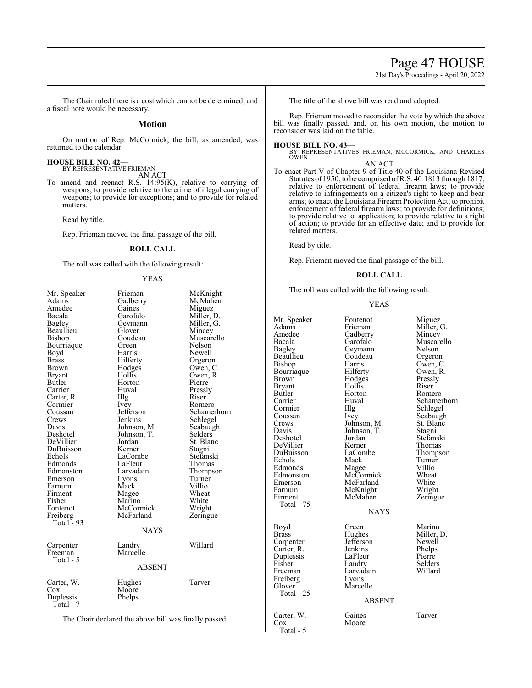# Page 47 HOUSE

21st Day's Proceedings - April 20, 2022

The Chair ruled there is a cost which cannot be determined, and a fiscal note would be necessary.

### **Motion**

On motion of Rep. McCormick, the bill, as amended, was returned to the calendar.

**HOUSE BILL NO. 42—** BY REPRESENTATIVE FRIEMAN

AN ACT

To amend and reenact R.S. 14:95(K), relative to carrying of weapons; to provide relative to the crime of illegal carrying of weapons; to provide for exceptions; and to provide for related matters.

Read by title.

Rep. Frieman moved the final passage of the bill.

## **ROLL CALL**

The roll was called with the following result:

#### YEAS

| Mr. Speaker   | Frieman       | McKnight    |
|---------------|---------------|-------------|
| Adams         | Gadberry      | McMahen     |
| Amedee        | Gaines        | Miguez      |
| Bacala        | Garofalo      | Miller, D.  |
| <b>Bagley</b> | Geymann       | Miller, G.  |
| Beaullieu     | Glover        | Mincey      |
| Bishop        | Goudeau       | Muscarello  |
| Bourriaque    | Green         | Nelson      |
| Boyd          | Harris        | Newell      |
| Brass         | Hilferty      | Orgeron     |
| Brown         | Hodges        | Owen, C.    |
| Bryant        | Hollis        | Owen, R.    |
| Butler        | Horton        | Pierre      |
| Carrier       | Huval         | Pressly     |
| Carter, R.    | Illg          | Riser       |
| Cormier       | Ivey          | Romero      |
| Coussan       | Jefferson     | Schamerhorn |
| Crews         | Jenkins       | Schlegel    |
| Davis         | Johnson, M.   | Seabaugh    |
| Deshotel      | Johnson, T.   | Selders     |
| DeVillier     | Jordan        | St. Blanc   |
| DuBuisson     | Kerner        | Stagni      |
| Echols        | LaCombe       | Stefanski   |
| Edmonds       | LaFleur       | Thomas      |
| Edmonston     | Larvadain     | Thompson    |
| Emerson       | Lyons         | Turner      |
| Farnum        | Mack          | Villio      |
| Firment       | Magee         | Wheat       |
| Fisher        | Marino        | White       |
| Fontenot      | McCormick     | Wright      |
| Freiberg      | McFarland     | Zeringue    |
| Total - 93    |               |             |
|               | <b>NAYS</b>   |             |
| Carpenter     | Landry        | Willard     |
| Freeman       | Marcelle      |             |
| Total - 5     |               |             |
|               | <b>ABSENT</b> |             |
| Carter, W.    | Hughes        | Tarver      |
| $\cos$        | Moore         |             |
| Duplessis     | Phelps        |             |
| Total - 7     |               |             |
|               |               |             |

The Chair declared the above bill was finally passed.

The title of the above bill was read and adopted.

Rep. Frieman moved to reconsider the vote by which the above bill was finally passed, and, on his own motion, the motion to reconsider was laid on the table.

### **HOUSE BILL NO. 43—**

BY REPRESENTATIVES FRIEMAN, MCCORMICK, AND CHARLES OWEN AN ACT

To enact Part V of Chapter 9 of Title 40 of the Louisiana Revised Statutes of 1950, to be comprised ofR.S. 40:1813 through 1817, relative to enforcement of federal firearm laws; to provide relative to infringements on a citizen's right to keep and bear arms; to enact the Louisiana Firearm Protection Act; to prohibit enforcement of federal firearm laws; to provide for definitions; to provide relative to application; to provide relative to a right of action; to provide for an effective date; and to provide for related matters.

Read by title.

Rep. Frieman moved the final passage of the bill.

#### **ROLL CALL**

The roll was called with the following result:

#### YEAS

| Mr. Speaker<br>Adams<br>Amedee<br>Bacala<br>Bagley<br>Beaullieu<br>Bishop<br>Bourriaque<br>Brown<br>Bryant<br>Butler<br>Carrier<br>Cormier<br>Coussan<br>Crews<br>Davis<br>Deshotel<br>DeVillier<br>DuBuisson<br>Echols<br>Edmonds<br>Edmonston<br>Emerson<br>Farnum<br>Firment<br>Total - 75 | Fontenot<br>Frieman<br>Gadberry<br>Garofalo<br>Geymann<br>Goudeau<br>Harris<br>Hilferty<br>Hodges<br>Hollis<br>Horton<br>Huval<br>Illg<br>Ivey<br>Johnson, M.<br>Johnson, T.<br>Jordan<br>Kerner<br>LaCombe<br>Mack<br>Magee<br>McCormick<br>McFarland<br>McKnight<br>McMahen | Miguez<br>Miller, G.<br>Mincey<br>Muscarello<br>Nelson<br>Orgeron<br>Owen, C.<br>Owen, R.<br>Pressly<br>Riser<br>Romero<br>Schamerhorn<br>Schlegel<br>Seabaugh<br>St. Blanc<br>Stagni<br>Stefanski<br>Thomas<br>Thompson<br>Turner<br>Villio<br>Wheat<br>White<br>Wright<br>Zeringue |
|-----------------------------------------------------------------------------------------------------------------------------------------------------------------------------------------------------------------------------------------------------------------------------------------------|-------------------------------------------------------------------------------------------------------------------------------------------------------------------------------------------------------------------------------------------------------------------------------|--------------------------------------------------------------------------------------------------------------------------------------------------------------------------------------------------------------------------------------------------------------------------------------|
|                                                                                                                                                                                                                                                                                               | <b>NAYS</b>                                                                                                                                                                                                                                                                   |                                                                                                                                                                                                                                                                                      |
| Boyd<br><b>Brass</b><br>Carpenter<br>Carter, R.<br>Duplessis<br>Fisher<br>Freeman<br>Freiberg<br>Glover<br>Total - 25                                                                                                                                                                         | Green<br>Hughes<br>Jefferson<br>Jenkins<br>LaFleur<br>Landry<br>Larvadain<br>Lyons<br>Marcelle<br><b>ABSENT</b>                                                                                                                                                               | Marino<br>Miller, D.<br>Newell<br>Phelps<br>Pierre<br>Selders<br>Willard                                                                                                                                                                                                             |
| Carter, W.<br>$\cos$<br>Total - 5                                                                                                                                                                                                                                                             | Gaines<br>Moore                                                                                                                                                                                                                                                               | Tarver                                                                                                                                                                                                                                                                               |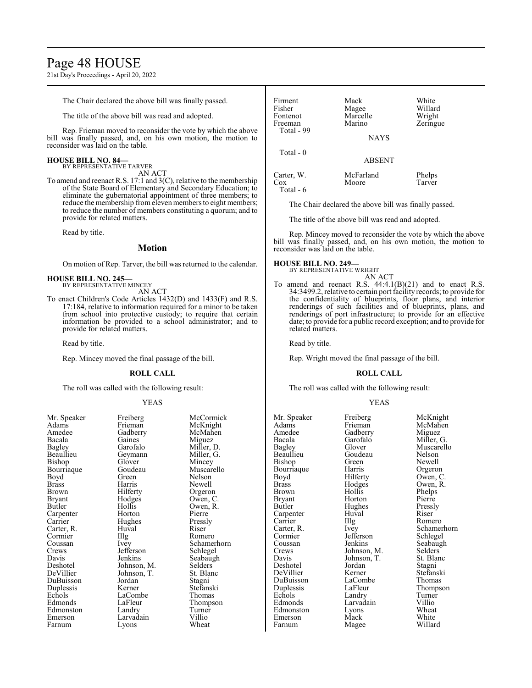# Page 48 HOUSE

21st Day's Proceedings - April 20, 2022

The Chair declared the above bill was finally passed.

The title of the above bill was read and adopted.

Rep. Frieman moved to reconsider the vote by which the above bill was finally passed, and, on his own motion, the motion to reconsider was laid on the table.

#### **HOUSE BILL NO. 84—** BY REPRESENTATIVE TARVER

AN ACT

To amend and reenact R.S. 17:1 and 3(C), relative to the membership of the State Board of Elementary and Secondary Education; to eliminate the gubernatorial appointment of three members; to reduce the membership from eleven members to eight members; to reduce the number of members constituting a quorum; and to provide for related matters.

Read by title.

# **Motion**

On motion of Rep. Tarver, the bill was returned to the calendar.

#### **HOUSE BILL NO. 245—** BY REPRESENTATIVE MINCEY

AN ACT

To enact Children's Code Articles 1432(D) and 1433(F) and R.S. 17:184, relative to information required for a minor to be taken from school into protective custody; to require that certain information be provided to a school administrator; and to provide for related matters.

Read by title.

Rep. Mincey moved the final passage of the bill.

#### **ROLL CALL**

The roll was called with the following result:

#### YEAS

| <b>FICIDELE</b> | <b>IVIUU</b>              |
|-----------------|---------------------------|
| Frieman         | McK                       |
| Gadberry        | McM                       |
| Gaines          | Migu                      |
| Garofalo        | Mille                     |
|                 | Mille                     |
| Glover          | Minc                      |
| Goudeau         | Musc                      |
| Green           | Nelso                     |
| Harris          | Newe                      |
| Hilferty        | Orge                      |
|                 | Ower                      |
| Hollis          | Ower                      |
| Horton          | Pierr                     |
| Hughes          | Press                     |
| Huval           | Riser                     |
|                 | Rom                       |
| Ivey            | Schai                     |
| Jefferson       | Schle                     |
| Jenkins         | Seab                      |
| Johnson, M.     | Selde                     |
| Johnson, T.     | St. B                     |
| Jordan          | Stagr                     |
| Kerner          | Stefa                     |
| LaCombe         | Thon                      |
| LaFleur         | Thon                      |
| Landry          | Turn                      |
| Larvadain       | Villio                    |
| Lyons           | Whea                      |
|                 | Geymann<br>Hodges<br>Illg |

Gadberry McMahen<br>Gaines Miguez Gaines Miguez<br>Garofalo Miller, I Geymann<br>Glover Glover Mincey<br>Goudeau Muscar Goudeau Muscarello<br>Green Nelson Green Nelson<br>Harris Newell Hilferty<br>Hodges Hodges Owen, C.<br>Hollis Owen, R. Horton Pierre<br>
Hughes Pressly Hughes Pressl<br>Huval Riser Illg Romero<br>Ivey Schamer Jefferson<br>Jenkins Johnson, M. Selders<br>Johnson, T. St. Blanc Johnson, T. St. Blanch<br>Jordan Stagni Jordan<br>Kerner LaCombe<br>LaFleur Landry Turner<br>
Larvadain Villio Larvadain Villio<br>Lyons Wheat Lyons

Mr. Speaker Freiberg McCormick<br>Adams Frieman McKnight Frieman McKnight<br>Gadberry McMahen Miller, D.<br>Miller, G. Newell<br>Orgeron Owen, R.<br>Pierre Schamerhorn<br>Schlegel Seabaugh<br>Selders Stefanski<br>Thomas Thompson<br>Turner

| Firment    | Mack          | White    |
|------------|---------------|----------|
| Fisher     | Magee         | Willard  |
| Fontenot   | Marcelle      | Wright   |
| Freeman    | Marino        | Zeringue |
| Total - 99 |               |          |
|            | <b>NAYS</b>   |          |
| Total $-0$ |               |          |
|            | <b>ABSENT</b> |          |
| Carter, W. | McFarland     | Phelps   |

Cox Moore Tarver Total - 6

The Chair declared the above bill was finally passed.

The title of the above bill was read and adopted.

Rep. Mincey moved to reconsider the vote by which the above bill was finally passed, and, on his own motion, the motion to reconsider was laid on the table.

### **HOUSE BILL NO. 249—**

BY REPRESENTATIVE WRIGHT AN ACT

To amend and reenact R.S.  $44:4.1(B)(21)$  and to enact R.S. 34:3499.2, relative to certain port facility records; to provide for the confidentiality of blueprints, floor plans, and interior renderings of such facilities and of blueprints, plans, and renderings of port infrastructure; to provide for an effective date; to provide for a public record exception; and to provide for related matters.

Read by title.

Rep. Wright moved the final passage of the bill.

#### **ROLL CALL**

The roll was called with the following result:

#### YEAS

Mr. Speaker Freiberg McKnight<br>
Adams Frieman McMahen Amedee Gadberry<br>Bacala Garofalo Bourriaque Harris<br>Boyd Hilferty Carpenter Huv<br>Carrier Hllg Cormier Jefferson<br>Coussan Jenkins DuBuisson LaComb<br>
Duplessis LaFleur Emerson Mack<br>Farnum Magee

Adams Frieman McMahen<br>Amedee Gadberry Miguez Bacala Garofalo Miller, G. Glover Muscarello<br>Goudeau Nelson Beaullieu Goudeau Nelson<br>Bishop Green Newell Bishop Green Newell<br>Bourriaque Harris Orgeron Boyd Hilferty Owen, C.<br>Brass Hodges Owen, R. Brass Hodges Owen, R. Brown Hollis Phelps<br>Bryant Horton Pierre Bryant Horton Pierre Hughes Pressl<br>Huval Riser Carrier IIIg Romero<br>Carter, R. Ivey Schamer Coussan Jenkins Seabaugh<br>Crews Johnson, M. Selders Crews Johnson, M. Selders<br>Davis Johnson, T. St. Blanc Johnson, T. St. Blanch<br>Jordan Stagni Deshotel Jordan Stagni DeVillier Kerner Stefansk<br>DuBuisson LaCombe Thomas Duplessis LaFleur Thompson<br>
Echols Landry Turner Echols Landry Turner<br>Edmonds Larvadain Villio Larvadain Villio<br>
Lyons Wheat Edmonston Lyons Wheat<br>Emerson Mack White

Carter, R. Ivey Schamerhorn<br>
Schlegel Schlegel<br>
Cormier Schlegel Willard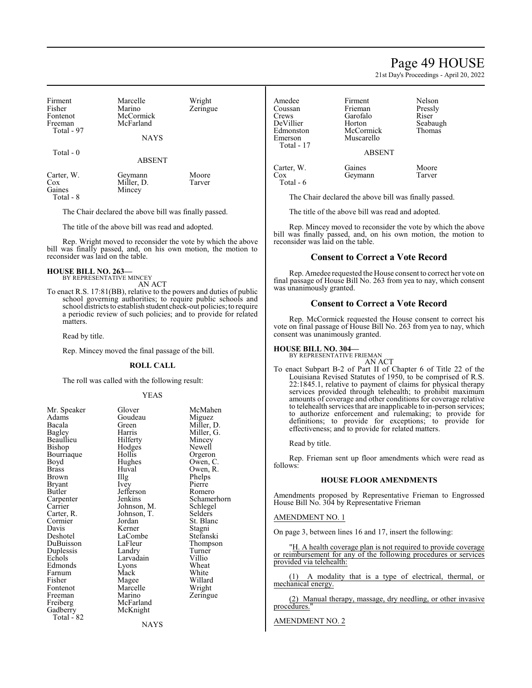# Page 49 HOUSE

21st Day's Proceedings - April 20, 2022

| Firment    | Marcelle      | Wright   |
|------------|---------------|----------|
| Fisher     | Marino        | Zeringue |
| Fontenot   | McCormick     |          |
| Freeman    | McFarland     |          |
| Total - 97 |               |          |
|            | <b>NAYS</b>   |          |
|            |               |          |
| Total - 0  | <b>ABSENT</b> |          |
|            |               |          |

| Carter, W. | Geymann    | Moore  |
|------------|------------|--------|
| Cox        | Miller, D. | Tarver |
| Gaines     | Mincey     |        |
| Total - 8  |            |        |

The Chair declared the above bill was finally passed.

The title of the above bill was read and adopted.

Rep. Wright moved to reconsider the vote by which the above bill was finally passed, and, on his own motion, the motion to reconsider was laid on the table.

#### **HOUSE BILL NO. 263—** BY REPRESENTATIVE MINCEY

AN ACT

To enact R.S. 17:81(BB), relative to the powers and duties of public school governing authorities; to require public schools and school districts to establish student check-out policies; to require a periodic review of such policies; and to provide for related matters.

Read by title.

Rep. Mincey moved the final passage of the bill.

#### **ROLL CALL**

The roll was called with the following result:

#### YEAS

| Mr. Speaker | Glover      | McMahen     |
|-------------|-------------|-------------|
| Adams       | Goudeau     | Miguez      |
| Bacala      | Green       | Miller, D.  |
| Bagley      | Harris      | Miller, G.  |
| Beaullieu   | Hilferty    | Mincey      |
| Bishop      | Hodges      | Newell      |
| Bourriaque  | Hollis      | Orgeron     |
| Boyd        | Hughes      | Owen, C.    |
| Brass       | Huval       | Owen, R.    |
| Brown       | Illg        | Phelps      |
| Bryant      | <i>lvey</i> | Pierre      |
| Butler      | Jefferson   | Romero      |
| Carpenter   | Jenkins     | Schamerhorn |
| Carrier     | Johnson, M. | Schlegel    |
| Carter, R.  | Johnson, T. | Selders     |
| Cormier     | Jordan      | St. Blanc   |
| Davis       | Kerner      | Stagni      |
| Deshotel    | LaCombe     | Stefanski   |
| DuBuisson   | LaFleur     | Thompson    |
| Duplessis   | Landry      | Turner      |
| Echols      | Larvadain   | Villio      |
| Edmonds     | Lyons       | Wheat       |
| Farnum      | Mack        | White       |
| Fisher      | Magee       | Willard     |
| Fontenot    | Marcelle    | Wright      |
| Freeman     | Marino      | Zeringue    |
| Freiberg    | McFarland   |             |
| Gadberry    | McKnight    |             |
| Total - 82  |             |             |
|             | NAYS        |             |

| Amedee     | Firment       | Nelson   |
|------------|---------------|----------|
| Coussan    | Frieman       | Pressly  |
| Crews      | Garofalo      | Riser    |
| DeVillier  | Horton        | Seabaugh |
| Edmonston  | McCormick     | Thomas   |
| Emerson    | Muscarello    |          |
| Total - 17 |               |          |
|            | <b>ABSENT</b> |          |
|            |               |          |

Carter, W. Gaines Moore<br>Cox Geymann Tarver Geymann

Total - 6

The Chair declared the above bill was finally passed.

The title of the above bill was read and adopted.

Rep. Mincey moved to reconsider the vote by which the above bill was finally passed, and, on his own motion, the motion to reconsider was laid on the table.

#### **Consent to Correct a Vote Record**

Rep. Amedee requested the House consent to correct her vote on final passage of House Bill No. 263 from yea to nay, which consent was unanimously granted.

#### **Consent to Correct a Vote Record**

Rep. McCormick requested the House consent to correct his vote on final passage of House Bill No. 263 from yea to nay, which consent was unanimously granted.

#### **HOUSE BILL NO. 304—**

BY REPRESENTATIVE FRIEMAN AN ACT

To enact Subpart B-2 of Part II of Chapter 6 of Title 22 of the Louisiana Revised Statutes of 1950, to be comprised of R.S. 22:1845.1, relative to payment of claims for physical therapy services provided through telehealth; to prohibit maximum amounts of coverage and other conditions for coverage relative to telehealth services that are inapplicable to in-person services; to authorize enforcement and rulemaking; to provide for definitions; to provide for exceptions; to provide for effectiveness; and to provide for related matters.

Read by title.

Rep. Frieman sent up floor amendments which were read as follows:

#### **HOUSE FLOOR AMENDMENTS**

Amendments proposed by Representative Frieman to Engrossed House Bill No. 304 by Representative Frieman

#### AMENDMENT NO. 1

On page 3, between lines 16 and 17, insert the following:

"H. A health coverage plan is not required to provide coverage or reimbursement for any of the following procedures or services provided via telehealth:

(1) A modality that is a type of electrical, thermal, or mechanical energy.

(2) Manual therapy, massage, dry needling, or other invasive procedures.

AMENDMENT NO. 2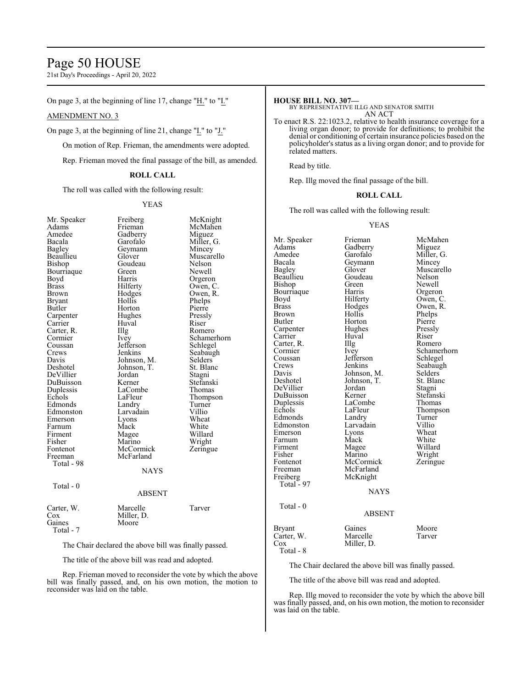# Page 50 HOUSE

21st Day's Proceedings - April 20, 2022

On page 3, at the beginning of line 17, change " $H''$  to " $I''$ ."

### AMENDMENT NO. 3

On page 3, at the beginning of line 21, change "I." to "J."

On motion of Rep. Frieman, the amendments were adopted.

Rep. Frieman moved the final passage of the bill, as amended.

### **ROLL CALL**

The roll was called with the following result:

#### YEAS

| Mr. Speaker<br>Adams<br>Amedee<br>Bacala<br>Bagley<br>Beaullieu<br>Bishop<br>Bourriaque<br>Boyd<br><b>Brass</b><br>Brown<br><b>Bryant</b><br>Butler<br>Carpenter<br>Carrier<br>Carter, R.<br>Cormier<br>Coussan<br>Crews<br>Davis<br>Deshotel<br>DeVillier<br>DuBuisson<br>Duplessis<br>Echols<br>Edmonds<br>Edmonston<br>Emerson<br>Farnum<br>Firment<br>Fisher<br>Fontenot<br>Freeman<br>Total - 98 | Freiberg<br>Frieman<br>Gadberry<br>Garofalo<br>Geymann<br>Glover<br>Goudeau<br>Green<br>Harris<br>Hilferty<br>Hodges<br>Hollis<br>Horton<br>Hughes<br>Huval<br>Illg<br><i>lvey</i><br>Jefferson<br>Jenkins<br>Johnson, M.<br>Johnson, T.<br>Jordan<br>Kerner<br>LaCombe<br>LaFleur<br>Landry<br>Larvadain<br>Lyons<br>Mack<br>Magee<br>Marino<br>McCormick<br>McFarland<br><b>NAYS</b> | McKnight<br>McMahen<br>Miguez<br>Miller, G.<br>Mincey<br>Muscarello<br>Nelson<br>Newell<br>Orgeron<br>Owen, C.<br>Owen, R.<br>Phelps<br>Pierre<br>Pressly<br>Riser<br>Romero<br>Schamerhorn<br>Schlegel<br>Seabaugh<br>Selders<br>St. Blanc<br>Stagni<br>Stefanski<br>Thomas<br>Thompson<br>Turner<br>Villio<br>Wheat<br>White<br>Willard<br>Wright<br>Zeringue |
|-------------------------------------------------------------------------------------------------------------------------------------------------------------------------------------------------------------------------------------------------------------------------------------------------------------------------------------------------------------------------------------------------------|----------------------------------------------------------------------------------------------------------------------------------------------------------------------------------------------------------------------------------------------------------------------------------------------------------------------------------------------------------------------------------------|-----------------------------------------------------------------------------------------------------------------------------------------------------------------------------------------------------------------------------------------------------------------------------------------------------------------------------------------------------------------|
| Total - 0                                                                                                                                                                                                                                                                                                                                                                                             | <b>ABSENT</b>                                                                                                                                                                                                                                                                                                                                                                          |                                                                                                                                                                                                                                                                                                                                                                 |
| Carter, W.<br>Cox<br>Gaines<br>Total - 7                                                                                                                                                                                                                                                                                                                                                              | Marcelle<br>Miller, D.<br>Moore                                                                                                                                                                                                                                                                                                                                                        | Tarver                                                                                                                                                                                                                                                                                                                                                          |

The Chair declared the above bill was finally passed.

The title of the above bill was read and adopted.

Rep. Frieman moved to reconsider the vote by which the above bill was finally passed, and, on his own motion, the motion to reconsider was laid on the table.

#### **HOUSE BILL NO. 307—**

BY REPRESENTATIVE ILLG AND SENATOR SMITH AN ACT

To enact R.S. 22:1023.2, relative to health insurance coverage for a living organ donor; to provide for definitions; to prohibit the denial or conditioning of certain insurance policies based on the policyholder's status as a living organ donor; and to provide for related matters.

Read by title.

Rep. Illg moved the final passage of the bill.

## **ROLL CALL**

The roll was called with the following result:

#### YEAS

Mr. Speaker Frieman McMahen<br>Adams Gadberry Miguez Adams Gadberry<br>Amedee Garofalo Amedee Garofalo Miller, G.<br>Bacala Geymann Mincey Bacala Geymann<br>Bagley Glover Glover Muscarello<br>Goudeau Nelson Beaullieu Goude<br>Bishop Green Green Newell<br>Harris Orgeron Bourriaque Harris<br>Boyd Hilferty Boyd Hilferty Owen, C.<br>Brass Hodges Owen, R. Hodges Owen, R.<br>Hollis Phelps Brown Hollis Phelps<br>Butler Horton Pierre Horton Pierre<br>Hughes Pressly Carpenter Hughes Pressl<br>Carrier Huval Riser Carrier Huval Riser<br>Carter, R. Illg Romero Carter, R. Illg<br>Cormier Ivey Cormier Ivey Schamerhorn<br>
Coussan Jefferson Schlegel Coussan Jefferson<br>Crews Jenkins Crews Jenkins Seabaugh<br>
Davis Johnson, M. Selders Davis Johnson, M. Selders<br>Deshotel Johnson, T. St. Blanc Johnson, T. St. Blanch<br>Jordan Stagni DeVillier Jordan Stagni DuBuisson Kerner Stefansk<br>Duplessis LaCombe Thomas Duplessis LaCombe<br>
Echols LaFleur LaFleur Thompson<br>Landry Turner Edmonds Landry Turner<br>Edmonston Larvadain Villio Larvadain Villio<br>Lyons Wheat Emerson Lyons Wheat<br>
Farnum Mack White Farnum Mack White<br>Firment Magee Willard Firment Magee<br>Fisher Marino Fisher Marino Wright<br>Fontenot McCormick Zeringue Fontenot McCormick<br>Freeman McFarland Freeman McFarland<br>Freiberg McKnight McKnight Total  $-97$ NAYS Total - 0 ABSENT Bryant Gaines Moore<br>Carter, W. Marcelle Tarver Carter, W.<br>Cox Miller, D. Total - 8

The Chair declared the above bill was finally passed.

The title of the above bill was read and adopted.

Rep. Illg moved to reconsider the vote by which the above bill was finally passed, and, on his own motion, the motion to reconsider was laid on the table.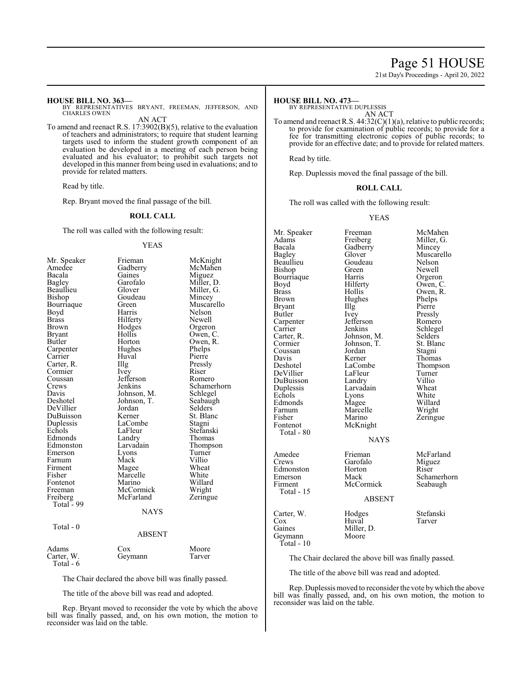# Page 51 HOUSE

21st Day's Proceedings - April 20, 2022

#### **HOUSE BILL NO. 363—**

BY REPRESENTATIVES BRYANT, FREEMAN, JEFFERSON, AND CHARLES OWEN

AN ACT To amend and reenact R.S. 17:3902(B)(5), relative to the evaluation of teachers and administrators; to require that student learning

targets used to inform the student growth component of an evaluation be developed in a meeting of each person being evaluated and his evaluator; to prohibit such targets not developed in this manner from being used in evaluations; and to provide for related matters.

Read by title.

Rep. Bryant moved the final passage of the bill.

# **ROLL CALL**

The roll was called with the following result:

#### YEAS

| Mr. Speaker             | Frieman     | McKnight    |
|-------------------------|-------------|-------------|
| Amedee                  | Gadberry    | McMahen     |
| Bacala                  | Gaines      | Miguez      |
| Bagley                  | Garofalo    | Miller, D.  |
| Beaullieu               | Glover      | Miller, G.  |
| Bishop                  | Goudeau     | Mincey      |
| Bourriaque              | Green       | Muscarello  |
| Boyd                    | Harris      | Nelson      |
| <b>Brass</b>            | Hilferty    | Newell      |
| Brown                   | Hodges      | Orgeron     |
| Bryant                  | Hollis      | Owen, C.    |
| Butler                  | Horton      | Owen, R.    |
| Carpenter               | Hughes      | Phelps      |
| Carrier                 | Huval       | Pierre      |
| Carter, R.              | Illg        | Pressly     |
| Cormier                 | Ivey        | Riser       |
| Coussan                 | Jefferson   | Romero      |
| Crews                   | Jenkins     | Schamerhorn |
| Davis                   | Johnson, M. | Schlegel    |
| Deshotel                | Johnson, T. | Seabaugh    |
| DeVillier               | Jordan      | Selders     |
| DuBuisson               | Kerner      | St. Blanc   |
| Duplessis               | LaCombe     | Stagni      |
| Echols                  | LaFleur     | Stefanski   |
| Edmonds                 | Landry      | Thomas      |
| Edmonston               | Larvadain   | Thompson    |
| Emerson                 | Lyons       | Turner      |
| Farnum                  | Mack        | Villio      |
| Firment                 | Magee       | Wheat       |
| Fisher                  | Marcelle    | White       |
| Fontenot                | Marino      | Willard     |
| Freeman                 | McCormick   | Wright      |
| Freiberg                | McFarland   | Zeringue    |
| Total - 99              |             |             |
|                         | <b>NAYS</b> |             |
| Total - 0               |             |             |
|                         | ABSENT      |             |
| Adams                   | Cox         | Moore       |
| Carter, W.<br>Total - 6 | Geymann     | Tarver      |

The Chair declared the above bill was finally passed.

The title of the above bill was read and adopted.

Rep. Bryant moved to reconsider the vote by which the above bill was finally passed, and, on his own motion, the motion to reconsider was laid on the table.

#### **HOUSE BILL NO. 473—**

BY REPRESENTATIVE DUPLESSIS

AN ACT To amend and reenact R.S. 44:32(C)(1)(a), relative to public records; to provide for examination of public records; to provide for a fee for transmitting electronic copies of public records; to provide for an effective date; and to provide for related matters.

Read by title.

Rep. Duplessis moved the final passage of the bill.

#### **ROLL CALL**

The roll was called with the following result:

#### YEAS

| Mr. Speaker<br>Adams<br>Bacala<br>Bagley<br>Beaullieu<br>Bishop<br>Bourriaque<br>Boyd<br>Brass<br>Brown<br>Bryant<br>Butler<br>Carpenter<br>Carrier<br>Carter, R.<br>Cormier<br>Coussan<br>Davis<br>Deshotel<br>DeVillier<br>DuBuisson<br>Duplessis<br>Echols<br>Edmonds<br>Farnum<br>Fisher<br>Fontenot<br>Total - 80 | Freeman<br>Freiberg<br>Gadberry<br>Glover<br>Goudeau<br>Green<br>Harris<br>Hilferty<br>Hollis<br>Hughes<br>Illg<br>Ivey<br>Jefferson<br>Jenkins<br>Johnson, M.<br>Johnson, T.<br>Jordan<br>Kerner<br>LaCombe<br>LaFleur<br>Landry<br>Larvadain<br>Lyons<br>Magee<br>Marcelle<br>Marino<br>McKnight<br><b>NAYS</b> | McMahen<br>Miller, G.<br>Mincey<br>Muscarello<br>Nelson<br>Newell<br>Orgeron<br>Owen, C.<br>Owen, R.<br>Phelps<br>Pierre<br>Pressly<br>Romero<br>Schlegel<br>Selders<br>St. Blanc<br>Stagni<br>Thomas<br>Thompson<br>Turner<br>Villio<br>Wheat<br>White<br>Willard<br>Wright<br>Zeringue |
|------------------------------------------------------------------------------------------------------------------------------------------------------------------------------------------------------------------------------------------------------------------------------------------------------------------------|-------------------------------------------------------------------------------------------------------------------------------------------------------------------------------------------------------------------------------------------------------------------------------------------------------------------|------------------------------------------------------------------------------------------------------------------------------------------------------------------------------------------------------------------------------------------------------------------------------------------|
| Amedee<br>Crews<br>Edmonston<br>Emerson<br>Firment<br>Total $-15$                                                                                                                                                                                                                                                      | Frieman<br>Garofalo<br>Horton<br>Mack<br>McCormick<br><b>ABSENT</b>                                                                                                                                                                                                                                               | McFarland<br>Miguez<br>Riser<br>Schamerhorn<br>Seabaugh                                                                                                                                                                                                                                  |
| Carter, W.<br>Cox<br>Gaines<br>Geymann<br>Total - 10                                                                                                                                                                                                                                                                   | Hodges<br>Huval<br>Miller, D.<br>Moore                                                                                                                                                                                                                                                                            | Stefanski<br>Tarver                                                                                                                                                                                                                                                                      |

The Chair declared the above bill was finally passed.

The title of the above bill was read and adopted.

Rep. Duplessis moved to reconsider the vote bywhich the above bill was finally passed, and, on his own motion, the motion to reconsider was laid on the table.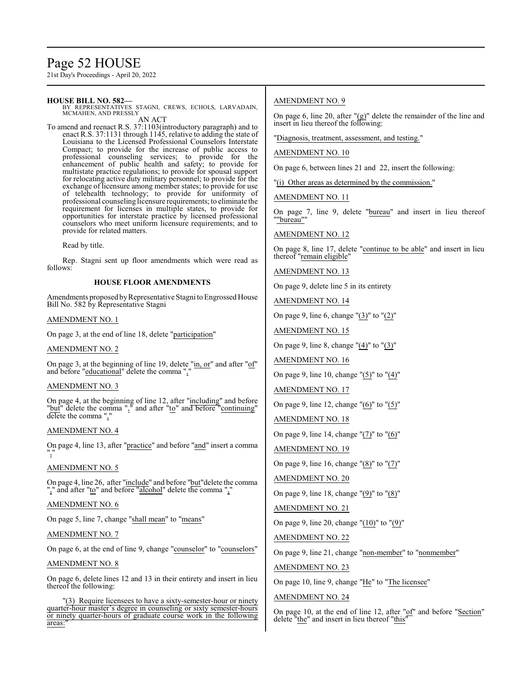# Page 52 HOUSE

21st Day's Proceedings - April 20, 2022

# **HOUSE BILL NO. 582—**

BY REPRESENTATIVES STAGNI, CREWS, ECHOLS, LARVADAIN, MCMAHEN, AND PRESSLY

AN ACT To amend and reenact R.S. 37:1103(introductory paragraph) and to enact R.S. 37:1131 through 1145, relative to adding the state of Louisiana to the Licensed Professional Counselors Interstate Compact; to provide for the increase of public access to professional counseling services; to provide for the enhancement of public health and safety; to provide for multistate practice regulations; to provide for spousal support for relocating active duty military personnel; to provide for the exchange of licensure among member states; to provide for use of telehealth technology; to provide for uniformity of professional counseling licensure requirements; to eliminate the requirement for licenses in multiple states, to provide for opportunities for interstate practice by licensed professional counselors who meet uniform licensure requirements; and to provide for related matters.

Read by title.

Rep. Stagni sent up floor amendments which were read as follows:

# **HOUSE FLOOR AMENDMENTS**

Amendments proposed by Representative Stagni to Engrossed House Bill No. 582 by Representative Stagni

### AMENDMENT NO. 1

On page 3, at the end of line 18, delete "participation"

### AMENDMENT NO. 2

On page 3, at the beginning of line 19, delete "in, or" and after "of" and before "educational" delete the comma ","

#### AMENDMENT NO. 3

On page 4, at the beginning of line 12, after "including" and before "but" delete the comma "," and after "to" and before "continuing" delete the comma ","

#### AMENDMENT NO. 4

On page 4, line 13, after "practice" and before "and" insert a comma ","

#### AMENDMENT NO. 5

On page 4, line 26, after "include" and before "but" delete the comma ", and after "to" and before "alcohol" delete the comma ",

#### AMENDMENT NO. 6

On page 5, line 7, change "shall mean" to "means"

## AMENDMENT NO. 7

On page 6, at the end of line 9, change "counselor" to "counselors"

### AMENDMENT NO. 8

On page 6, delete lines 12 and 13 in their entirety and insert in lieu thereof the following:

"(3) Require licensees to have a sixty-semester-hour or ninety quarter-hour master's degree in counseling or sixty semester-hours or ninety quarter-hours of graduate course work in the following areas:"

#### AMENDMENT NO. 9

On page 6, line 20, after "(g)" delete the remainder of the line and insert in lieu thereof the following:

"Diagnosis, treatment, assessment, and testing."

#### AMENDMENT NO. 10

On page 6, between lines 21 and 22, insert the following:

"(i) Other areas as determined by the commission."

AMENDMENT NO. 11

On page 7, line 9, delete "bureau" and insert in lieu thereof ""bureau""

# AMENDMENT NO. 12

On page 8, line 17, delete "continue to be able" and insert in lieu thereof "remain eligible"

AMENDMENT NO. 13

On page 9, delete line 5 in its entirety

AMENDMENT NO. 14

On page 9, line 6, change "(3)" to "(2)"

AMENDMENT NO. 15

On page 9, line 8, change "(4)" to "(3)"

AMENDMENT NO. 16

On page 9, line 10, change "(5)" to "(4)"

#### AMENDMENT NO. 17

On page 9, line 12, change "(6)" to "(5)"

AMENDMENT NO. 18

On page 9, line 14, change "(7)" to "(6)"

AMENDMENT NO. 19

On page 9, line 16, change " $(8)$ " to " $(7)$ "

# AMENDMENT NO. 20

On page 9, line 18, change "(9)" to "(8)"

AMENDMENT NO. 21

On page 9, line 20, change " $(10)$ " to " $(9)$ "

AMENDMENT NO. 22

On page 9, line 21, change "non-member" to "nonmember"

AMENDMENT NO. 23

On page 10, line 9, change "He" to "The licensee"

#### AMENDMENT NO. 24

On page 10, at the end of line 12, after "of" and before "Section" delete "the" and insert in lieu thereof "this"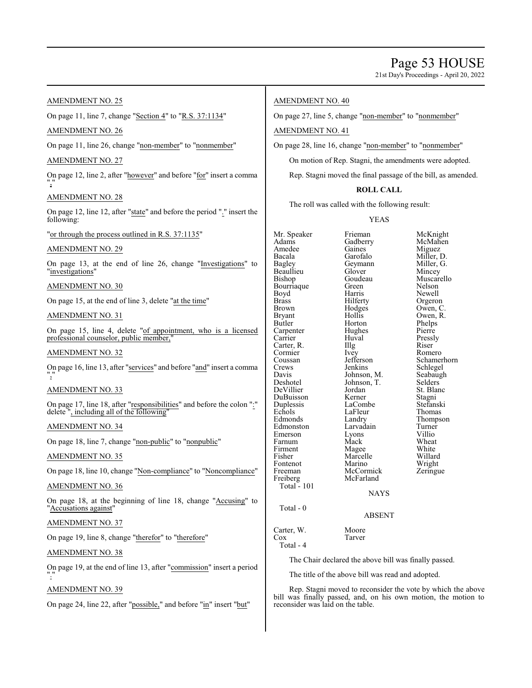21st Day's Proceedings - April 20, 2022

# AMENDMENT NO. 25

On page 11, line 7, change "Section 4" to "R.S. 37:1134"

# AMENDMENT NO. 26

On page 11, line 26, change "non-member" to "nonmember"

# AMENDMENT NO. 27

On page 12, line 2, after "however" and before "for" insert a comma ","

# AMENDMENT NO. 28

On page 12, line 12, after "state" and before the period "." insert the following:

"or through the process outlined in R.S. 37:1135"

# AMENDMENT NO. 29

On page 13, at the end of line 26, change "Investigations" to "investigations"

# AMENDMENT NO. 30

On page 15, at the end of line 3, delete "at the time"

# AMENDMENT NO. 31

On page 15, line 4, delete "of appointment, who is a licensed professional counselor, public member,

# AMENDMENT NO. 32

On page 16, line 13, after "services" and before "and" insert a comma ","

# AMENDMENT NO. 33

On page 17, line 18, after "responsibilities" and before the colon ":" delete ", including all of the following"

# AMENDMENT NO. 34

On page 18, line 7, change "non-public" to "nonpublic"

#### AMENDMENT NO. 35

On page 18, line 10, change "Non-compliance" to "Noncompliance"

### AMENDMENT NO. 36

On page 18, at the beginning of line 18, change "Accusing" to "Accusations against"

## AMENDMENT NO. 37

On page 19, line 8, change "therefor" to "therefore"

# AMENDMENT NO. 38

On page 19, at the end of line 13, after "commission" insert a period "."

# AMENDMENT NO. 39

On page 24, line 22, after "possible," and before "in" insert "but"

# AMENDMENT NO. 40

On page 27, line 5, change "non-member" to "nonmember"

# AMENDMENT NO. 41

On page 28, line 16, change "non-member" to "nonmember"

On motion of Rep. Stagni, the amendments were adopted.

Rep. Stagni moved the final passage of the bill, as amended.

# **ROLL CALL**

The roll was called with the following result:

# YEAS

Mr. Speaker Frieman McKnight<br>Adams Gadberry McMahen Adams Gadberry<br>Amedee Gaines Amedee Gaines Miguez<br>Bacala Garofalo Miller, I Bacala Garofalo Miller, D. Beaullieu Glover<br>Bishop Goudeau Bourriaque Green<br>Boyd Harris Boyd Harris Newell<br>Brass Hilferty Orgeron Brass Hilferty Orgeron<br>Brown Hodges Owen, C Brown Hodges Owen, C.<br>Bryant Hollis Owen, R. Bryant Hollis Owen, R.<br>Butler Horton Phelps Carpenter Hughe<br>Carrier Huval Carter, R. Illg Riser Cormier Ney Romero Cormier Ivey<br>Coussan Jefferson Coussan Jefferson Schamerhorn<br>Crews Jenkins Schlegel Crews Jenkins Schlegel<br>Davis Johnson M. Seabaugh Davis Johnson, M. Seabaugh<br>Deshotel Johnson, T. Selders DeVillier Jordan St. Blanc<br>DuBuisson Kerner Stagni DuBuisson Kerner Stagni Duplessis LaCombe Stefansk<br>Echols LaFleur Thomas Echols LaFleur<br>Edmonds Landry Edmonston Larvadain Turner<br>Emerson Lyons Villio Emerson Lyons Villio<br>Farnum Mack Wheat Farnum Mack Wheat<br>Firment Magee White Firment Magee White<br>
Fisher Marcelle Willard Fontenot Marino Wright<br>
Freeman McCormick Zeringue Freiberg Total - 101

Goudeau Muscarello<br>Green Nelson Horton Phelps<br>Hughes Pierre Huval Pressly<br>
Illg Riser Johnson, T. Selders<br>Jordan St. Blanc Landry Thompson<br>Larvadain Turner Marcelle Willard<br>
Marino Wright McCormick<br>McFarland

Geymann Miller,<br>Glover Mincev

NAYS

### ABSENT

Carter, W. Moore<br>Cox Tarver Tarver

Total - 4

Total - 0

The Chair declared the above bill was finally passed.

The title of the above bill was read and adopted.

Rep. Stagni moved to reconsider the vote by which the above bill was finally passed, and, on his own motion, the motion to reconsider was laid on the table.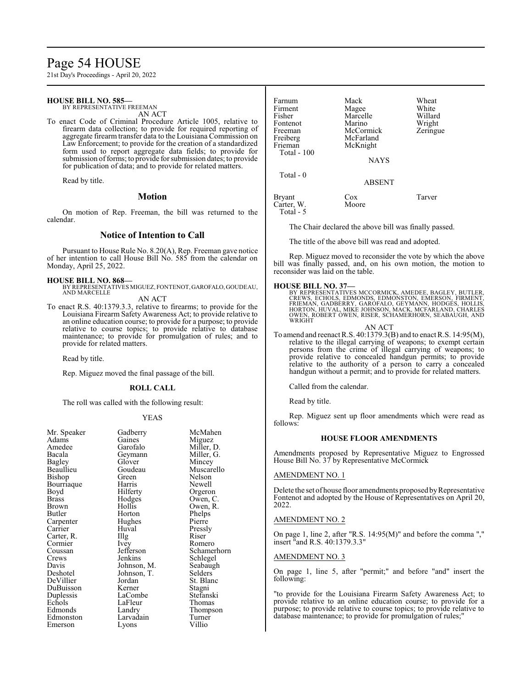# Page 54 HOUSE

21st Day's Proceedings - April 20, 2022

#### **HOUSE BILL NO. 585—** BY REPRESENTATIVE FREEMAN

AN ACT

To enact Code of Criminal Procedure Article 1005, relative to firearm data collection; to provide for required reporting of aggregate firearm transfer data to the Louisiana Commission on Law Enforcement; to provide for the creation of a standardized form used to report aggregate data fields; to provide for submission of forms; to provide for submission dates; to provide for publication of data; and to provide for related matters.

Read by title.

#### **Motion**

On motion of Rep. Freeman, the bill was returned to the calendar.

# **Notice of Intention to Call**

Pursuant to House Rule No. 8.20(A), Rep. Freeman gave notice of her intention to call House Bill No. 585 from the calendar on Monday, April 25, 2022.

### **HOUSE BILL NO. 868—**

BY REPRESENTATIVES MIGUEZ, FONTENOT, GAROFALO, GOUDEAU, AND MARCELLE

AN ACT

To enact R.S. 40:1379.3.3, relative to firearms; to provide for the Louisiana Firearm Safety Awareness Act; to provide relative to an online education course; to provide for a purpose; to provide relative to course topics; to provide relative to database maintenance; to provide for promulgation of rules; and to provide for related matters.

Read by title.

Rep. Miguez moved the final passage of the bill.

#### **ROLL CALL**

The roll was called with the following result:

#### YEAS

McMahen Miguez Miller, D. Miller, G. Mincey Muscarello Nelson Newell Orgeron Owen, C. Owen, R. Phelps<br>Pierre

Pressly<br>Riser

Romero Schamerhorn Schlegel Seabaugh Selders<sup>7</sup> St. Blanc Stagni Stefanski Thomas Thompson<br>Turner

| Gadberry<br>Gaines<br>Garofalo<br>Geymann<br>Glover<br>Goudeau<br>Green<br>Harris<br>Hilferty<br>Hodges<br>Hollis | Migue.<br>Miller,<br>Miller,<br>Mincey<br>Musca<br>Nelson<br>Newell<br>Orgero<br>Owen, |
|-------------------------------------------------------------------------------------------------------------------|----------------------------------------------------------------------------------------|
|                                                                                                                   |                                                                                        |
|                                                                                                                   |                                                                                        |
|                                                                                                                   |                                                                                        |
|                                                                                                                   |                                                                                        |
|                                                                                                                   |                                                                                        |
|                                                                                                                   |                                                                                        |
|                                                                                                                   |                                                                                        |
|                                                                                                                   |                                                                                        |
|                                                                                                                   |                                                                                        |
|                                                                                                                   | Owen,                                                                                  |
| Horton                                                                                                            | Phelps                                                                                 |
| Hughes                                                                                                            | Pierre                                                                                 |
| Huval                                                                                                             | Pressly                                                                                |
| Illg                                                                                                              | Riser                                                                                  |
| Ivey                                                                                                              | Romer                                                                                  |
| Jefferson                                                                                                         | Scham                                                                                  |
| Jenkins                                                                                                           | Schleg                                                                                 |
| Johnson, M.                                                                                                       | Seabau                                                                                 |
|                                                                                                                   | Selders                                                                                |
| Jordan                                                                                                            | St. Bla                                                                                |
| Kerner                                                                                                            | Stagni                                                                                 |
| LaCombe                                                                                                           | Stefans                                                                                |
| LaFleur                                                                                                           | Thoma                                                                                  |
| Landry                                                                                                            | Thomp                                                                                  |
| Larvadain                                                                                                         | Turner                                                                                 |
| Lyons                                                                                                             | Villio                                                                                 |
|                                                                                                                   |                                                                                        |
|                                                                                                                   | Johnson, T.                                                                            |

Fontenot Marino Wright<br>
Freeman McCormick Zeringue Freeman McCormick<br>Freiberg McFarland McFarland Frieman McKnight Total - 100 **NAYS**  Total - 0 ABSENT

Bryant Cox Tarver<br>Carter W. Moore

Marcelle Willard<br>
Marino Wright

The Chair declared the above bill was finally passed.

The title of the above bill was read and adopted.

Farnum Mack Wheat<br>Firment Magee White Firment Magee White<br>
Fisher Marcelle Willard

Rep. Miguez moved to reconsider the vote by which the above was finally passed, and, on his own motion, the motion to reconsider was laid on the table.

# **HOUSE BILL NO. 37—**

Carter, W. Total - 5

> BY REPRESENTATIVES MCCORMICK, AMEDEE, BAGLEY, BUTLER,<br>CREWS, ECHOLS, EDMONDS, EDMONSTON, EMERSON, FIRMENT,<br>FRIEMAN, GADBERRY, GAROFALO, GEYMANN, HODGES, HOLLIS,<br>HORTON, HUVAL, MIKE JOHNSON, MACK, MCFARLAND, CHARLES OWEN, ROBERT OWEN, RISER, SCHAMERHORN, SEABAUGH, AND WRIGHT

AN ACT

To amend and reenact R.S. 40:1379.3(B) and to enact R.S. 14:95(M), relative to the illegal carrying of weapons; to exempt certain persons from the crime of illegal carrying of weapons; to provide relative to concealed handgun permits; to provide relative to the authority of a person to carry a concealed handgun without a permit; and to provide for related matters.

Called from the calendar.

Read by title.

Rep. Miguez sent up floor amendments which were read as follows:

# **HOUSE FLOOR AMENDMENTS**

Amendments proposed by Representative Miguez to Engrossed House Bill No. 37 by Representative McCormick

#### AMENDMENT NO. 1

Delete the set of house floor amendments proposed by Representative Fontenot and adopted by the House of Representatives on April 20, 2022.

#### AMENDMENT NO. 2

On page 1, line 2, after "R.S. 14:95(M)" and before the comma "," insert "and R.S. 40:1379.3.3"

#### AMENDMENT NO. 3

On page 1, line 5, after "permit;" and before "and" insert the following:

"to provide for the Louisiana Firearm Safety Awareness Act; to provide relative to an online education course; to provide for a purpose; to provide relative to course topics; to provide relative to database maintenance; to provide for promulgation of rules;"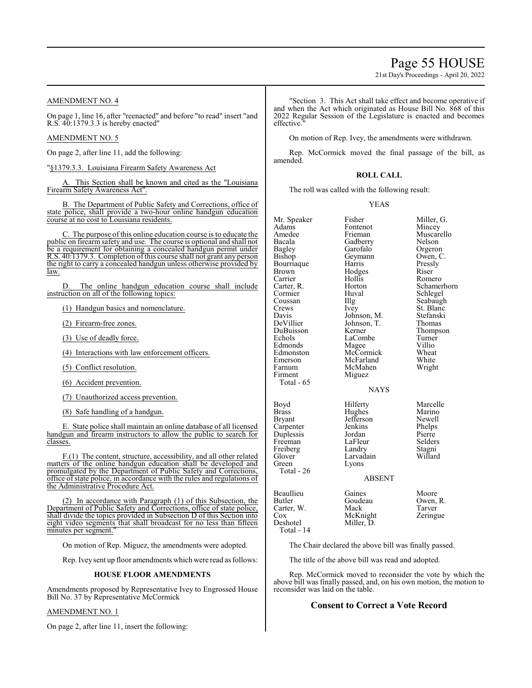# Page 55 HOUSE

21st Day's Proceedings - April 20, 2022

# AMENDMENT NO. 4

On page 1, line 16, after "reenacted" and before "to read" insert "and R.S. 40:1379.3.3 is hereby enacted"

### AMENDMENT NO. 5

On page 2, after line 11, add the following:

"§1379.3.3. Louisiana Firearm Safety Awareness Act

This Section shall be known and cited as the "Louisiana Firearm Safety Awareness Act".

B. The Department of Public Safety and Corrections, office of state police, shall provide a two-hour online handgun education course at no cost to Louisiana residents.

C. The purpose of this online education course is to educate the public on firearm safety and use. The course is optional and shall not be a requirement for obtaining a concealed handgun permit under R.S. 40:1379.3. Completion of this course shall not grant any person the right to carry a concealed handgun unless otherwise provided by law.

D. The online handgun education course shall include instruction on all of the following topics:

(1) Handgun basics and nomenclature.

(2) Firearm-free zones.

(3) Use of deadly force.

(4) Interactions with law enforcement officers.

(5) Conflict resolution.

(6) Accident prevention.

(7) Unauthorized access prevention.

(8) Safe handling of a handgun.

E. State police shall maintain an online database of all licensed handgun and firearm instructors to allow the public to search for classes.

F.(1) The content, structure, accessibility, and all other related matters of the online handgun education shall be developed and promulgated by the Department of Public Safety and Corrections, office ofstate police, in accordance with the rules and regulations of the Administrative Procedure Act.

(2) In accordance with Paragraph (1) of this Subsection, the Department of Public Safety and Corrections, office of state police, shall divide the topics provided in Subsection D of this Section into eight video segments that shall broadcast for no less than fifteen minutes per segment.

On motion of Rep. Miguez, the amendments were adopted.

Rep. Ivey sent up floor amendments which were read as follows:

#### **HOUSE FLOOR AMENDMENTS**

Amendments proposed by Representative Ivey to Engrossed House Bill No. 37 by Representative McCormick

#### AMENDMENT NO. 1

On page 2, after line 11, insert the following:

"Section 3. This Act shall take effect and become operative if and when the Act which originated as House Bill No. 868 of this 2022 Regular Session of the Legislature is enacted and becomes effective.

On motion of Rep. Ivey, the amendments were withdrawn.

Rep. McCormick moved the final passage of the bill, as amended.

#### **ROLL CALL**

The roll was called with the following result:

#### YEAS

| Mr. Speaker<br>Adams<br>Amedee<br>Bacala<br>Bagley<br>Bishop<br>Bourriaque<br>Brown<br>Carrier<br>Carter, R.<br>Cormier<br>Coussan<br>Crews<br>Davis<br>DeVillier<br>DuBuisson<br>Echols<br>Edmonds<br>Edmonston<br>Emerson<br>Farnum | Fisher<br>Fontenot<br>Frieman<br>Gadberry<br>Garofalo<br>Geymann<br>Harris<br>Hodges<br>Hollis<br>Horton<br>Huval<br>Illg<br>Ivey<br>Johnson, M.<br>Johnson, T.<br>Kerner<br>LaCombe<br>Magee<br>McCormick<br>McFarland<br>McMahen | Miller, G.<br>Mincey<br>Muscarello<br>Nelson<br>Orgeron<br>Owen, C.<br>Pressly<br>Riser<br>Romero<br>Schamerhorn<br>Schlegel<br>Seabaugh<br>St. Blanc<br>Stefanski<br>Thomas<br>Thompson<br>Turner<br>Villio<br>Wheat<br>White<br>Wright |
|---------------------------------------------------------------------------------------------------------------------------------------------------------------------------------------------------------------------------------------|------------------------------------------------------------------------------------------------------------------------------------------------------------------------------------------------------------------------------------|------------------------------------------------------------------------------------------------------------------------------------------------------------------------------------------------------------------------------------------|
| Firment<br>Total - 65                                                                                                                                                                                                                 | Miguez<br><b>NAYS</b>                                                                                                                                                                                                              |                                                                                                                                                                                                                                          |
| Boyd<br>Brass<br><b>Bryant</b><br>Carpenter<br>Duplessis<br>Freeman<br>Freiberg<br>Glover<br>Green<br>Total - 26                                                                                                                      | Hilferty<br>Hughes<br>Jefferson<br>Jenkins<br>Jordan<br>LaFleur<br>Landry<br>Larvadain<br>Lyons<br><b>ABSENT</b>                                                                                                                   | Marcelle<br>Marino<br>Newell<br>Phelps<br>Pierre<br>Selders<br>Stagni<br>Willard                                                                                                                                                         |
| Beaullieu<br>Butler<br>Carter, W.<br>Cox<br>Deshotel<br>Total - 14                                                                                                                                                                    | Gaines<br>Goudeau<br>Mack<br>McKnight<br>Miller, D.                                                                                                                                                                                | Moore<br>Owen, R.<br>Tarver<br>Zeringue                                                                                                                                                                                                  |

The Chair declared the above bill was finally passed.

The title of the above bill was read and adopted.

Rep. McCormick moved to reconsider the vote by which the above bill was finally passed, and, on his own motion, the motion to reconsider was laid on the table.

### **Consent to Correct a Vote Record**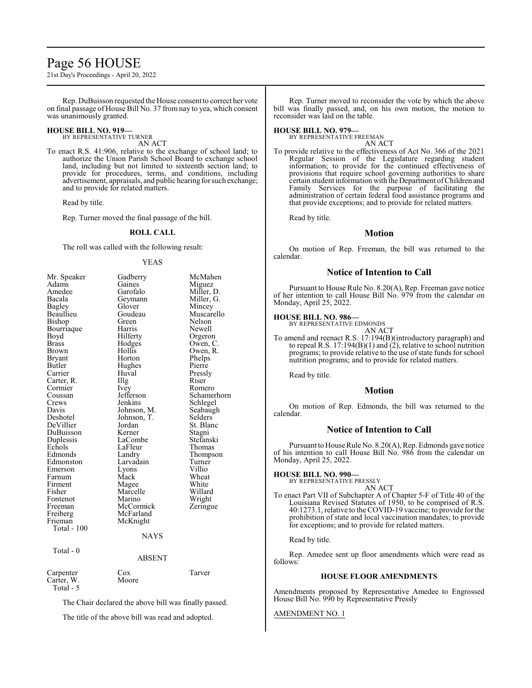# Page 56 HOUSE

21st Day's Proceedings - April 20, 2022

Rep. DuBuisson requested the House consent to correct her vote on final passage of House Bill No. 37 from nay to yea, which consent was unanimously granted.

### **HOUSE BILL NO. 919—**

BY REPRESENTATIVE TURNER AN ACT

To enact R.S. 41:906, relative to the exchange of school land; to authorize the Union Parish School Board to exchange school land, including but not limited to sixteenth section land; to provide for procedures, terms, and conditions, including advertisement, appraisals, and public hearing for such exchange; and to provide for related matters.

Read by title.

Rep. Turner moved the final passage of the bill.

#### **ROLL CALL**

The roll was called with the following result:

#### YEAS

| Mr. Speaker   | Gadberry      | McMahen     |
|---------------|---------------|-------------|
| Adams         | Gaines        | Miguez      |
| Amedee        | Garofalo      | Miller, D.  |
| Bacala        | Geymann       | Miller, G.  |
| <b>Bagley</b> | Glover        | Mincey      |
| Beaullieu     | Goudeau       | Muscarello  |
| Bishop        | Green         | Nelson      |
| Bourriaque    | Harris        | Newell      |
| Boyd          | Hilferty      | Orgeron     |
| Brass         | Hodges        | Owen, C.    |
| Brown         | Hollis        | Owen, R.    |
| Bryant        | Horton        | Phelps      |
| Butler        | Hughes        | Pierre      |
| Carrier       | Huval         | Pressly     |
| Carter, R.    | Illg          | Riser       |
| Cormier       | <i>lvey</i>   | Romero      |
| Coussan       | Jefferson     | Schamerhorn |
| Crews         | Jenkins       | Schlegel    |
| Davis         | Johnson, M.   | Seabaugh    |
| Deshotel      | Johnson, T.   | Selders     |
| DeVillier     | Jordan        | St. Blanc   |
| DuBuisson     | Kerner        | Stagni      |
| Duplessis     | LaCombe       | Stefanski   |
| Echols        | LaFleur       | Thomas      |
| Edmonds       | Landry        | Thompson    |
| Edmonston     | Larvadain     | Turner      |
| Emerson       | Lyons         | Villio      |
| Farnum        | Mack          | Wheat       |
| Firment       | Magee         | White       |
| Fisher        | Marcelle      | Willard     |
| Fontenot      | Marino        | Wright      |
| Freeman       | McCormick     | Zeringue    |
| Freiberg      | McFarland     |             |
| Frieman       | McKnight      |             |
| Total - 100   |               |             |
|               | <b>NAYS</b>   |             |
| Total - 0     |               |             |
|               | <b>ABSENT</b> |             |
| Carpenter     | Cox           | Tarver      |
| Carter, W.    | Moore         |             |

Total - 5

The Chair declared the above bill was finally passed.

The title of the above bill was read and adopted.

Rep. Turner moved to reconsider the vote by which the above bill was finally passed, and, on his own motion, the motion to reconsider was laid on the table.

#### **HOUSE BILL NO. 979—**

BY REPRESENTATIVE FREEMAN AN ACT

To provide relative to the effectiveness of Act No. 366 of the 2021 Regular Session of the Legislature regarding student information; to provide for the continued effectiveness of provisions that require school governing authorities to share certain student information with the Department ofChildren and Family Services for the purpose of facilitating the administration of certain federal food assistance programs and that provide exceptions; and to provide for related matters.

Read by title.

### **Motion**

On motion of Rep. Freeman, the bill was returned to the calendar.

# **Notice of Intention to Call**

Pursuant to House Rule No. 8.20(A), Rep. Freeman gave notice of her intention to call House Bill No. 979 from the calendar on Monday, April 25, 2022.

# **HOUSE BILL NO. 986—** BY REPRESENTATIVE EDMONDS

AN ACT

To amend and reenact R.S. 17:194(B)(introductory paragraph) and to repeal R.S. 17:194(B)(1) and (2), relative to school nutrition programs; to provide relative to the use ofstate funds for school nutrition programs; and to provide for related matters.

Read by title.

# **Motion**

On motion of Rep. Edmonds, the bill was returned to the calendar.

# **Notice of Intention to Call**

Pursuant to House Rule No. 8.20(A), Rep. Edmonds gave notice of his intention to call House Bill No. 986 from the calendar on Monday, April 25, 2022.

#### **HOUSE BILL NO. 990—**

BY REPRESENTATIVE PRESSLY

AN ACT To enact Part VII of Subchapter A of Chapter 5-F of Title 40 of the Louisiana Revised Statutes of 1950, to be comprised of R.S. 40:1273.1, relative to the COVID-19 vaccine; to provide for the prohibition of state and local vaccination mandates; to provide for exceptions; and to provide for related matters.

#### Read by title.

Rep. Amedee sent up floor amendments which were read as follows:

#### **HOUSE FLOOR AMENDMENTS**

Amendments proposed by Representative Amedee to Engrossed House Bill No. 990 by Representative Pressly

#### AMENDMENT NO. 1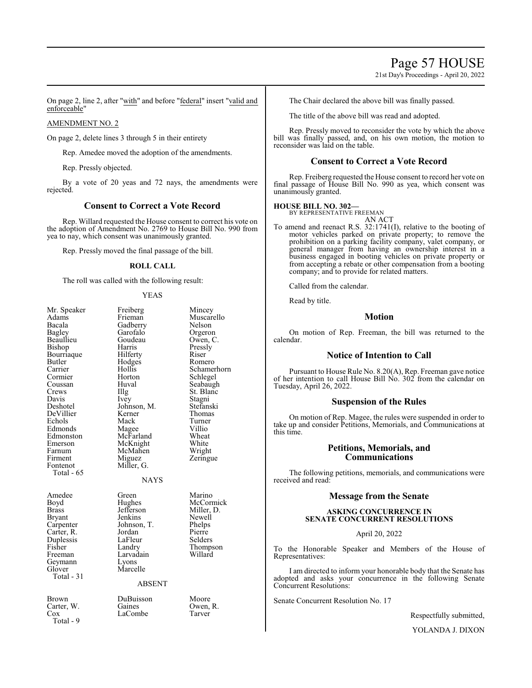# Page 57 HOUSE

21st Day's Proceedings - April 20, 2022

On page 2, line 2, after "with" and before "federal" insert "valid and enforceable"

#### AMENDMENT NO. 2

On page 2, delete lines 3 through 5 in their entirety

Rep. Amedee moved the adoption of the amendments.

Rep. Pressly objected.

By a vote of 20 yeas and 72 nays, the amendments were rejected.

# **Consent to Correct a Vote Record**

Rep. Willard requested the House consent to correct his vote on the adoption of Amendment No. 2769 to House Bill No. 990 from yea to nay, which consent was unanimously granted.

Rep. Pressly moved the final passage of the bill.

#### **ROLL CALL**

The roll was called with the following result:

#### YEAS

| Mr. Speaker<br>Adams<br>Bacala<br>Bagley<br>Beaullieu<br>Bishop<br>Bourriaque<br>Butler<br>Carrier<br>Cormier<br>Coussan<br>Crews<br>Davis<br>Deshotel<br>DeVillier<br>Echols<br>Edmonds<br>Edmonston<br>Emerson<br>Farnum<br>Firment<br>Fontenot | Freiberg<br>Frieman<br>Gadberry<br>Garofalo<br>Goudeau<br>Harris<br>Hilferty<br>Hodges<br>Hollis<br>Horton<br>Huval<br>Illg<br>Ivey<br>Johnson, M.<br>Kerner<br>Mack<br>Magee<br>McFarland<br>McKnight<br>McMahen<br>Miguez<br>Miller, G. | Mincey<br>Muscarello<br>Nelson<br>Orgeron<br>Owen, C.<br>Pressly<br>Riser<br>Romero<br>Schamerhorn<br>Schlegel<br>Seabaugh<br>St. Blanc<br>Stagni<br>Stefanski<br>Thomas<br>Turner<br>Villio<br>Wheat<br>White<br>Wright<br>Zeringue |
|---------------------------------------------------------------------------------------------------------------------------------------------------------------------------------------------------------------------------------------------------|-------------------------------------------------------------------------------------------------------------------------------------------------------------------------------------------------------------------------------------------|--------------------------------------------------------------------------------------------------------------------------------------------------------------------------------------------------------------------------------------|
| Total - 65                                                                                                                                                                                                                                        | <b>NAYS</b>                                                                                                                                                                                                                               |                                                                                                                                                                                                                                      |
| Amedee<br>Boyd<br>Brass<br>Bryant<br>Carpenter<br>Carter, R.<br>Duplessis<br>Fisher<br>Freeman<br>Geymann<br>Glover<br>Total - 31                                                                                                                 | Green<br>Hughes<br>Jefferson<br>Jenkins<br>Johnson, T.<br>Jordan<br>LaFleur<br>Landry<br>Larvadain<br>Lyons<br>Marcelle<br><b>ABSENT</b>                                                                                                  | Marino<br>McCormick<br>Miller, D.<br>Newell<br>Phelps<br>Pierre<br>Selders<br>Thompson<br>Willard                                                                                                                                    |
| Brown<br>Carter, W.<br>$\cos$<br>Total - 9                                                                                                                                                                                                        | DuBuisson<br>Gaines<br>LaCombe                                                                                                                                                                                                            | Moore<br>Owen, R.<br>Tarver                                                                                                                                                                                                          |

The Chair declared the above bill was finally passed.

The title of the above bill was read and adopted.

Rep. Pressly moved to reconsider the vote by which the above bill was finally passed, and, on his own motion, the motion to reconsider was laid on the table.

# **Consent to Correct a Vote Record**

Rep. Freiberg requested the House consent to record her vote on final passage of House Bill No. 990 as yea, which consent was unanimously granted.

## **HOUSE BILL NO. 302—**

BY REPRESENTATIVE FREEMAN AN ACT

To amend and reenact R.S. 32:1741(I), relative to the booting of motor vehicles parked on private property; to remove the prohibition on a parking facility company, valet company, or general manager from having an ownership interest in a business engaged in booting vehicles on private property or from accepting a rebate or other compensation from a booting company; and to provide for related matters.

Called from the calendar.

Read by title.

# **Motion**

On motion of Rep. Freeman, the bill was returned to the calendar.

# **Notice of Intention to Call**

Pursuant to House Rule No. 8.20(A), Rep. Freeman gave notice of her intention to call House Bill No. 302 from the calendar on Tuesday, April 26, 2022.

# **Suspension of the Rules**

On motion of Rep. Magee, the rules were suspended in order to take up and consider Petitions, Memorials, and Communications at this time.

# **Petitions, Memorials, and Communications**

The following petitions, memorials, and communications were received and read:

# **Message from the Senate**

# **ASKING CONCURRENCE IN SENATE CONCURRENT RESOLUTIONS**

April 20, 2022

To the Honorable Speaker and Members of the House of Representatives:

I am directed to inform your honorable body that the Senate has adopted and asks your concurrence in the following Senate Concurrent Resolutions:

Senate Concurrent Resolution No. 17

Respectfully submitted,

YOLANDA J. DIXON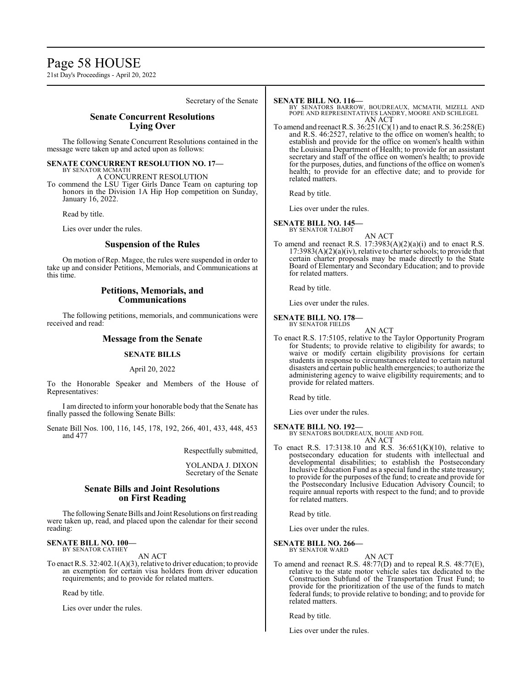# Page 58 HOUSE

21st Day's Proceedings - April 20, 2022

Secretary of the Senate

# **Senate Concurrent Resolutions Lying Over**

The following Senate Concurrent Resolutions contained in the message were taken up and acted upon as follows:

# **SENATE CONCURRENT RESOLUTION NO. 17—**

BY SENATOR MCMATH A CONCURRENT RESOLUTION

To commend the LSU Tiger Girls Dance Team on capturing top honors in the Division 1A Hip Hop competition on Sunday, January 16, 2022.

Read by title.

Lies over under the rules.

# **Suspension of the Rules**

On motion of Rep. Magee, the rules were suspended in order to take up and consider Petitions, Memorials, and Communications at this time.

# **Petitions, Memorials, and Communications**

The following petitions, memorials, and communications were received and read:

# **Message from the Senate**

#### **SENATE BILLS**

#### April 20, 2022

To the Honorable Speaker and Members of the House of Representatives:

I am directed to inform your honorable body that the Senate has finally passed the following Senate Bills:

Senate Bill Nos. 100, 116, 145, 178, 192, 266, 401, 433, 448, 453 and 477

Respectfully submitted,

YOLANDA J. DIXON Secretary of the Senate

# **Senate Bills and Joint Resolutions on First Reading**

The following Senate Bills and Joint Resolutions on first reading were taken up, read, and placed upon the calendar for their second reading:

#### **SENATE BILL NO. 100—** BY SENATOR CATHEY

AN ACT

To enact R.S. 32:402.1(A)(3), relative to driver education; to provide an exemption for certain visa holders from driver education requirements; and to provide for related matters.

Read by title.

Lies over under the rules.

### **SENATE BILL NO. 116—**

BY SENATORS BARROW, BOUDREAUX, MCMATH, MIZELL AND POPE AND REPRESENTATIVES LANDRY, MOORE AND SCHLEGEL AN ACT

To amend and reenact R.S.  $36:251(C)(1)$  and to enact R.S.  $36:258(E)$ and R.S. 46:2527, relative to the office on women's health; to establish and provide for the office on women's health within the Louisiana Department of Health; to provide for an assistant secretary and staff of the office on women's health; to provide for the purposes, duties, and functions of the office on women's health; to provide for an effective date; and to provide for related matters.

Read by title.

Lies over under the rules.

# **SENATE BILL NO. 145—**

BY SENATOR TALBOT

AN ACT To amend and reenact R.S. 17:3983(A)(2)(a)(i) and to enact R.S.  $17:3983(A)(2)(a)(iv)$ , relative to charter schools; to provide that certain charter proposals may be made directly to the State Board of Elementary and Secondary Education; and to provide for related matters.

Read by title.

Lies over under the rules.

#### **SENATE BILL NO. 178—** BY SENATOR FIELDS

AN ACT

To enact R.S. 17:5105, relative to the Taylor Opportunity Program for Students; to provide relative to eligibility for awards; to waive or modify certain eligibility provisions for certain students in response to circumstances related to certain natural disasters and certain public health emergencies; to authorize the administering agency to waive eligibility requirements; and to provide for related matters.

Read by title.

Lies over under the rules.

# **SENATE BILL NO. 192—**

BY SENATORS BOUDREAUX, BOUIE AND FOIL AN ACT

To enact R.S. 17:3138.10 and R.S. 36:651(K)(10), relative to postsecondary education for students with intellectual and developmental disabilities; to establish the Postsecondary Inclusive Education Fund as a special fund in the state treasury; to provide for the purposes of the fund; to create and provide for the Postsecondary Inclusive Education Advisory Council; to require annual reports with respect to the fund; and to provide for related matters.

Read by title.

Lies over under the rules.

#### **SENATE BILL NO. 266—** BY SENATOR WARD

AN ACT

To amend and reenact R.S. 48:77(D) and to repeal R.S. 48:77(E), relative to the state motor vehicle sales tax dedicated to the Construction Subfund of the Transportation Trust Fund; to provide for the prioritization of the use of the funds to match federal funds; to provide relative to bonding; and to provide for related matters.

Read by title.

Lies over under the rules.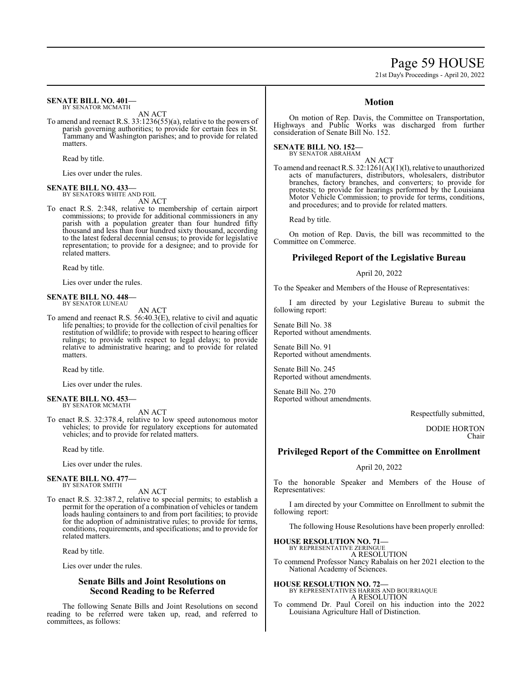# Page 59 HOUSE

21st Day's Proceedings - April 20, 2022

#### **SENATE BILL NO. 401—** BY SENATOR MCMATH

AN ACT

To amend and reenact R.S. 33:1236(55)(a), relative to the powers of parish governing authorities; to provide for certain fees in St. Tammany and Washington parishes; and to provide for related matters.

Read by title.

Lies over under the rules.

#### **SENATE BILL NO. 433—**

BY SENATORS WHITE AND FOIL AN ACT

To enact R.S. 2:348, relative to membership of certain airport commissions; to provide for additional commissioners in any parish with a population greater than four hundred fifty thousand and less than four hundred sixty thousand, according to the latest federal decennial census; to provide for legislative representation; to provide for a designee; and to provide for related matters.

Read by title.

Lies over under the rules.

#### **SENATE BILL NO. 448—** BY SENATOR LUNEAU

AN ACT

To amend and reenact R.S. 56:40.3(E), relative to civil and aquatic life penalties; to provide for the collection of civil penalties for restitution of wildlife; to provide with respect to hearing officer rulings; to provide with respect to legal delays; to provide relative to administrative hearing; and to provide for related matters.

Read by title.

Lies over under the rules.

#### **SENATE BILL NO. 453—** BY SENATOR MCMATH

AN ACT To enact R.S. 32:378.4, relative to low speed autonomous motor vehicles; to provide for regulatory exceptions for automated vehicles; and to provide for related matters.

Read by title.

Lies over under the rules.

#### **SENATE BILL NO. 477—** BY SENATOR SMITH

AN ACT

To enact R.S. 32:387.2, relative to special permits; to establish a permit for the operation of a combination of vehicles or tandem loads hauling containers to and from port facilities; to provide for the adoption of administrative rules; to provide for terms, conditions, requirements, and specifications; and to provide for related matters.

Read by title.

Lies over under the rules.

# **Senate Bills and Joint Resolutions on Second Reading to be Referred**

The following Senate Bills and Joint Resolutions on second reading to be referred were taken up, read, and referred to committees, as follows:

# **Motion**

On motion of Rep. Davis, the Committee on Transportation, Highways and Public Works was discharged from further consideration of Senate Bill No. 152.

**SENATE BILL NO. 152—** BY SENATOR ABRAHAM

AN ACT To amend and reenact R.S. 32:1261(A)(1)(l), relative to unauthorized acts of manufacturers, distributors, wholesalers, distributor branches, factory branches, and converters; to provide for protests; to provide for hearings performed by the Louisiana Motor Vehicle Commission; to provide for terms, conditions, and procedures; and to provide for related matters.

Read by title.

On motion of Rep. Davis, the bill was recommitted to the Committee on Commerce.

# **Privileged Report of the Legislative Bureau**

### April 20, 2022

To the Speaker and Members of the House of Representatives:

I am directed by your Legislative Bureau to submit the following report:

Senate Bill No. 38 Reported without amendments.

Senate Bill No. 91 Reported without amendments.

Senate Bill No. 245 Reported without amendments.

Senate Bill No. 270 Reported without amendments.

Respectfully submitted,

DODIE HORTON Chair

# **Privileged Report of the Committee on Enrollment**

April 20, 2022

To the honorable Speaker and Members of the House of Representatives:

I am directed by your Committee on Enrollment to submit the following report:

The following House Resolutions have been properly enrolled:

**HOUSE RESOLUTION NO. 71—** BY REPRESENTATIVE ZERINGUE

A RESOLUTION

To commend Professor Nancy Rabalais on her 2021 election to the National Academy of Sciences.

**HOUSE RESOLUTION NO. 72—** BY REPRESENTATIVES HARRIS AND BOURRIAQUE A RESOLUTION

To commend Dr. Paul Coreil on his induction into the 2022 Louisiana Agriculture Hall of Distinction.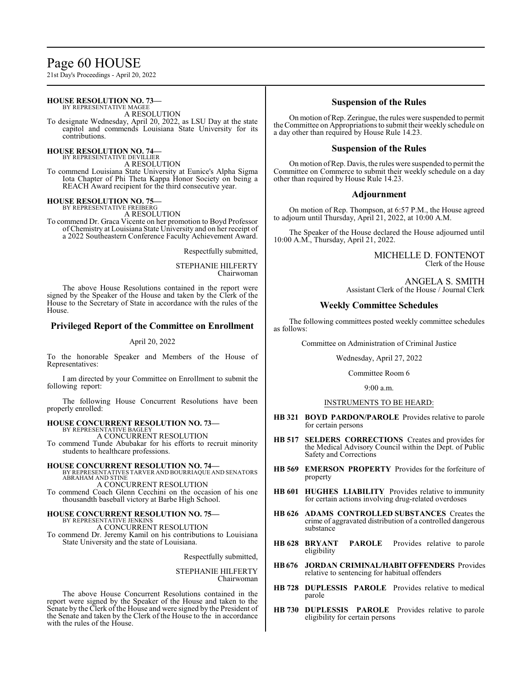# Page 60 HOUSE

21st Day's Proceedings - April 20, 2022

#### **HOUSE RESOLUTION NO. 73—** BY REPRESENTATIVE MAGEE

A RESOLUTION

To designate Wednesday, April 20, 2022, as LSU Day at the state capitol and commends Louisiana State University for its contributions.

**HOUSE RESOLUTION NO. 74—** BY REPRESENTATIVE DEVILLIER

A RESOLUTION

To commend Louisiana State University at Eunice's Alpha Sigma Iota Chapter of Phi Theta Kappa Honor Society on being a REACH Award recipient for the third consecutive year.

**HOUSE RESOLUTION NO. 75—**

BY REPRESENTATIVE FREIBERG A RESOLUTION

To commend Dr. Graca Vicente on her promotion to Boyd Professor of Chemistry at Louisiana State University and on her receipt of a 2022 Southeastern Conference Faculty Achievement Award.

Respectfully submitted,

STEPHANIE HILFERTY Chairwoman

The above House Resolutions contained in the report were signed by the Speaker of the House and taken by the Clerk of the House to the Secretary of State in accordance with the rules of the House.

# **Privileged Report of the Committee on Enrollment**

#### April 20, 2022

To the honorable Speaker and Members of the House of Representatives:

I am directed by your Committee on Enrollment to submit the following report:

The following House Concurrent Resolutions have been properly enrolled:

# **HOUSE CONCURRENT RESOLUTION NO. 73—**

BY REPRESENTATIVE BAGLEY A CONCURRENT RESOLUTION

To commend Tunde Abubakar for his efforts to recruit minority students to healthcare professions.

# **HOUSE CONCURRENT RESOLUTION NO. 74—**

BY REPRESENTATIVES TARVER AND BOURRIAQUE AND SENATORS ABRAHAM AND STINE A CONCURRENT RESOLUTION

To commend Coach Glenn Cecchini on the occasion of his one thousandth baseball victory at Barbe High School.

#### **HOUSE CONCURRENT RESOLUTION NO. 75—** BY REPRESENTATIVE JENKINS

A CONCURRENT RESOLUTION

To commend Dr. Jeremy Kamil on his contributions to Louisiana State University and the state of Louisiana.

Respectfully submitted,

STEPHANIE HILFERTY Chairwoman

The above House Concurrent Resolutions contained in the report were signed by the Speaker of the House and taken to the Senate by the Clerk of the House and were signed by the President of the Senate and taken by the Clerk of the House to the in accordance with the rules of the House.

# **Suspension of the Rules**

On motion ofRep. Zeringue, the rules were suspended to permit the Committee on Appropriations to submit their weekly schedule on a day other than required by House Rule 14.23.

# **Suspension of the Rules**

On motion ofRep. Davis, the rules were suspended to permit the Committee on Commerce to submit their weekly schedule on a day other than required by House Rule 14.23.

# **Adjournment**

On motion of Rep. Thompson, at 6:57 P.M., the House agreed to adjourn until Thursday, April 21, 2022, at 10:00 A.M.

The Speaker of the House declared the House adjourned until 10:00 A.M., Thursday, April 21, 2022.

> MICHELLE D. FONTENOT Clerk of the House

ANGELA S. SMITH Assistant Clerk of the House / Journal Clerk

# **Weekly Committee Schedules**

The following committees posted weekly committee schedules as follows:

Committee on Administration of Criminal Justice

Wednesday, April 27, 2022

Committee Room 6

9:00 a.m.

### INSTRUMENTS TO BE HEARD:

- **HB 321 BOYD PARDON/PAROLE** Provides relative to parole for certain persons
- **HB 517 SELDERS CORRECTIONS** Creates and provides for the Medical Advisory Council within the Dept. of Public Safety and Corrections
- **HB 569 EMERSON PROPERTY** Provides for the forfeiture of property
- **HB 601 HUGHES LIABILITY** Provides relative to immunity for certain actions involving drug-related overdoses
- **HB 626 ADAMS CONTROLLED SUBSTANCES** Creates the crime of aggravated distribution of a controlled dangerous substance
- **HB 628 BRYANT PAROLE** Provides relative to parole eligibility
- **HB676 JORDAN CRIMINAL/HABITOFFENDERS** Provides relative to sentencing for habitual offenders
- **HB 728 DUPLESSIS PAROLE** Provides relative to medical parole
- **HB 730 DUPLESSIS PAROLE** Provides relative to parole eligibility for certain persons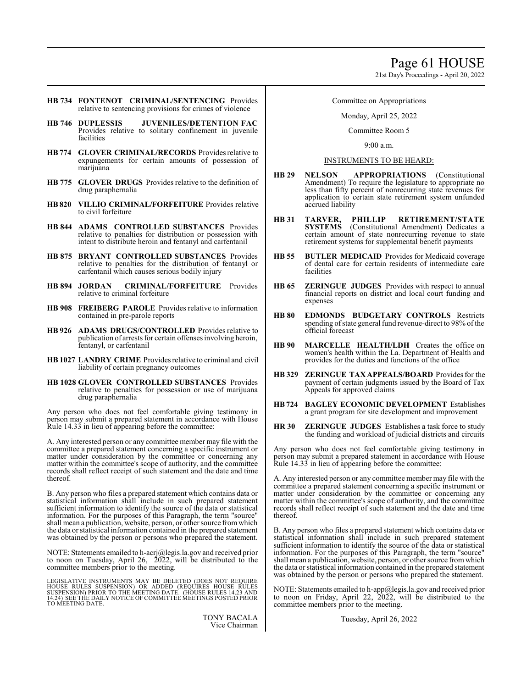21st Day's Proceedings - April 20, 2022

- **HB 734 FONTENOT CRIMINAL/SENTENCING** Provides relative to sentencing provisions for crimes of violence
- **HB 746 DUPLESSIS JUVENILES/DETENTION FAC** Provides relative to solitary confinement in juvenile facilities
- **HB 774 GLOVER CRIMINAL/RECORDS** Provides relative to expungements for certain amounts of possession of marijuana
- **HB 775 GLOVER DRUGS** Provides relative to the definition of drug paraphernalia
- **HB 820 VILLIO CRIMINAL/FORFEITURE** Provides relative to civil forfeiture
- **HB 844 ADAMS CONTROLLED SUBSTANCES** Provides relative to penalties for distribution or possession with intent to distribute heroin and fentanyl and carfentanil
- **HB 875 BRYANT CONTROLLED SUBSTANCES** Provides relative to penalties for the distribution of fentanyl or carfentanil which causes serious bodily injury
- **HB 894 JORDAN CRIMINAL/FORFEITURE** Provides relative to criminal forfeiture
- **HB 908 FREIBERG PAROLE** Provides relative to information contained in pre-parole reports
- **HB 926 ADAMS DRUGS/CONTROLLED** Provides relative to publication of arrests for certain offenses involving heroin, fentanyl, or carfentanil
- **HB 1027 LANDRY CRIME** Provides relative to criminal and civil liability of certain pregnancy outcomes
- **HB 1028 GLOVER CONTROLLED SUBSTANCES** Provides relative to penalties for possession or use of marijuana drug paraphernalia

Any person who does not feel comfortable giving testimony in person may submit a prepared statement in accordance with House Rule 14.33 in lieu of appearing before the committee:

A. Any interested person or any committee member may file with the committee a prepared statement concerning a specific instrument or matter under consideration by the committee or concerning any matter within the committee's scope of authority, and the committee records shall reflect receipt of such statement and the date and time thereof.

B. Any person who files a prepared statement which contains data or statistical information shall include in such prepared statement sufficient information to identify the source of the data or statistical information. For the purposes of this Paragraph, the term "source" shall mean a publication, website, person, or other source from which the data or statistical information contained in the prepared statement was obtained by the person or persons who prepared the statement.

NOTE: Statements emailed to h-acrj@legis.la.gov and received prior to noon on Tuesday, April 26, 2022, will be distributed to the committee members prior to the meeting.

LEGISLATIVE INSTRUMENTS MAY BE DELETED (DOES NOT REQUIRE<br>HOUSE RULES SUSPENSION) OR ADDED (REQUIRES HOUSE RULES<br>SUSPENSION) PRIOR TO THE MEETING DATE. (HOUSE RULES 14.23 AND<br>14.24) SEE THE DAILY NOTICE OF COMMITTEE MEETING TO MEETING DATE.

> TONY BACALA Vice Chairman

# Committee on Appropriations

Monday, April 25, 2022

Committee Room 5

9:00 a.m.

### INSTRUMENTS TO BE HEARD:

- **HB 29 NELSON APPROPRIATIONS** (Constitutional Amendment) To require the legislature to appropriate no less than fifty percent of nonrecurring state revenues for application to certain state retirement system unfunded accrued liability
- **HB 31 TARVER, PHILLIP RETIREMENT/STATE SYSTEMS** (Constitutional Amendment) Dedicates a certain amount of state nonrecurring revenue to state retirement systems for supplemental benefit payments
- **HB 55 BUTLER MEDICAID** Provides for Medicaid coverage of dental care for certain residents of intermediate care facilities
- **HB 65 ZERINGUE JUDGES** Provides with respect to annual financial reports on district and local court funding and expenses
- **HB 80 EDMONDS BUDGETARY CONTROLS** Restricts spending of state general fund revenue-direct to 98% of the official forecast
- **HB 90 MARCELLE HEALTH/LDH** Creates the office on women's health within the La. Department of Health and provides for the duties and functions of the office
- **HB 329 ZERINGUE TAX APPEALS/BOARD** Provides for the payment of certain judgments issued by the Board of Tax Appeals for approved claims
- **HB724 BAGLEY ECONOMIC DEVELOPMENT** Establishes a grant program for site development and improvement
- **HR 30 ZERINGUE JUDGES** Establishes a task force to study the funding and workload of judicial districts and circuits

Any person who does not feel comfortable giving testimony in person may submit a prepared statement in accordance with House Rule 14.33 in lieu of appearing before the committee:

A. Any interested person or any committee member may file with the committee a prepared statement concerning a specific instrument or matter under consideration by the committee or concerning any matter within the committee's scope of authority, and the committee records shall reflect receipt of such statement and the date and time thereof.

B. Any person who files a prepared statement which contains data or statistical information shall include in such prepared statement sufficient information to identify the source of the data or statistical information. For the purposes of this Paragraph, the term "source" shall mean a publication, website, person, or other source fromwhich the data or statistical information contained in the prepared statement was obtained by the person or persons who prepared the statement.

NOTE: Statements emailed to h-app@legis.la.gov and received prior to noon on Friday, April 22, 2022, will be distributed to the committee members prior to the meeting.

Tuesday, April 26, 2022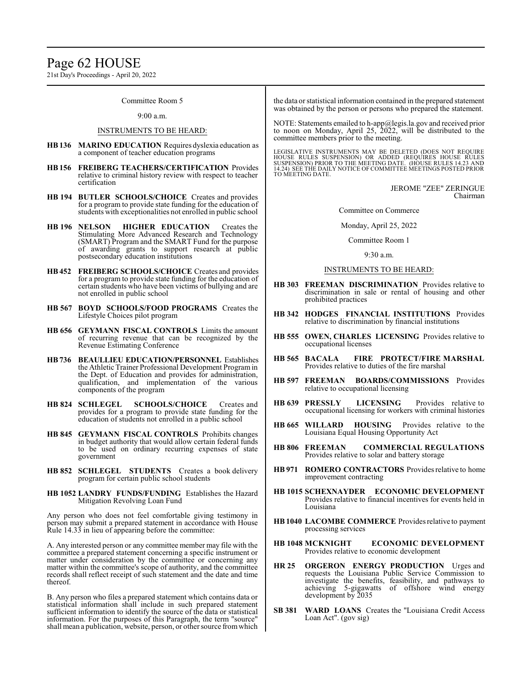21st Day's Proceedings - April 20, 2022

Committee Room 5

#### 9:00 a.m.

#### INSTRUMENTS TO BE HEARD:

- **HB136 MARINO EDUCATION** Requires dyslexia education as a component of teacher education programs
- **HB156 FREIBERG TEACHERS/CERTIFICATION** Provides relative to criminal history review with respect to teacher certification
- **HB 194 BUTLER SCHOOLS/CHOICE** Creates and provides for a program to provide state funding for the education of students with exceptionalities not enrolled in public school
- **HB 196 NELSON HIGHER EDUCATION** Creates the Stimulating More Advanced Research and Technology (SMART) Program and the SMART Fund for the purpose of awarding grants to support research at public postsecondary education institutions
- **HB452 FREIBERG SCHOOLS/CHOICE** Creates and provides for a program to provide state funding for the education of certain students who have been victims of bullying and are not enrolled in public school
- **HB 567 BOYD SCHOOLS/FOOD PROGRAMS** Creates the Lifestyle Choices pilot program
- **HB 656 GEYMANN FISCAL CONTROLS** Limits the amount of recurring revenue that can be recognized by the Revenue Estimating Conference
- **HB736 BEAULLIEU EDUCATION/PERSONNEL** Establishes the Athletic Trainer Professional Development Programin the Dept. of Education and provides for administration, qualification, and implementation of the various components of the program
- **HB 824 SCHLEGEL SCHOOLS/CHOICE** Creates and provides for a program to provide state funding for the education of students not enrolled in a public school
- **HB 845 GEYMANN FISCAL CONTROLS** Prohibits changes in budget authority that would allow certain federal funds to be used on ordinary recurring expenses of state government
- **HB 852 SCHLEGEL STUDENTS** Creates a book delivery program for certain public school students
- **HB 1052 LANDRY FUNDS/FUNDING** Establishes the Hazard Mitigation Revolving Loan Fund

Any person who does not feel comfortable giving testimony in person may submit a prepared statement in accordance with House Rule 14.33 in lieu of appearing before the committee:

A. Any interested person or any committee member may file with the committee a prepared statement concerning a specific instrument or matter under consideration by the committee or concerning any matter within the committee's scope of authority, and the committee records shall reflect receipt of such statement and the date and time thereof.

B. Any person who files a prepared statement which contains data or statistical information shall include in such prepared statement sufficient information to identify the source of the data or statistical information. For the purposes of this Paragraph, the term "source" shall mean a publication, website, person, or other source fromwhich the data or statistical information contained in the prepared statement was obtained by the person or persons who prepared the statement.

NOTE: Statements emailed to h-app@legis.la.gov and received prior to noon on Monday, April 25, 2022, will be distributed to the committee members prior to the meeting.

LEGISLATIVE INSTRUMENTS MAY BE DELETED (DOES NOT REQUIRE<br>HOUSE RULES SUSPENSION) OR ADDED (REQUIRES HOUSE RULES<br>SUSPENSION) PRIOR TO THE MEETING DATE. (HOUSE RULES 14.23 AND<br>14.24) SEE THE DAILY NOTICE OF COMMITTEE MEETING TO MEETING DATE.

> JEROME "ZEE" ZERINGUE Chairman

Committee on Commerce

Monday, April 25, 2022

Committee Room 1

9:30 a.m.

#### INSTRUMENTS TO BE HEARD:

- **HB 303 FREEMAN DISCRIMINATION** Provides relative to discrimination in sale or rental of housing and other prohibited practices
- **HB 342 HODGES FINANCIAL INSTITUTIONS** Provides relative to discrimination by financial institutions
- **HB 555 OWEN, CHARLES LICENSING** Provides relative to occupational licenses
- **HB 565 BACALA FIRE PROTECT/FIRE MARSHAL** Provides relative to duties of the fire marshal
- **HB 597 FREEMAN BOARDS/COMMISSIONS** Provides relative to occupational licensing
- **HB 639 PRESSLY LICENSING** Provides relative to occupational licensing for workers with criminal histories
- **HB 665 WILLARD HOUSING** Provides relative to the Louisiana Equal Housing Opportunity Act
- **HB 806 FREEMAN COMMERCIAL REGULATIONS** Provides relative to solar and battery storage
- **HB 971 ROMERO CONTRACTORS** Provides relative to home improvement contracting
- **HB 1015 SCHEXNAYDER ECONOMIC DEVELOPMENT** Provides relative to financial incentives for events held in Louisiana
- **HB1040 LACOMBE COMMERCE** Provides relative to payment processing services
- **HB 1048 MCKNIGHT ECONOMIC DEVELOPMENT** Provides relative to economic development
- **HR 25 ORGERON ENERGY PRODUCTION** Urges and requests the Louisiana Public Service Commission to investigate the benefits, feasibility, and pathways to achieving 5-gigawatts of offshore wind energy development by 2035
- **SB 381 WARD LOANS** Creates the "Louisiana Credit Access Loan Act". (gov sig)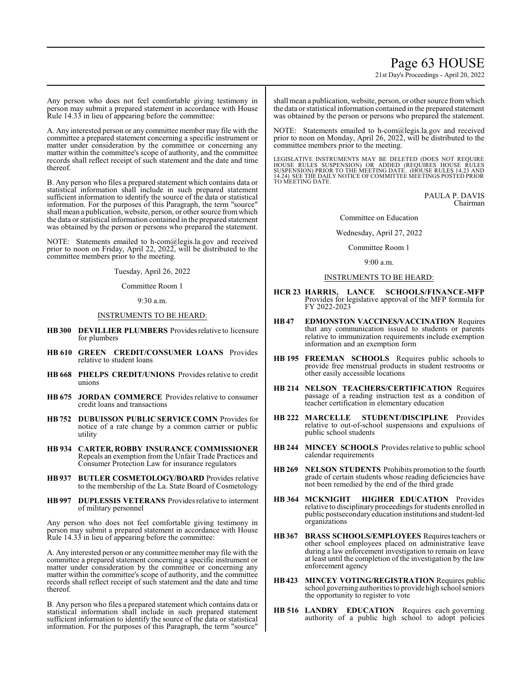# Page 63 HOUSE

21st Day's Proceedings - April 20, 2022

Any person who does not feel comfortable giving testimony in person may submit a prepared statement in accordance with House Rule 14.33 in lieu of appearing before the committee:

A. Any interested person or any committee member may file with the committee a prepared statement concerning a specific instrument or matter under consideration by the committee or concerning any matter within the committee's scope of authority, and the committee records shall reflect receipt of such statement and the date and time thereof.

B. Any person who files a prepared statement which contains data or statistical information shall include in such prepared statement sufficient information to identify the source of the data or statistical information. For the purposes of this Paragraph, the term "source" shall mean a publication, website, person, or other source fromwhich the data or statistical information contained in the prepared statement was obtained by the person or persons who prepared the statement.

NOTE: Statements emailed to h-com@legis.la.gov and received prior to noon on Friday, April 22, 2022, will be distributed to the committee members prior to the meeting.

Tuesday, April 26, 2022

Committee Room 1

9:30 a.m.

### INSTRUMENTS TO BE HEARD:

- **HB300 DEVILLIER PLUMBERS** Providesrelative to licensure for plumbers
- **HB 610 GREEN CREDIT/CONSUMER LOANS** Provides relative to student loans
- **HB 668 PHELPS CREDIT/UNIONS** Provides relative to credit unions
- **HB 675 JORDAN COMMERCE** Provides relative to consumer credit loans and transactions
- **HB 752 DUBUISSON PUBLIC SERVICE COMN** Provides for notice of a rate change by a common carrier or public utility
- **HB 934 CARTER, ROBBY INSURANCE COMMISSIONER** Repeals an exemption from the Unfair Trade Practices and Consumer Protection Law for insurance regulators
- **HB937 BUTLER COSMETOLOGY/BOARD** Provides relative to the membership of the La. State Board of Cosmetology
- **HB997 DUPLESSIS VETERANS** Provides relative to interment of military personnel

Any person who does not feel comfortable giving testimony in person may submit a prepared statement in accordance with House Rule 14.33 in lieu of appearing before the committee:

A. Any interested person or any committee member may file with the committee a prepared statement concerning a specific instrument or matter under consideration by the committee or concerning any matter within the committee's scope of authority, and the committee records shall reflect receipt of such statement and the date and time thereof.

B. Any person who files a prepared statement which contains data or statistical information shall include in such prepared statement sufficient information to identify the source of the data or statistical information. For the purposes of this Paragraph, the term "source"

shall mean a publication, website, person, or other source fromwhich the data or statistical information contained in the prepared statement was obtained by the person or persons who prepared the statement.

NOTE: Statements emailed to h-com@legis.la.gov and received prior to noon on Monday, April 26, 2022, will be distributed to the committee members prior to the meeting.

LEGISLATIVE INSTRUMENTS MAY BE DELETED (DOES NOT REQUIRE<br>HOUSE RULES SUSPENSION) OR ADDED (REQUIRES HOUSE RULES<br>SUSPENSION) PRIOR TO THE MEETING DATE. (HOUSE RULES 14.23 AND<br>14.24) SEE THE DAILY NOTICE OF COMMITTEE MEETING

PAULA P. DAVIS Chairman

Committee on Education

Wednesday, April 27, 2022

Committee Room 1

9:00 a.m.

#### INSTRUMENTS TO BE HEARD:

- **HCR 23 HARRIS, LANCE SCHOOLS/FINANCE-MFP** Provides for legislative approval of the MFP formula for FY 2022-2023
- **HB47 EDMONSTON VACCINES/VACCINATION** Requires that any communication issued to students or parents relative to immunization requirements include exemption information and an exemption form
- **HB 195 FREEMAN SCHOOLS** Requires public schools to provide free menstrual products in student restrooms or other easily accessible locations
- **HB 214 NELSON TEACHERS/CERTIFICATION** Requires passage of a reading instruction test as a condition of teacher certification in elementary education
- **HB 222 MARCELLE STUDENT/DISCIPLINE** Provides relative to out-of-school suspensions and expulsions of public school students
- **HB 244 MINCEY SCHOOLS** Provides relative to public school calendar requirements
- **HB 269 NELSON STUDENTS** Prohibits promotion to the fourth grade of certain students whose reading deficiencies have not been remedied by the end of the third grade
- **HB 364 MCKNIGHT HIGHER EDUCATION** Provides relative to disciplinary proceedings for students enrolled in public postsecondaryeducation institutions and student-led organizations
- **HB367 BRASS SCHOOLS/EMPLOYEES** Requiresteachers or other school employees placed on administrative leave during a law enforcement investigation to remain on leave at least until the completion of the investigation by the law enforcement agency
- **HB423 MINCEY VOTING/REGISTRATION** Requires public school governing authorities to providehigh school seniors the opportunity to register to vote
- **HB 516 LANDRY EDUCATION** Requires each governing authority of a public high school to adopt policies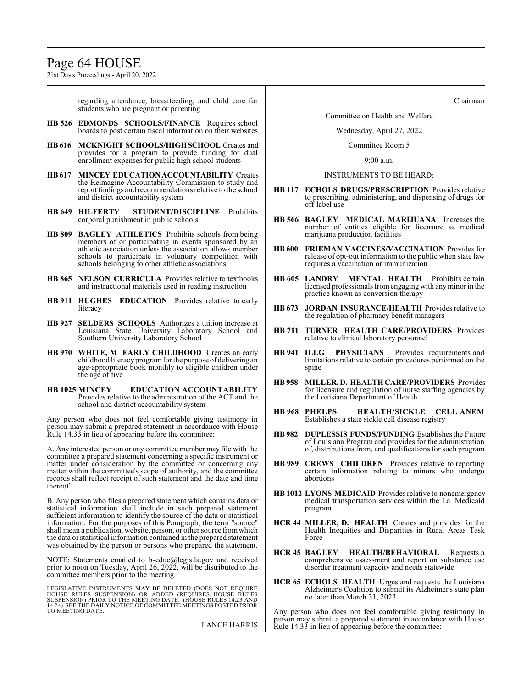# Page 64 HOUSE

21st Day's Proceedings - April 20, 2022

regarding attendance, breastfeeding, and child care for students who are pregnant or parenting

- **HB 526 EDMONDS SCHOOLS/FINANCE** Requires school boards to post certain fiscal information on their websites
- **HB616 MCKNIGHT SCHOOLS/HIGH SCHOOL** Creates and provides for a program to provide funding for dual enrollment expenses for public high school students
- **HB617 MINCEY EDUCATION ACCOUNTABILITY** Creates the Reimagine Accountability Commission to study and report findings and recommendations relative to the school and district accountability system
- **HB 649 HILFERTY STUDENT/DISCIPLINE** Prohibits corporal punishment in public schools
- **HB 809 BAGLEY ATHLETICS** Prohibits schools from being members of or participating in events sponsored by an athletic association unless the association allows member schools to participate in voluntary competition with schools belonging to other athletic associations
- **HB 865 NELSON CURRICULA** Provides relative to textbooks and instructional materials used in reading instruction
- **HB 911 HUGHES EDUCATION** Provides relative to early literacy
- **HB 927 SELDERS SCHOOLS** Authorizes a tuition increase at Louisiana State University Laboratory School and Southern University Laboratory School
- **HB 970 WHITE, M EARLY CHILDHOOD** Creates an early childhood literacy program for the purpose of delivering an age-appropriate book monthly to eligible children under the age of five
- **HB 1025 MINCEY EDUCATION ACCOUNTABILITY** Provides relative to the administration of the ACT and the school and district accountability system

Any person who does not feel comfortable giving testimony in person may submit a prepared statement in accordance with House Rule 14.33 in lieu of appearing before the committee:

A. Any interested person or any committee member may file with the committee a prepared statement concerning a specific instrument or matter under consideration by the committee or concerning any matter within the committee's scope of authority, and the committee records shall reflect receipt of such statement and the date and time thereof.

B. Any person who files a prepared statement which contains data or statistical information shall include in such prepared statement sufficient information to identify the source of the data or statistical information. For the purposes of this Paragraph, the term "source" shall mean a publication, website, person, or other source fromwhich the data or statistical information contained in the prepared statement was obtained by the person or persons who prepared the statement.

NOTE: Statements emailed to h-educ@legis.la.gov and received prior to noon on Tuesday, April 26, 2022, will be distributed to the committee members prior to the meeting.

LEGISLATIVE INSTRUMENTS MAY BE DELETED (DOES NOT REQUIRE<br>HOUSE RULES SUSPENSION) OR ADDED (REQUIRES HOUSE RULES<br>SUSPENSION) PRIOR TO THE MEETING DATE. (HOUSE RULES 14.23 AND<br>14.24) SEE THE DAILY NOTICE OF COMMITTEE MEETING TO MEETING DATE.

LANCE HARRIS

Chairman

#### Committee on Health and Welfare

#### Wednesday, April 27, 2022

Committee Room 5

9:00 a.m.

#### INSTRUMENTS TO BE HEARD:

- **HB 117 ECHOLS DRUGS/PRESCRIPTION** Provides relative to prescribing, administering, and dispensing of drugs for off-label use
- **HB 566 BAGLEY MEDICAL MARIJUANA** Increases the number of entities eligible for licensure as medical marijuana production facilities
- **HB 600 FRIEMAN VACCINES/VACCINATION** Provides for release of opt-out information to the public when state law requires a vaccination or immunization
- **HB 605 LANDRY MENTAL HEALTH** Prohibits certain licensed professionals fromengaging with anyminor in the practice known as conversion therapy
- **HB 673 JORDAN INSURANCE/HEALTH** Provides relative to the regulation of pharmacy benefit managers
- **HB 711 TURNER HEALTH CARE/PROVIDERS** Provides relative to clinical laboratory personnel
- **HB 941 ILLG PHYSICIANS** Provides requirements and limitations relative to certain procedures performed on the spine
- **HB 958 MILLER, D. HEALTH CARE/PROVIDERS** Provides for licensure and regulation of nurse staffing agencies by the Louisiana Department of Health
- **HB 968 PHELPS HEALTH/SICKLE CELL ANEM** Establishes a state sickle cell disease registry
- **HB 982 DUPLESSIS FUNDS/FUNDING** Establishes the Future of Louisiana Program and provides for the administration of, distributions from, and qualifications for such program
- **HB 989 CREWS CHILDREN** Provides relative to reporting certain information relating to minors who undergo abortions
- **HB 1012 LYONS MEDICAID** Provides relative to nonemergency medical transportation services within the La. Medicaid program
- **HCR 44 MILLER, D. HEALTH** Creates and provides for the Health Inequities and Disparities in Rural Areas Task Force
- **HCR 45 BAGLEY HEALTH/BEHAVIORAL** Requests a comprehensive assessment and report on substance use disorder treatment capacity and needs statewide
- **HCR 65 ECHOLS HEALTH** Urges and requests the Louisiana Alzheimer's Coalition to submit its Alzheimer's state plan no later than March 31, 2023

Any person who does not feel comfortable giving testimony in person may submit a prepared statement in accordance with House Rule 14.33 in lieu of appearing before the committee: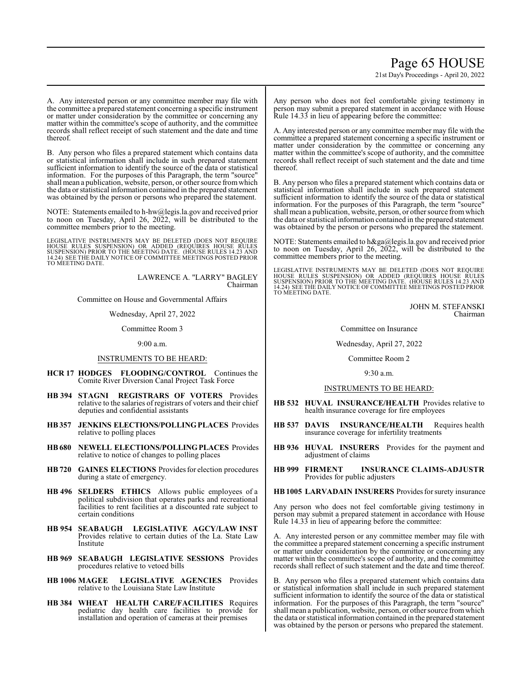# Page 65 HOUSE

21st Day's Proceedings - April 20, 2022

A. Any interested person or any committee member may file with the committee a prepared statement concerning a specific instrument or matter under consideration by the committee or concerning any matter within the committee's scope of authority, and the committee records shall reflect receipt of such statement and the date and time thereof.

B. Any person who files a prepared statement which contains data or statistical information shall include in such prepared statement sufficient information to identify the source of the data or statistical information. For the purposes of this Paragraph, the term "source" shall mean a publication, website, person, or other source fromwhich the data or statistical information contained in the prepared statement was obtained by the person or persons who prepared the statement.

NOTE: Statements emailed to h-hw@legis.la.gov and received prior to noon on Tuesday, April 26, 2022, will be distributed to the committee members prior to the meeting.

LEGISLATIVE INSTRUMENTS MAY BE DELETED (DOES NOT REQUIRE<br>HOUSE RULES SUSPENSION) OR ADDED (REQUIRES HOUSE RULES<br>SUSPENSION) PRIOR TO THE MEETING DATE. (HOUSE RULES 14.23 AND<br>14.24) SEETHE DAILY NOTICE OF COMMITTEE MEETINGS

LAWRENCE A. "LARRY" BAGLEY Chairman

Committee on House and Governmental Affairs

Wednesday, April 27, 2022

Committee Room 3

9:00 a.m.

### INSTRUMENTS TO BE HEARD:

- **HCR 17 HODGES FLOODING/CONTROL** Continues the Comite River Diversion Canal Project Task Force
- **HB 394 STAGNI REGISTRARS OF VOTERS** Provides relative to the salaries of registrars of voters and their chief deputies and confidential assistants
- **HB357 JENKINS ELECTIONS/POLLING PLACES** Provides relative to polling places
- **HB680 NEWELL ELECTIONS/POLLINGPLACES** Provides relative to notice of changes to polling places
- **HB 720 GAINES ELECTIONS** Provides for election procedures during a state of emergency.
- **HB 496 SELDERS ETHICS** Allows public employees of a political subdivision that operates parks and recreational facilities to rent facilities at a discounted rate subject to certain conditions
- **HB 954 SEABAUGH LEGISLATIVE AGCY/LAW INST** Provides relative to certain duties of the La. State Law Institute
- **HB 969 SEABAUGH LEGISLATIVE SESSIONS** Provides procedures relative to vetoed bills
- **HB 1006 MAGEE LEGISLATIVE AGENCIES** Provides relative to the Louisiana State Law Institute
- **HB 384 WHEAT HEALTH CARE/FACILITIES** Requires pediatric day health care facilities to provide for installation and operation of cameras at their premises

Any person who does not feel comfortable giving testimony in person may submit a prepared statement in accordance with House Rule 14.33 in lieu of appearing before the committee:

A. Any interested person or any committee member may file with the committee a prepared statement concerning a specific instrument or matter under consideration by the committee or concerning any matter within the committee's scope of authority, and the committee records shall reflect receipt of such statement and the date and time thereof.

B. Any person who files a prepared statement which contains data or statistical information shall include in such prepared statement sufficient information to identify the source of the data or statistical information. For the purposes of this Paragraph, the term "source" shall mean a publication, website, person, or other source fromwhich the data or statistical information contained in the prepared statement was obtained by the person or persons who prepared the statement.

NOTE: Statements emailed to h&ga@legis.la.gov and received prior to noon on Tuesday, April 26, 2022, will be distributed to the committee members prior to the meeting.

LEGISLATIVE INSTRUMENTS MAY BE DELETED (DOES NOT REQUIRE<br>HOUSE RULES SUSPENSION) OR ADDED (REQUIRES HOUSE RULES<br>SUSPENSION) PRIOR TO THE MEETING DATE. (HOUSE RULES 14.23 AND<br>14.24) SEE THE DAILY NOTICE OF COMMITTEE MEETING TO MEETING DATE.

> JOHN M. STEFANSKI Chairman

Committee on Insurance

#### Wednesday, April 27, 2022

Committee Room 2

9:30 a.m.

#### INSTRUMENTS TO BE HEARD:

- **HB 532 HUVAL INSURANCE/HEALTH** Provides relative to health insurance coverage for fire employees
- **HB 537 DAVIS INSURANCE/HEALTH** Requires health insurance coverage for infertility treatments
- **HB 936 HUVAL INSURERS** Provides for the payment and adjustment of claims
- **HB 999 FIRMENT INSURANCE CLAIMS-ADJUSTR** Provides for public adjusters

**HB1005 LARVADAIN INSURERS** Provides for surety insurance

Any person who does not feel comfortable giving testimony in person may submit a prepared statement in accordance with House Rule 14.33 in lieu of appearing before the committee:

A. Any interested person or any committee member may file with the committee a prepared statement concerning a specific instrument or matter under consideration by the committee or concerning any matter within the committee's scope of authority, and the committee records shall reflect of such statement and the date and time thereof.

B. Any person who files a prepared statement which contains data or statistical information shall include in such prepared statement sufficient information to identify the source of the data or statistical information. For the purposes of this Paragraph, the term "source" shall mean a publication, website, person, or other source fromwhich the data or statistical information contained in the prepared statement was obtained by the person or persons who prepared the statement.